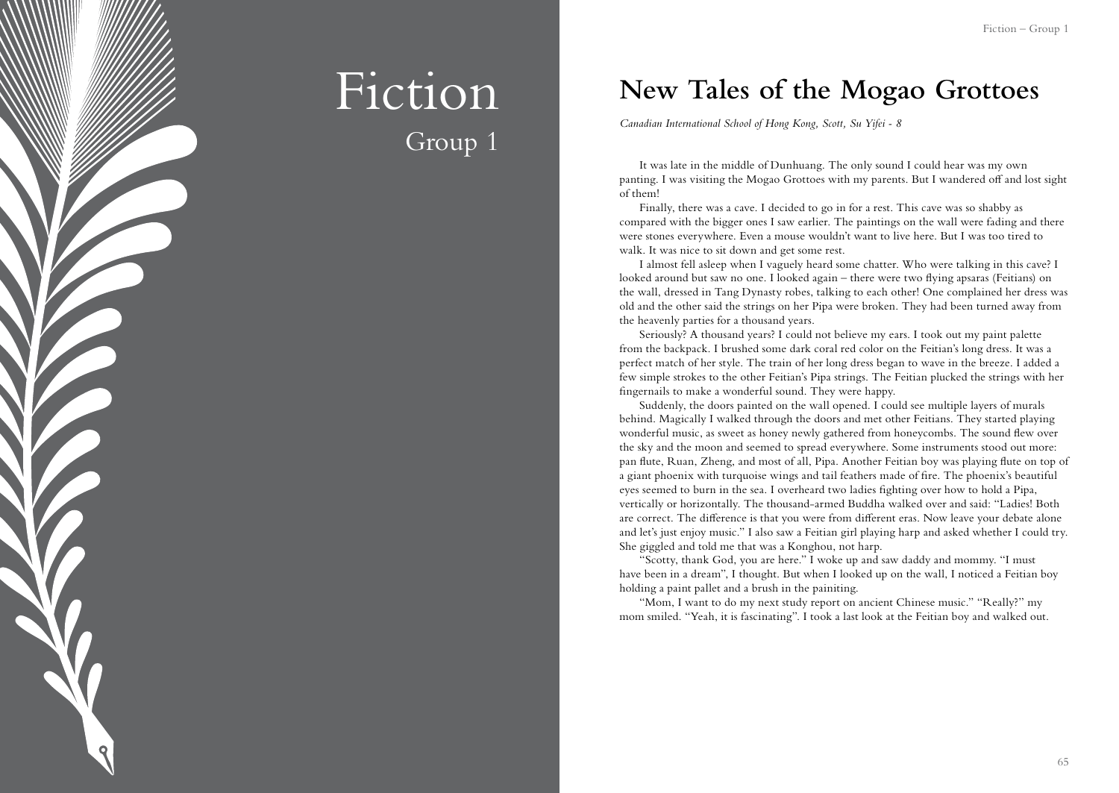

## Fiction Group 1

### **New Tales of the Mogao Grottoes**

*Canadian International School of Hong Kong, Scott, Su Yifei - 8*

It was late in the middle of Dunhuang. The only sound I could hear was my own panting. I was visiting the Mogao Grottoes with my parents. But I wandered off and lost sight of them!

Finally, there was a cave. I decided to go in for a rest. This cave was so shabby as compared with the bigger ones I saw earlier. The paintings on the wall were fading and there were stones everywhere. Even a mouse wouldn't want to live here. But I was too tired to walk. It was nice to sit down and get some rest.

I almost fell asleep when I vaguely heard some chatter. Who were talking in this cave? I looked around but saw no one. I looked again – there were two flying apsaras (Feitians) on the wall, dressed in Tang Dynasty robes, talking to each other! One complained her dress was old and the other said the strings on her Pipa were broken. They had been turned away from the heavenly parties for a thousand years.

Seriously? A thousand years? I could not believe my ears. I took out my paint palette from the backpack. I brushed some dark coral red color on the Feitian's long dress. It was a perfect match of her style. The train of her long dress began to wave in the breeze. I added a few simple strokes to the other Feitian's Pipa strings. The Feitian plucked the strings with her fingernails to make a wonderful sound. They were happy.

Suddenly, the doors painted on the wall opened. I could see multiple layers of murals behind. Magically I walked through the doors and met other Feitians. They started playing wonderful music, as sweet as honey newly gathered from honeycombs. The sound flew over the sky and the moon and seemed to spread everywhere. Some instruments stood out more: pan flute, Ruan, Zheng, and most of all, Pipa. Another Feitian boy was playing flute on top of a giant phoenix with turquoise wings and tail feathers made of fire. The phoenix's beautiful eyes seemed to burn in the sea. I overheard two ladies fighting over how to hold a Pipa, vertically or horizontally. The thousand-armed Buddha walked over and said: "Ladies! Both are correct. The difference is that you were from different eras. Now leave your debate alone and let's just enjoy music." I also saw a Feitian girl playing harp and asked whether I could try. She giggled and told me that was a Konghou, not harp.

"Scotty, thank God, you are here." I woke up and saw daddy and mommy. "I must have been in a dream", I thought. But when I looked up on the wall, I noticed a Feitian boy holding a paint pallet and a brush in the painiting.

"Mom, I want to do my next study report on ancient Chinese music." "Really?" my mom smiled. "Yeah, it is fascinating". I took a last look at the Feitian boy and walked out.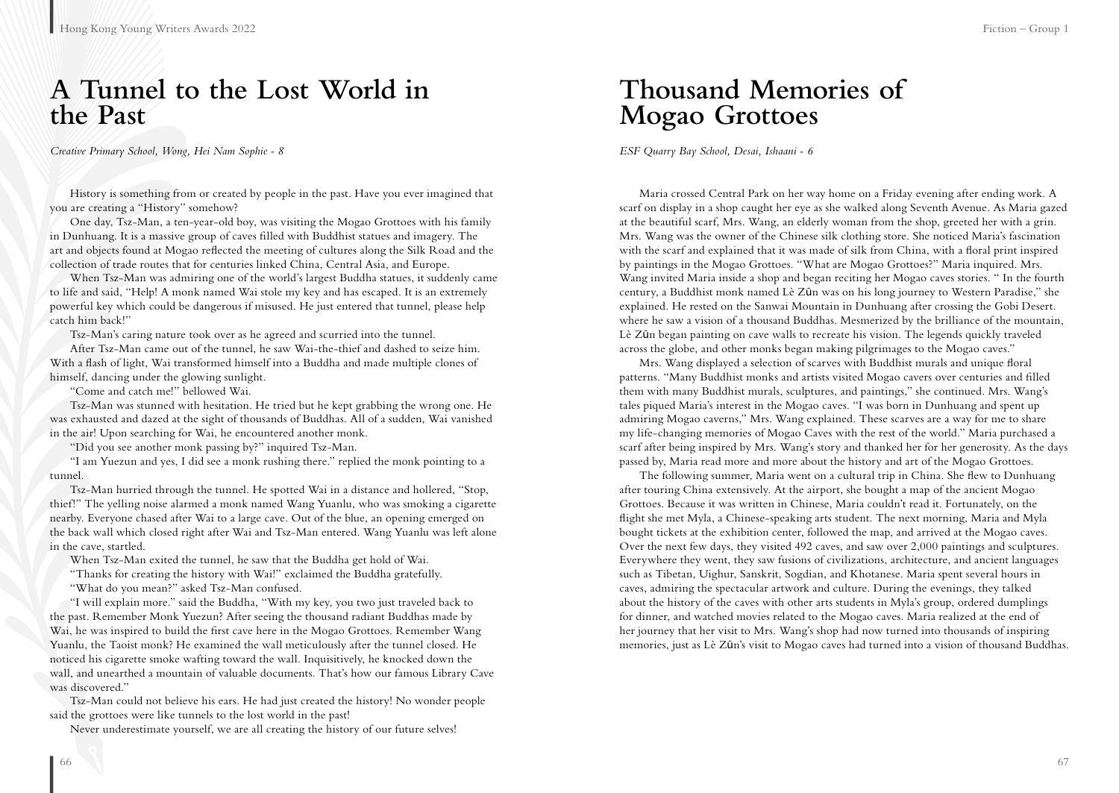### **A Tunnel to the Lost World in the Past**

*Creative Primary School, Wong, Hei Nam Sophie - 8*

History is something from or created by people in the past. Have you ever imagined that you are creating a "History" somehow?

One day, Tsz-Man, a ten-year-old boy, was visiting the Mogao Grottoes with his family in Dunhuang. It is a massive group of caves filled with Buddhist statues and imagery. The art and objects found at Mogao reflected the meeting of cultures along the Silk Road and the collection of trade routes that for centuries linked China, Central Asia, and Europe.

When Tsz-Man was admiring one of the world's largest Buddha statues, it suddenly came to life and said, "Help! A monk named Wai stole my key and has escaped. It is an extremely powerful key which could be dangerous if misused. He just entered that tunnel, please help catch him back!"

Tsz-Man's caring nature took over as he agreed and scurried into the tunnel.

After Tsz-Man came out of the tunnel, he saw Wai-the-thief and dashed to seize him. With a flash of light, Wai transformed himself into a Buddha and made multiple clones of himself, dancing under the glowing sunlight.

"Come and catch me!" bellowed Wai.

Tsz-Man was stunned with hesitation. He tried but he kept grabbing the wrong one. He was exhausted and dazed at the sight of thousands of Buddhas. All of a sudden, Wai vanished in the air! Upon searching for Wai, he encountered another monk.

"Did you see another monk passing by?" inquired Tsz-Man.

"I am Yuezun and yes, I did see a monk rushing there." replied the monk pointing to a tunnel.

Tsz-Man hurried through the tunnel. He spotted Wai in a distance and hollered, "Stop, thief!" The yelling noise alarmed a monk named Wang Yuanlu, who was smoking a cigarette nearby. Everyone chased after Wai to a large cave. Out of the blue, an opening emerged on the back wall which closed right after Wai and Tsz-Man entered. Wang Yuanlu was left alone in the cave, startled.

When Tsz-Man exited the tunnel, he saw that the Buddha get hold of Wai.

"Thanks for creating the history with Wai!" exclaimed the Buddha gratefully.

"What do you mean?" asked Tsz-Man confused.

"I will explain more." said the Buddha, "With my key, you two just traveled back to the past. Remember Monk Yuezun? After seeing the thousand radiant Buddhas made by Wai, he was inspired to build the first cave here in the Mogao Grottoes. Remember Wang Yuanlu, the Taoist monk? He examined the wall meticulously after the tunnel closed. He noticed his cigarette smoke wafting toward the wall. Inquisitively, he knocked down the wall, and unearthed a mountain of valuable documents. That's how our famous Library Cave was discovered."

Tsz-Man could not believe his ears. He had just created the history! No wonder people said the grottoes were like tunnels to the lost world in the past!

Never underestimate yourself, we are all creating the history of our future selves!

### **Thousand Memories of Mogao Grottoes**

*ESF Quarry Bay School, Desai, Ishaani - 6*

Maria crossed Central Park on her way home on a Friday evening after ending work. A scarf on display in a shop caught her eye as she walked along Seventh Avenue. As Maria gazed at the beautiful scarf, Mrs. Wang, an elderly woman from the shop, greeted her with a grin. Mrs. Wang was the owner of the Chinese silk clothing store. She noticed Maria's fascination with the scarf and explained that it was made of silk from China, with a floral print inspired by paintings in the Mogao Grottoes. "What are Mogao Grottoes?" Maria inquired. Mrs. Wang invited Maria inside a shop and began reciting her Mogao caves stories. " In the fourth century, a Buddhist monk named Lè Zūn was on his long journey to Western Paradise," she explained. He rested on the Sanwai Mountain in Dunhuang after crossing the Gobi Desert. where he saw a vision of a thousand Buddhas. Mesmerized by the brilliance of the mountain, Lè Zūn began painting on cave walls to recreate his vision. The legends quickly traveled across the globe, and other monks began making pilgrimages to the Mogao caves."

Mrs. Wang displayed a selection of scarves with Buddhist murals and unique floral patterns. "Many Buddhist monks and artists visited Mogao cavers over centuries and filled them with many Buddhist murals, sculptures, and paintings," she continued. Mrs. Wang's tales piqued Maria's interest in the Mogao caves. "I was born in Dunhuang and spent up admiring Mogao caverns," Mrs. Wang explained. These scarves are a way for me to share my life-changing memories of Mogao Caves with the rest of the world." Maria purchased a scarf after being inspired by Mrs. Wang's story and thanked her for her generosity. As the days passed by, Maria read more and more about the history and art of the Mogao Grottoes.

The following summer, Maria went on a cultural trip in China. She flew to Dunhuang after touring China extensively. At the airport, she bought a map of the ancient Mogao Grottoes. Because it was written in Chinese, Maria couldn't read it. Fortunately, on the flight she met Myla, a Chinese-speaking arts student. The next morning, Maria and Myla bought tickets at the exhibition center, followed the map, and arrived at the Mogao caves. Over the next few days, they visited 492 caves, and saw over 2,000 paintings and sculptures. Everywhere they went, they saw fusions of civilizations, architecture, and ancient languages such as Tibetan, Uighur, Sanskrit, Sogdian, and Khotanese. Maria spent several hours in caves, admiring the spectacular artwork and culture. During the evenings, they talked about the history of the caves with other arts students in Myla's group, ordered dumplings for dinner, and watched movies related to the Mogao caves. Maria realized at the end of her journey that her visit to Mrs. Wang's shop had now turned into thousands of inspiring memories, just as Lè Zūn's visit to Mogao caves had turned into a vision of thousand Buddhas.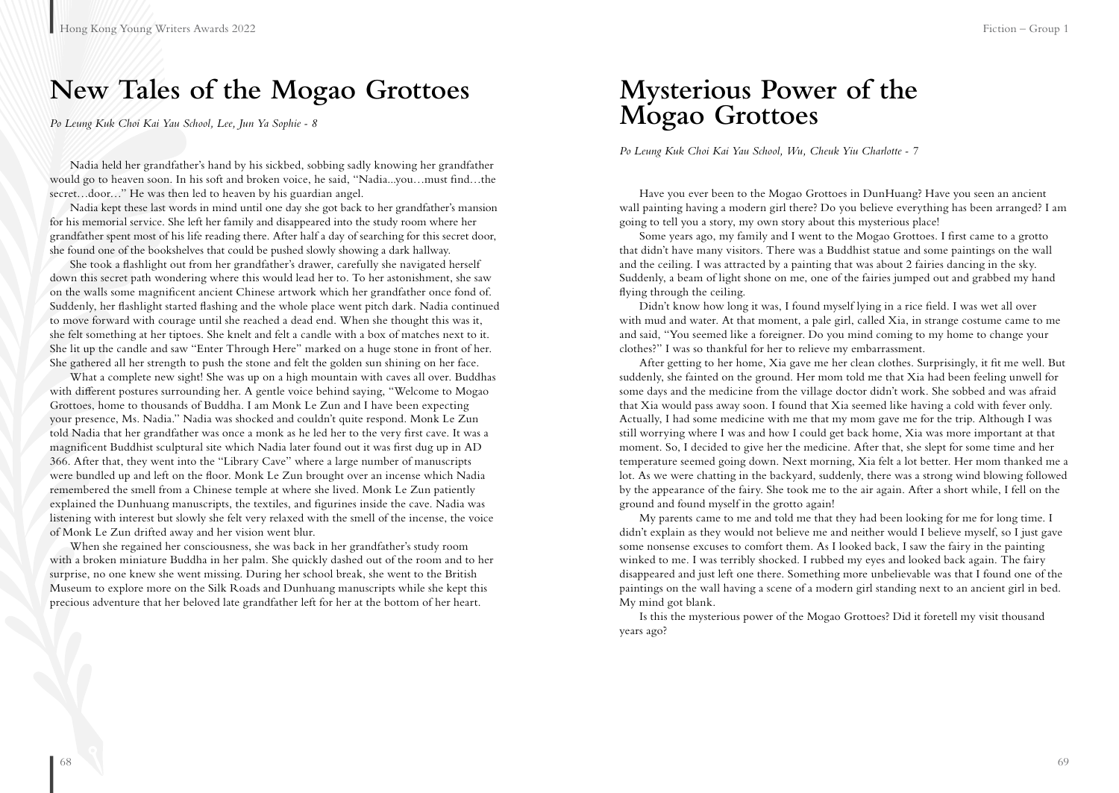### **New Tales of the Mogao Grottoes**

*Po Leung Kuk Choi Kai Yau School, Lee, Jun Ya Sophie - 8*

Nadia held her grandfather's hand by his sickbed, sobbing sadly knowing her grandfather would go to heaven soon. In his soft and broken voice, he said, "Nadia...you…must find…the secret…door…" He was then led to heaven by his guardian angel.

Nadia kept these last words in mind until one day she got back to her grandfather's mansion for his memorial service. She left her family and disappeared into the study room where her grandfather spent most of his life reading there. After half a day of searching for this secret door, she found one of the bookshelves that could be pushed slowly showing a dark hallway.

She took a flashlight out from her grandfather's drawer, carefully she navigated herself down this secret path wondering where this would lead her to. To her astonishment, she saw on the walls some magnificent ancient Chinese artwork which her grandfather once fond of. Suddenly, her flashlight started flashing and the whole place went pitch dark. Nadia continued to move forward with courage until she reached a dead end. When she thought this was it, she felt something at her tiptoes. She knelt and felt a candle with a box of matches next to it. She lit up the candle and saw "Enter Through Here" marked on a huge stone in front of her. She gathered all her strength to push the stone and felt the golden sun shining on her face.

What a complete new sight! She was up on a high mountain with caves all over. Buddhas with different postures surrounding her. A gentle voice behind saying, "Welcome to Mogao Grottoes, home to thousands of Buddha. I am Monk Le Zun and I have been expecting your presence, Ms. Nadia." Nadia was shocked and couldn't quite respond. Monk Le Zun told Nadia that her grandfather was once a monk as he led her to the very first cave. It was a magnificent Buddhist sculptural site which Nadia later found out it was first dug up in AD 366. After that, they went into the "Library Cave" where a large number of manuscripts were bundled up and left on the floor. Monk Le Zun brought over an incense which Nadia remembered the smell from a Chinese temple at where she lived. Monk Le Zun patiently explained the Dunhuang manuscripts, the textiles, and figurines inside the cave. Nadia was listening with interest but slowly she felt very relaxed with the smell of the incense, the voice of Monk Le Zun drifted away and her vision went blur.

When she regained her consciousness, she was back in her grandfather's study room with a broken miniature Buddha in her palm. She quickly dashed out of the room and to her surprise, no one knew she went missing. During her school break, she went to the British Museum to explore more on the Silk Roads and Dunhuang manuscripts while she kept this precious adventure that her beloved late grandfather left for her at the bottom of her heart.

### **Mysterious Power of the Mogao Grottoes**

*Po Leung Kuk Choi Kai Yau School, Wu, Cheuk Yiu Charlotte - 7*

Have you ever been to the Mogao Grottoes in DunHuang? Have you seen an ancient wall painting having a modern girl there? Do you believe everything has been arranged? I am going to tell you a story, my own story about this mysterious place!

Some years ago, my family and I went to the Mogao Grottoes. I first came to a grotto that didn't have many visitors. There was a Buddhist statue and some paintings on the wall and the ceiling. I was attracted by a painting that was about 2 fairies dancing in the sky. Suddenly, a beam of light shone on me, one of the fairies jumped out and grabbed my hand flying through the ceiling.

Didn't know how long it was, I found myself lying in a rice field. I was wet all over with mud and water. At that moment, a pale girl, called Xia, in strange costume came to me and said, "You seemed like a foreigner. Do you mind coming to my home to change your clothes?" I was so thankful for her to relieve my embarrassment.

After getting to her home, Xia gave me her clean clothes. Surprisingly, it fit me well. But suddenly, she fainted on the ground. Her mom told me that Xia had been feeling unwell for some days and the medicine from the village doctor didn't work. She sobbed and was afraid that Xia would pass away soon. I found that Xia seemed like having a cold with fever only. Actually, I had some medicine with me that my mom gave me for the trip. Although I was still worrying where I was and how I could get back home, Xia was more important at that moment. So, I decided to give her the medicine. After that, she slept for some time and her temperature seemed going down. Next morning, Xia felt a lot better. Her mom thanked me a lot. As we were chatting in the backyard, suddenly, there was a strong wind blowing followed by the appearance of the fairy. She took me to the air again. After a short while, I fell on the ground and found myself in the grotto again!

My parents came to me and told me that they had been looking for me for long time. I didn't explain as they would not believe me and neither would I believe myself, so I just gave some nonsense excuses to comfort them. As I looked back, I saw the fairy in the painting winked to me. I was terribly shocked. I rubbed my eyes and looked back again. The fairy disappeared and just left one there. Something more unbelievable was that I found one of the paintings on the wall having a scene of a modern girl standing next to an ancient girl in bed. My mind got blank.

Is this the mysterious power of the Mogao Grottoes? Did it foretell my visit thousand years ago?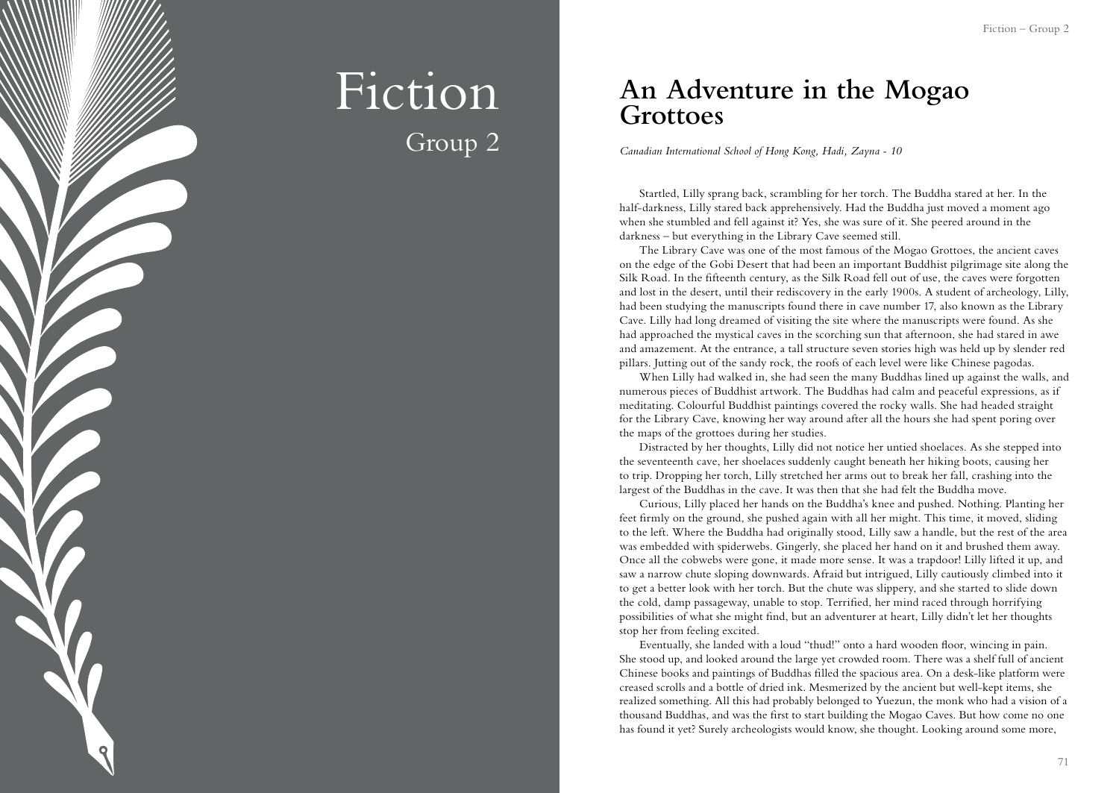

## Fiction Group 2

### **An Adventure in the Mogao Grottoes**

*Canadian International School of Hong Kong, Hadi, Zayna - 10*

Startled, Lilly sprang back, scrambling for her torch. The Buddha stared at her. In the half-darkness, Lilly stared back apprehensively. Had the Buddha just moved a moment ago when she stumbled and fell against it? Yes, she was sure of it. She peered around in the darkness – but everything in the Library Cave seemed still.

The Library Cave was one of the most famous of the Mogao Grottoes, the ancient caves on the edge of the Gobi Desert that had been an important Buddhist pilgrimage site along the Silk Road. In the fifteenth century, as the Silk Road fell out of use, the caves were forgotten and lost in the desert, until their rediscovery in the early 1900s. A student of archeology, Lilly, had been studying the manuscripts found there in cave number 17, also known as the Library Cave. Lilly had long dreamed of visiting the site where the manuscripts were found. As she had approached the mystical caves in the scorching sun that afternoon, she had stared in awe and amazement. At the entrance, a tall structure seven stories high was held up by slender red pillars. Jutting out of the sandy rock, the roofs of each level were like Chinese pagodas.

When Lilly had walked in, she had seen the many Buddhas lined up against the walls, and numerous pieces of Buddhist artwork. The Buddhas had calm and peaceful expressions, as if meditating. Colourful Buddhist paintings covered the rocky walls. She had headed straight for the Library Cave, knowing her way around after all the hours she had spent poring over the maps of the grottoes during her studies.

Distracted by her thoughts, Lilly did not notice her untied shoelaces. As she stepped into the seventeenth cave, her shoelaces suddenly caught beneath her hiking boots, causing her to trip. Dropping her torch, Lilly stretched her arms out to break her fall, crashing into the largest of the Buddhas in the cave. It was then that she had felt the Buddha move.

Curious, Lilly placed her hands on the Buddha's knee and pushed. Nothing. Planting her feet firmly on the ground, she pushed again with all her might. This time, it moved, sliding to the left. Where the Buddha had originally stood, Lilly saw a handle, but the rest of the area was embedded with spiderwebs. Gingerly, she placed her hand on it and brushed them away. Once all the cobwebs were gone, it made more sense. It was a trapdoor! Lilly lifted it up, and saw a narrow chute sloping downwards. Afraid but intrigued, Lilly cautiously climbed into it to get a better look with her torch. But the chute was slippery, and she started to slide down the cold, damp passageway, unable to stop. Terrified, her mind raced through horrifying possibilities of what she might find, but an adventurer at heart, Lilly didn't let her thoughts stop her from feeling excited.

Eventually, she landed with a loud "thud!" onto a hard wooden floor, wincing in pain. She stood up, and looked around the large yet crowded room. There was a shelf full of ancient Chinese books and paintings of Buddhas filled the spacious area. On a desk-like platform were creased scrolls and a bottle of dried ink. Mesmerized by the ancient but well-kept items, she realized something. All this had probably belonged to Yuezun, the monk who had a vision of a thousand Buddhas, and was the first to start building the Mogao Caves. But how come no one has found it yet? Surely archeologists would know, she thought. Looking around some more,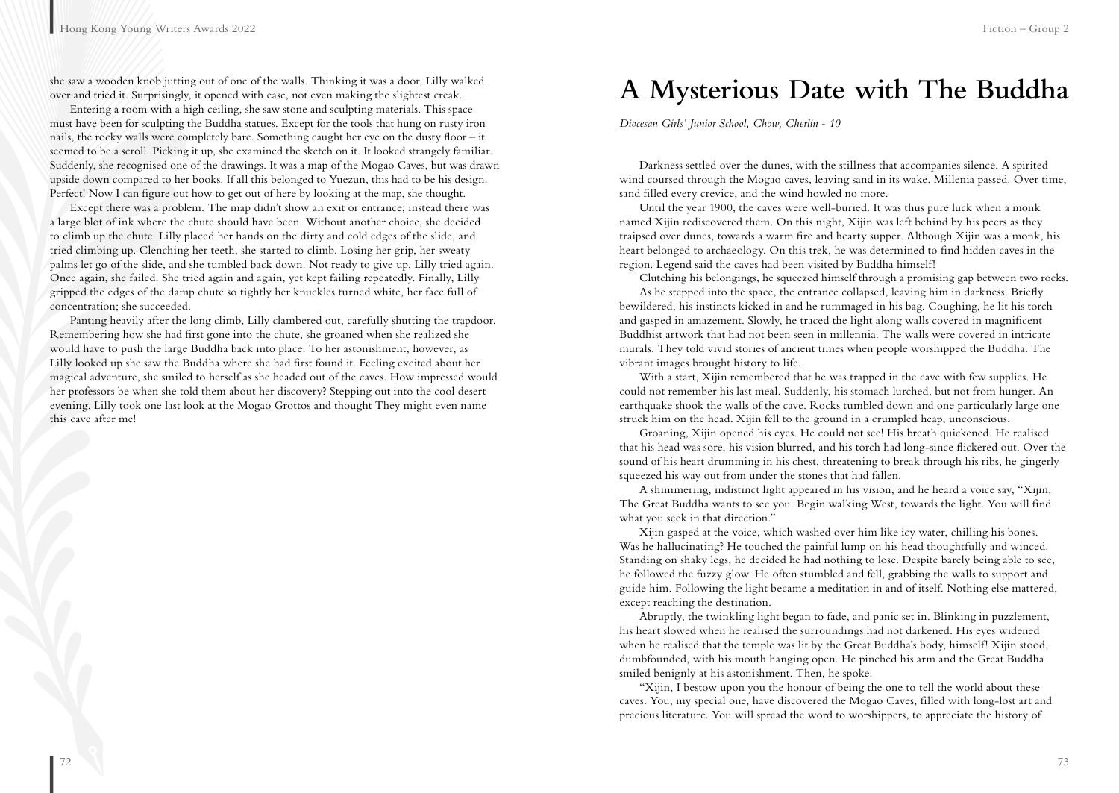she saw a wooden knob jutting out of one of the walls. Thinking it was a door, Lilly walked over and tried it. Surprisingly, it opened with ease, not even making the slightest creak.

Entering a room with a high ceiling, she saw stone and sculpting materials. This space must have been for sculpting the Buddha statues. Except for the tools that hung on rusty iron nails, the rocky walls were completely bare. Something caught her eye on the dusty floor – it seemed to be a scroll. Picking it up, she examined the sketch on it. It looked strangely familiar. Suddenly, she recognised one of the drawings. It was a map of the Mogao Caves, but was drawn upside down compared to her books. If all this belonged to Yuezun, this had to be his design. Perfect! Now I can figure out how to get out of here by looking at the map, she thought.

Except there was a problem. The map didn't show an exit or entrance; instead there was a large blot of ink where the chute should have been. Without another choice, she decided to climb up the chute. Lilly placed her hands on the dirty and cold edges of the slide, and tried climbing up. Clenching her teeth, she started to climb. Losing her grip, her sweaty palms let go of the slide, and she tumbled back down. Not ready to give up, Lilly tried again. Once again, she failed. She tried again and again, yet kept failing repeatedly. Finally, Lilly gripped the edges of the damp chute so tightly her knuckles turned white, her face full of concentration; she succeeded.

Panting heavily after the long climb, Lilly clambered out, carefully shutting the trapdoor. Remembering how she had first gone into the chute, she groaned when she realized she would have to push the large Buddha back into place. To her astonishment, however, as Lilly looked up she saw the Buddha where she had first found it. Feeling excited about her magical adventure, she smiled to herself as she headed out of the caves. How impressed would her professors be when she told them about her discovery? Stepping out into the cool desert evening, Lilly took one last look at the Mogao Grottos and thought They might even name this cave after me!

### **A Mysterious Date with The Buddha**

*Diocesan Girls' Junior School, Chow, Cherlin - 10*

Darkness settled over the dunes, with the stillness that accompanies silence. A spirited wind coursed through the Mogao caves, leaving sand in its wake. Millenia passed. Over time, sand filled every crevice, and the wind howled no more.

Until the year 1900, the caves were well-buried. It was thus pure luck when a monk named Xijin rediscovered them. On this night, Xijin was left behind by his peers as they traipsed over dunes, towards a warm fire and hearty supper. Although Xijin was a monk, his heart belonged to archaeology. On this trek, he was determined to find hidden caves in the region. Legend said the caves had been visited by Buddha himself!

Clutching his belongings, he squeezed himself through a promising gap between two rocks. As he stepped into the space, the entrance collapsed, leaving him in darkness. Briefly bewildered, his instincts kicked in and he rummaged in his bag. Coughing, he lit his torch and gasped in amazement. Slowly, he traced the light along walls covered in magnificent Buddhist artwork that had not been seen in millennia. The walls were covered in intricate murals. They told vivid stories of ancient times when people worshipped the Buddha. The vibrant images brought history to life.

With a start, Xijin remembered that he was trapped in the cave with few supplies. He could not remember his last meal. Suddenly, his stomach lurched, but not from hunger. An earthquake shook the walls of the cave. Rocks tumbled down and one particularly large one struck him on the head. Xijin fell to the ground in a crumpled heap, unconscious.

Groaning, Xijin opened his eyes. He could not see! His breath quickened. He realised that his head was sore, his vision blurred, and his torch had long-since flickered out. Over the sound of his heart drumming in his chest, threatening to break through his ribs, he gingerly squeezed his way out from under the stones that had fallen.

A shimmering, indistinct light appeared in his vision, and he heard a voice say, "Xijin, The Great Buddha wants to see you. Begin walking West, towards the light. You will find what you seek in that direction."

Xijin gasped at the voice, which washed over him like icy water, chilling his bones. Was he hallucinating? He touched the painful lump on his head thoughtfully and winced. Standing on shaky legs, he decided he had nothing to lose. Despite barely being able to see, he followed the fuzzy glow. He often stumbled and fell, grabbing the walls to support and guide him. Following the light became a meditation in and of itself. Nothing else mattered, except reaching the destination.

Abruptly, the twinkling light began to fade, and panic set in. Blinking in puzzlement, his heart slowed when he realised the surroundings had not darkened. His eyes widened when he realised that the temple was lit by the Great Buddha's body, himself! Xijin stood, dumbfounded, with his mouth hanging open. He pinched his arm and the Great Buddha smiled benignly at his astonishment. Then, he spoke.

"Xijin, I bestow upon you the honour of being the one to tell the world about these caves. You, my special one, have discovered the Mogao Caves, filled with long-lost art and precious literature. You will spread the word to worshippers, to appreciate the history of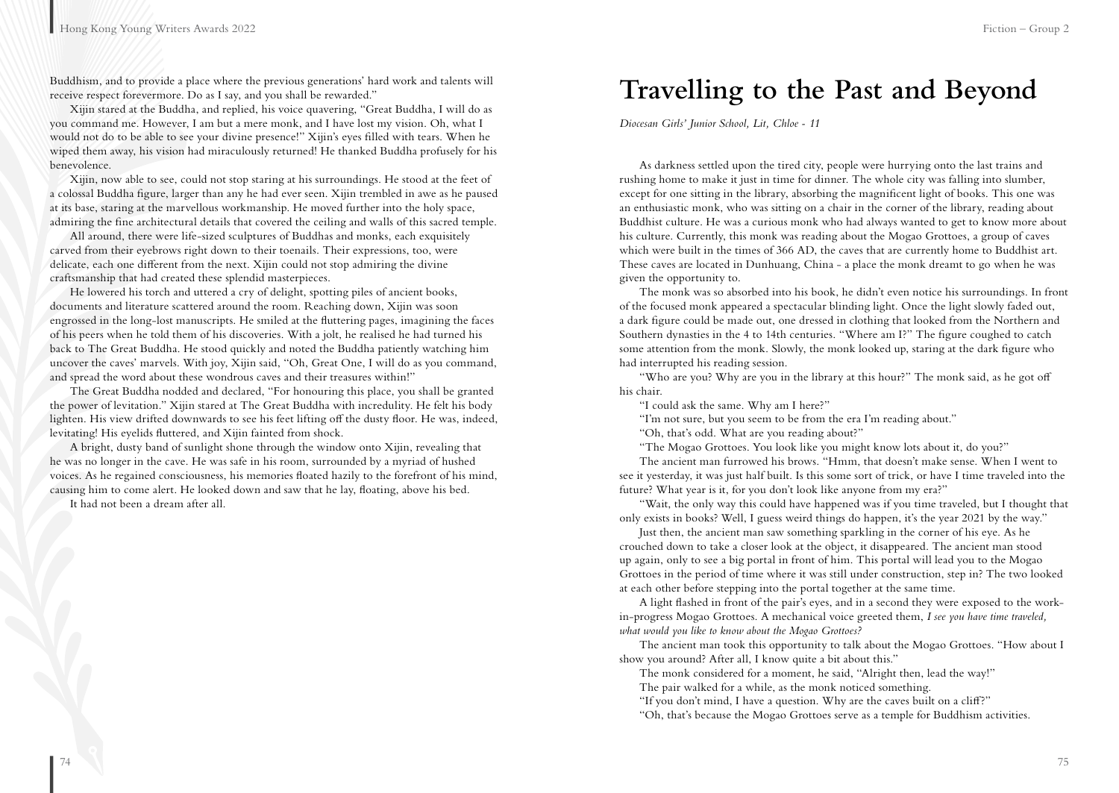Buddhism, and to provide a place where the previous generations' hard work and talents will receive respect forevermore. Do as I say, and you shall be rewarded."

Xijin stared at the Buddha, and replied, his voice quavering, "Great Buddha, I will do as you command me. However, I am but a mere monk, and I have lost my vision. Oh, what I would not do to be able to see your divine presence!" Xijin's eyes filled with tears. When he wiped them away, his vision had miraculously returned! He thanked Buddha profusely for his benevolence.

Xijin, now able to see, could not stop staring at his surroundings. He stood at the feet of a colossal Buddha figure, larger than any he had ever seen. Xijin trembled in awe as he paused at its base, staring at the marvellous workmanship. He moved further into the holy space, admiring the fine architectural details that covered the ceiling and walls of this sacred temple.

All around, there were life-sized sculptures of Buddhas and monks, each exquisitely carved from their eyebrows right down to their toenails. Their expressions, too, were delicate, each one different from the next. Xijin could not stop admiring the divine craftsmanship that had created these splendid masterpieces.

He lowered his torch and uttered a cry of delight, spotting piles of ancient books, documents and literature scattered around the room. Reaching down, Xijin was soon engrossed in the long-lost manuscripts. He smiled at the fluttering pages, imagining the faces of his peers when he told them of his discoveries. With a jolt, he realised he had turned his back to The Great Buddha. He stood quickly and noted the Buddha patiently watching him uncover the caves' marvels. With joy, Xijin said, "Oh, Great One, I will do as you command, and spread the word about these wondrous caves and their treasures within!"

The Great Buddha nodded and declared, "For honouring this place, you shall be granted the power of levitation." Xijin stared at The Great Buddha with incredulity. He felt his body lighten. His view drifted downwards to see his feet lifting off the dusty floor. He was, indeed, levitating! His eyelids fluttered, and Xijin fainted from shock.

A bright, dusty band of sunlight shone through the window onto Xijin, revealing that he was no longer in the cave. He was safe in his room, surrounded by a myriad of hushed voices. As he regained consciousness, his memories floated hazily to the forefront of his mind, causing him to come alert. He looked down and saw that he lay, floating, above his bed.

It had not been a dream after all.

### **Travelling to the Past and Beyond**

*Diocesan Girls' Junior School, Lit, Chloe - 11*

As darkness settled upon the tired city, people were hurrying onto the last trains and rushing home to make it just in time for dinner. The whole city was falling into slumber, except for one sitting in the library, absorbing the magnificent light of books. This one was an enthusiastic monk, who was sitting on a chair in the corner of the library, reading about Buddhist culture. He was a curious monk who had always wanted to get to know more about his culture. Currently, this monk was reading about the Mogao Grottoes, a group of caves which were built in the times of 366 AD, the caves that are currently home to Buddhist art. These caves are located in Dunhuang, China - a place the monk dreamt to go when he was given the opportunity to.

The monk was so absorbed into his book, he didn't even notice his surroundings. In front of the focused monk appeared a spectacular blinding light. Once the light slowly faded out, a dark figure could be made out, one dressed in clothing that looked from the Northern and Southern dynasties in the 4 to 14th centuries. "Where am I?" The figure coughed to catch some attention from the monk. Slowly, the monk looked up, staring at the dark figure who had interrupted his reading session.

"Who are you? Why are you in the library at this hour?" The monk said, as he got off his chair.

"I could ask the same. Why am I here?"

"I'm not sure, but you seem to be from the era I'm reading about."

"Oh, that's odd. What are you reading about?"

"The Mogao Grottoes. You look like you might know lots about it, do you?"

The ancient man furrowed his brows. "Hmm, that doesn't make sense. When I went to see it yesterday, it was just half built. Is this some sort of trick, or have I time traveled into the future? What year is it, for you don't look like anyone from my era?"

"Wait, the only way this could have happened was if you time traveled, but I thought that only exists in books? Well, I guess weird things do happen, it's the year 2021 by the way."

Just then, the ancient man saw something sparkling in the corner of his eye. As he crouched down to take a closer look at the object, it disappeared. The ancient man stood up again, only to see a big portal in front of him. This portal will lead you to the Mogao Grottoes in the period of time where it was still under construction, step in? The two looked at each other before stepping into the portal together at the same time.

A light flashed in front of the pair's eyes, and in a second they were exposed to the workin-progress Mogao Grottoes. A mechanical voice greeted them, *I see you have time traveled, what would you like to know about the Mogao Grottoes?*

The ancient man took this opportunity to talk about the Mogao Grottoes. "How about I show you around? After all, I know quite a bit about this."

The monk considered for a moment, he said, "Alright then, lead the way!"

The pair walked for a while, as the monk noticed something.

"If you don't mind, I have a question. Why are the caves built on a cliff?"

"Oh, that's because the Mogao Grottoes serve as a temple for Buddhism activities.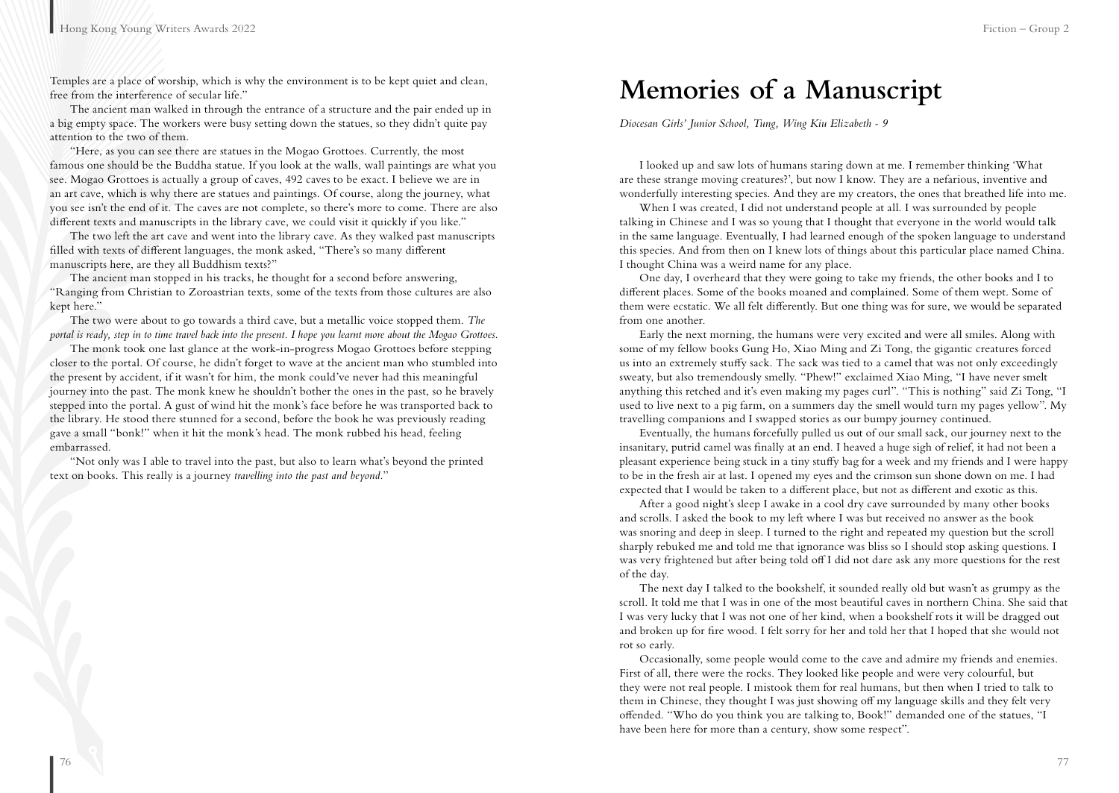Temples are a place of worship, which is why the environment is to be kept quiet and clean, free from the interference of secular life."

The ancient man walked in through the entrance of a structure and the pair ended up in a big empty space. The workers were busy setting down the statues, so they didn't quite pay attention to the two of them.

"Here, as you can see there are statues in the Mogao Grottoes. Currently, the most famous one should be the Buddha statue. If you look at the walls, wall paintings are what you see. Mogao Grottoes is actually a group of caves, 492 caves to be exact. I believe we are in an art cave, which is why there are statues and paintings. Of course, along the journey, what you see isn't the end of it. The caves are not complete, so there's more to come. There are also different texts and manuscripts in the library cave, we could visit it quickly if you like."

The two left the art cave and went into the library cave. As they walked past manuscripts filled with texts of different languages, the monk asked, "There's so many different manuscripts here, are they all Buddhism texts?"

The ancient man stopped in his tracks, he thought for a second before answering, "Ranging from Christian to Zoroastrian texts, some of the texts from those cultures are also kept here."

The two were about to go towards a third cave, but a metallic voice stopped them. *The portal is ready, step in to time travel back into the present. I hope you learnt more about the Mogao Grottoes.*

The monk took one last glance at the work-in-progress Mogao Grottoes before stepping closer to the portal. Of course, he didn't forget to wave at the ancient man who stumbled into the present by accident, if it wasn't for him, the monk could've never had this meaningful journey into the past. The monk knew he shouldn't bother the ones in the past, so he bravely stepped into the portal. A gust of wind hit the monk's face before he was transported back to the library. He stood there stunned for a second, before the book he was previously reading gave a small "bonk!" when it hit the monk's head. The monk rubbed his head, feeling embarrassed.

"Not only was I able to travel into the past, but also to learn what's beyond the printed text on books. This really is a journey *travelling into the past and beyond.*"

### **Memories of a Manuscript**

*Diocesan Girls' Junior School, Tung, Wing Kiu Elizabeth - 9*

I looked up and saw lots of humans staring down at me. I remember thinking 'What are these strange moving creatures?', but now I know. They are a nefarious, inventive and wonderfully interesting species. And they are my creators, the ones that breathed life into me.

When I was created, I did not understand people at all. I was surrounded by people talking in Chinese and I was so young that I thought that everyone in the world would talk in the same language. Eventually, I had learned enough of the spoken language to understand this species. And from then on I knew lots of things about this particular place named China. I thought China was a weird name for any place.

One day, I overheard that they were going to take my friends, the other books and I to different places. Some of the books moaned and complained. Some of them wept. Some of them were ecstatic. We all felt differently. But one thing was for sure, we would be separated from one another.

Early the next morning, the humans were very excited and were all smiles. Along with some of my fellow books Gung Ho, Xiao Ming and Zi Tong, the gigantic creatures forced us into an extremely stuffy sack. The sack was tied to a camel that was not only exceedingly sweaty, but also tremendously smelly. "Phew!" exclaimed Xiao Ming, "I have never smelt anything this retched and it's even making my pages curl". "This is nothing" said Zi Tong, "I used to live next to a pig farm, on a summers day the smell would turn my pages yellow". My travelling companions and I swapped stories as our bumpy journey continued.

Eventually, the humans forcefully pulled us out of our small sack, our journey next to the insanitary, putrid camel was finally at an end. I heaved a huge sigh of relief, it had not been a pleasant experience being stuck in a tiny stuffy bag for a week and my friends and I were happy to be in the fresh air at last. I opened my eyes and the crimson sun shone down on me. I had expected that I would be taken to a different place, but not as different and exotic as this.

After a good night's sleep I awake in a cool dry cave surrounded by many other books and scrolls. I asked the book to my left where I was but received no answer as the book was snoring and deep in sleep. I turned to the right and repeated my question but the scroll sharply rebuked me and told me that ignorance was bliss so I should stop asking questions. I was very frightened but after being told off I did not dare ask any more questions for the rest of the day.

The next day I talked to the bookshelf, it sounded really old but wasn't as grumpy as the scroll. It told me that I was in one of the most beautiful caves in northern China. She said that I was very lucky that I was not one of her kind, when a bookshelf rots it will be dragged out and broken up for fire wood. I felt sorry for her and told her that I hoped that she would not rot so early.

Occasionally, some people would come to the cave and admire my friends and enemies. First of all, there were the rocks. They looked like people and were very colourful, but they were not real people. I mistook them for real humans, but then when I tried to talk to them in Chinese, they thought I was just showing off my language skills and they felt very offended. "Who do you think you are talking to, Book!" demanded one of the statues, "I have been here for more than a century, show some respect".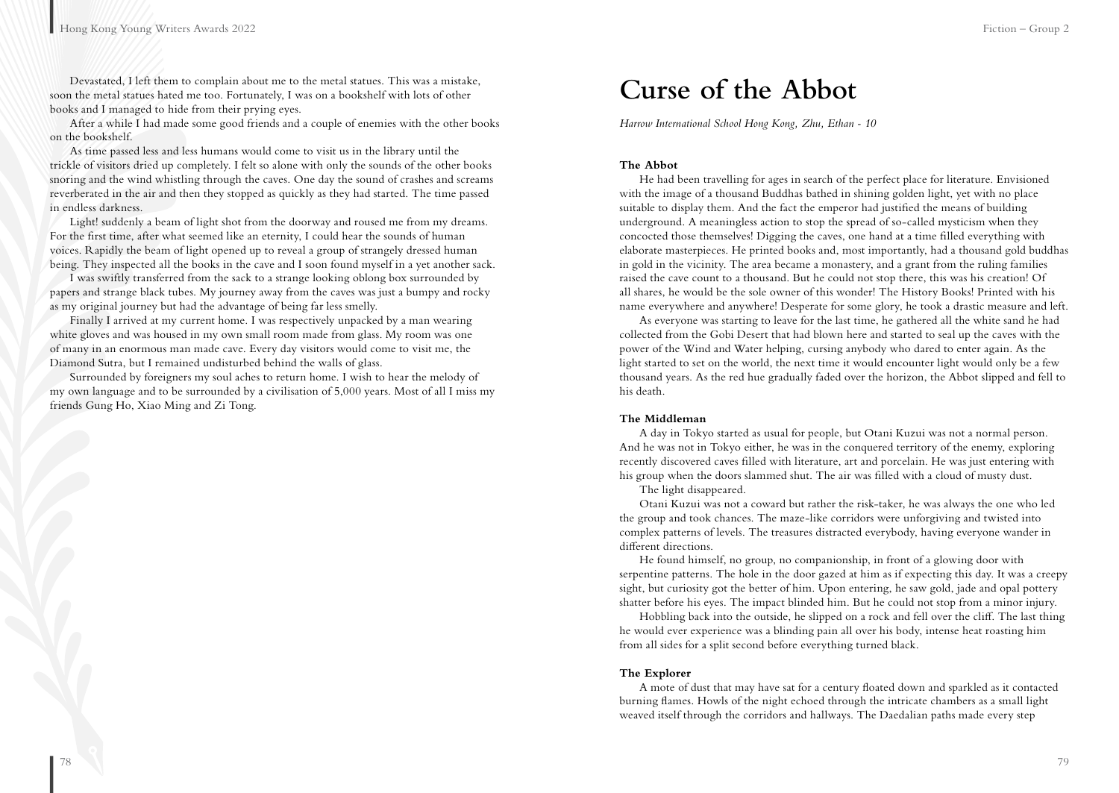Devastated, I left them to complain about me to the metal statues. This was a mistake, soon the metal statues hated me too. Fortunately, I was on a bookshelf with lots of other books and I managed to hide from their prying eyes.

After a while I had made some good friends and a couple of enemies with the other books on the bookshelf.

As time passed less and less humans would come to visit us in the library until the trickle of visitors dried up completely. I felt so alone with only the sounds of the other books snoring and the wind whistling through the caves. One day the sound of crashes and screams reverberated in the air and then they stopped as quickly as they had started. The time passed in endless darkness.

Light! suddenly a beam of light shot from the doorway and roused me from my dreams. For the first time, after what seemed like an eternity, I could hear the sounds of human voices. Rapidly the beam of light opened up to reveal a group of strangely dressed human being. They inspected all the books in the cave and I soon found myself in a yet another sack.

I was swiftly transferred from the sack to a strange looking oblong box surrounded by papers and strange black tubes. My journey away from the caves was just a bumpy and rocky as my original journey but had the advantage of being far less smelly.

Finally I arrived at my current home. I was respectively unpacked by a man wearing white gloves and was housed in my own small room made from glass. My room was one of many in an enormous man made cave. Every day visitors would come to visit me, the Diamond Sutra, but I remained undisturbed behind the walls of glass.

Surrounded by foreigners my soul aches to return home. I wish to hear the melody of my own language and to be surrounded by a civilisation of 5,000 years. Most of all I miss my friends Gung Ho, Xiao Ming and Zi Tong.

*Harrow International School Hong Kong, Zhu, Ethan - 10*

#### **The Abbot**

He had been travelling for ages in search of the perfect place for literature. Envisioned with the image of a thousand Buddhas bathed in shining golden light, yet with no place suitable to display them. And the fact the emperor had justified the means of building underground. A meaningless action to stop the spread of so-called mysticism when they concocted those themselves! Digging the caves, one hand at a time filled everything with elaborate masterpieces. He printed books and, most importantly, had a thousand gold buddhas in gold in the vicinity. The area became a monastery, and a grant from the ruling families raised the cave count to a thousand. But he could not stop there, this was his creation! Of all shares, he would be the sole owner of this wonder! The History Books! Printed with his name everywhere and anywhere! Desperate for some glory, he took a drastic measure and left.

As everyone was starting to leave for the last time, he gathered all the white sand he had collected from the Gobi Desert that had blown here and started to seal up the caves with the power of the Wind and Water helping, cursing anybody who dared to enter again. As the light started to set on the world, the next time it would encounter light would only be a few thousand years. As the red hue gradually faded over the horizon, the Abbot slipped and fell to his death.

#### **The Middleman**

A day in Tokyo started as usual for people, but Otani Kuzui was not a normal person. And he was not in Tokyo either, he was in the conquered territory of the enemy, exploring recently discovered caves filled with literature, art and porcelain. He was just entering with his group when the doors slammed shut. The air was filled with a cloud of musty dust.

The light disappeared.

Otani Kuzui was not a coward but rather the risk-taker, he was always the one who led the group and took chances. The maze-like corridors were unforgiving and twisted into complex patterns of levels. The treasures distracted everybody, having everyone wander in different directions.

He found himself, no group, no companionship, in front of a glowing door with serpentine patterns. The hole in the door gazed at him as if expecting this day. It was a creepy sight, but curiosity got the better of him. Upon entering, he saw gold, jade and opal pottery shatter before his eyes. The impact blinded him. But he could not stop from a minor injury.

Hobbling back into the outside, he slipped on a rock and fell over the cliff. The last thing he would ever experience was a blinding pain all over his body, intense heat roasting him from all sides for a split second before everything turned black.

#### **The Explorer**

A mote of dust that may have sat for a century floated down and sparkled as it contacted burning flames. Howls of the night echoed through the intricate chambers as a small light weaved itself through the corridors and hallways. The Daedalian paths made every step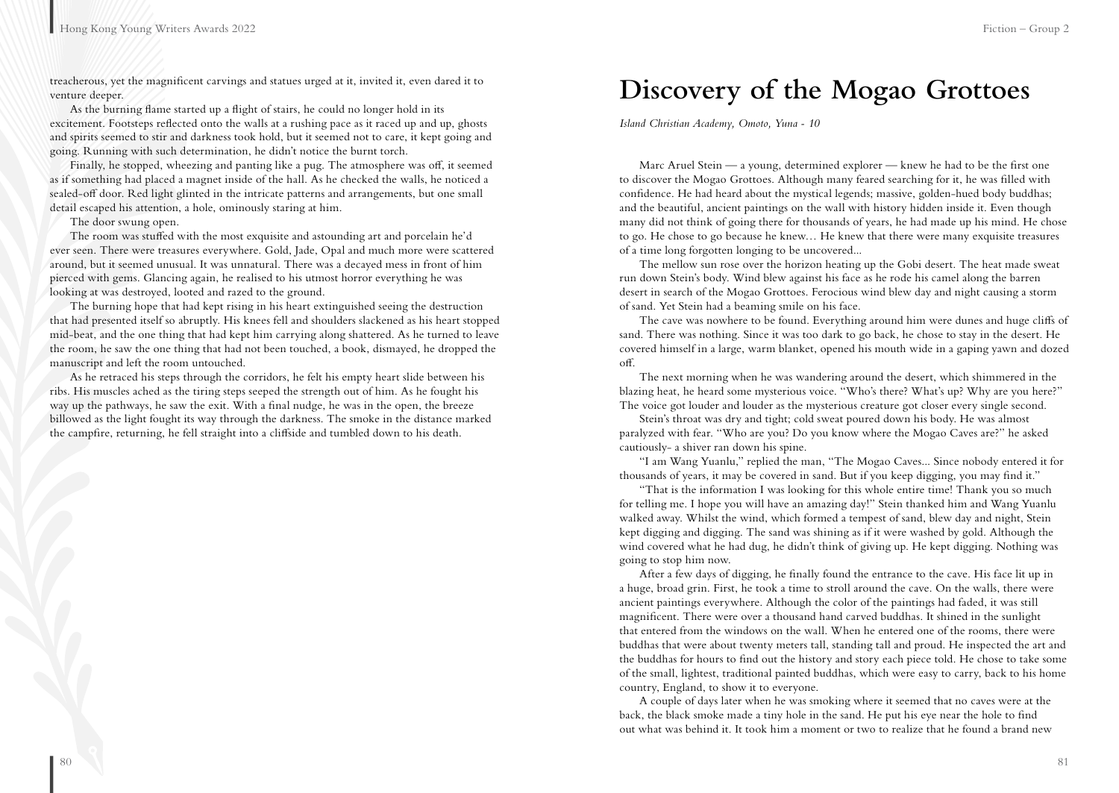treacherous, yet the magnificent carvings and statues urged at it, invited it, even dared it to venture deeper.

As the burning flame started up a flight of stairs, he could no longer hold in its excitement. Footsteps reflected onto the walls at a rushing pace as it raced up and up, ghosts and spirits seemed to stir and darkness took hold, but it seemed not to care, it kept going and going. Running with such determination, he didn't notice the burnt torch.

Finally, he stopped, wheezing and panting like a pug. The atmosphere was off, it seemed as if something had placed a magnet inside of the hall. As he checked the walls, he noticed a sealed-off door. Red light glinted in the intricate patterns and arrangements, but one small detail escaped his attention, a hole, ominously staring at him.

The door swung open.

The room was stuffed with the most exquisite and astounding art and porcelain he'd ever seen. There were treasures everywhere. Gold, Jade, Opal and much more were scattered around, but it seemed unusual. It was unnatural. There was a decayed mess in front of him pierced with gems. Glancing again, he realised to his utmost horror everything he was looking at was destroyed, looted and razed to the ground.

The burning hope that had kept rising in his heart extinguished seeing the destruction that had presented itself so abruptly. His knees fell and shoulders slackened as his heart stopped mid-beat, and the one thing that had kept him carrying along shattered. As he turned to leave the room, he saw the one thing that had not been touched, a book, dismayed, he dropped the manuscript and left the room untouched.

As he retraced his steps through the corridors, he felt his empty heart slide between his ribs. His muscles ached as the tiring steps seeped the strength out of him. As he fought his way up the pathways, he saw the exit. With a final nudge, he was in the open, the breeze billowed as the light fought its way through the darkness. The smoke in the distance marked the campfire, returning, he fell straight into a cliffside and tumbled down to his death.

### **Discovery of the Mogao Grottoes**

*Island Christian Academy, Omoto, Yuna - 10*

Marc Aruel Stein — a young, determined explorer — knew he had to be the first one to discover the Mogao Grottoes. Although many feared searching for it, he was filled with confidence. He had heard about the mystical legends; massive, golden-hued body buddhas; and the beautiful, ancient paintings on the wall with history hidden inside it. Even though many did not think of going there for thousands of years, he had made up his mind. He chose to go. He chose to go because he knew… He knew that there were many exquisite treasures of a time long forgotten longing to be uncovered...

The mellow sun rose over the horizon heating up the Gobi desert. The heat made sweat run down Stein's body. Wind blew against his face as he rode his camel along the barren desert in search of the Mogao Grottoes. Ferocious wind blew day and night causing a storm of sand. Yet Stein had a beaming smile on his face.

The cave was nowhere to be found. Everything around him were dunes and huge cliffs of sand. There was nothing. Since it was too dark to go back, he chose to stay in the desert. He covered himself in a large, warm blanket, opened his mouth wide in a gaping yawn and dozed off.

The next morning when he was wandering around the desert, which shimmered in the blazing heat, he heard some mysterious voice. "Who's there? What's up? Why are you here?" The voice got louder and louder as the mysterious creature got closer every single second.

Stein's throat was dry and tight; cold sweat poured down his body. He was almost paralyzed with fear. "Who are you? Do you know where the Mogao Caves are?" he asked cautiously- a shiver ran down his spine.

"I am Wang Yuanlu," replied the man, "The Mogao Caves... Since nobody entered it for thousands of years, it may be covered in sand. But if you keep digging, you may find it."

"That is the information I was looking for this whole entire time! Thank you so much for telling me. I hope you will have an amazing day!" Stein thanked him and Wang Yuanlu walked away. Whilst the wind, which formed a tempest of sand, blew day and night, Stein kept digging and digging. The sand was shining as if it were washed by gold. Although the wind covered what he had dug, he didn't think of giving up. He kept digging. Nothing was going to stop him now.

After a few days of digging, he finally found the entrance to the cave. His face lit up in a huge, broad grin. First, he took a time to stroll around the cave. On the walls, there were ancient paintings everywhere. Although the color of the paintings had faded, it was still magnificent. There were over a thousand hand carved buddhas. It shined in the sunlight that entered from the windows on the wall. When he entered one of the rooms, there were buddhas that were about twenty meters tall, standing tall and proud. He inspected the art and the buddhas for hours to find out the history and story each piece told. He chose to take some of the small, lightest, traditional painted buddhas, which were easy to carry, back to his home country, England, to show it to everyone.

A couple of days later when he was smoking where it seemed that no caves were at the back, the black smoke made a tiny hole in the sand. He put his eye near the hole to find out what was behind it. It took him a moment or two to realize that he found a brand new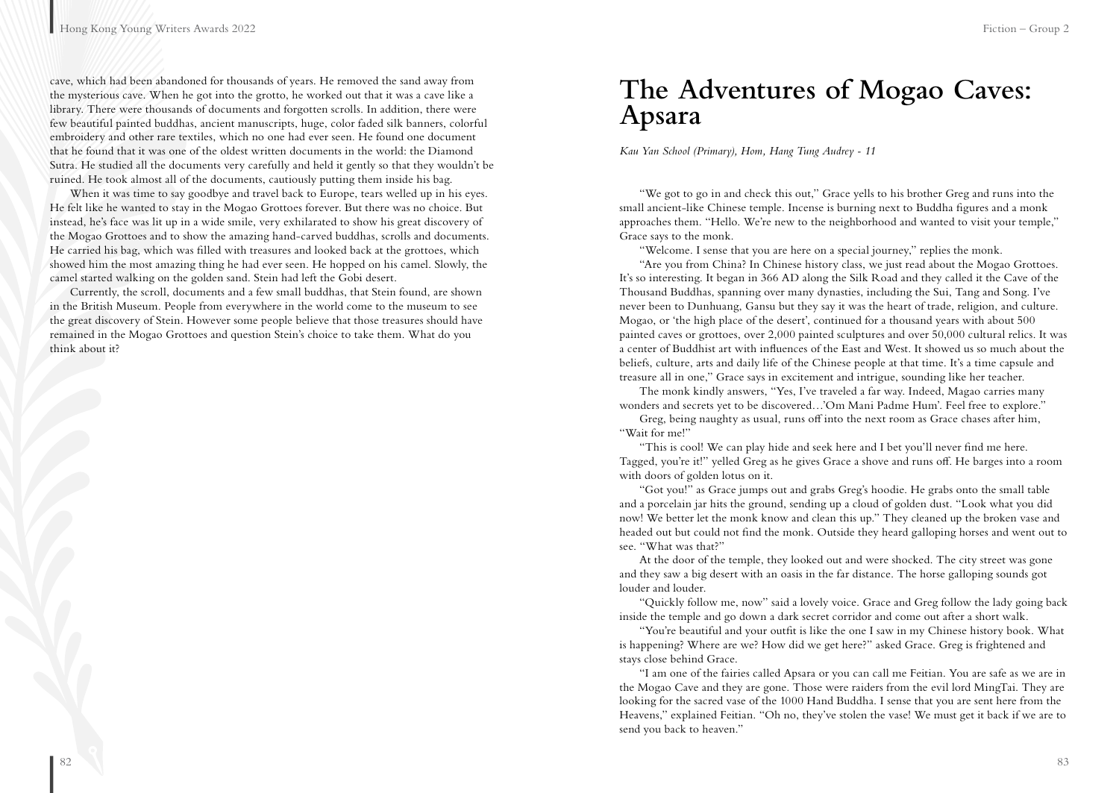cave, which had been abandoned for thousands of years. He removed the sand away from the mysterious cave. When he got into the grotto, he worked out that it was a cave like a library. There were thousands of documents and forgotten scrolls. In addition, there were few beautiful painted buddhas, ancient manuscripts, huge, color faded silk banners, colorful embroidery and other rare textiles, which no one had ever seen. He found one document that he found that it was one of the oldest written documents in the world: the Diamond Sutra. He studied all the documents very carefully and held it gently so that they wouldn't be ruined. He took almost all of the documents, cautiously putting them inside his bag.

When it was time to say goodbye and travel back to Europe, tears welled up in his eyes. He felt like he wanted to stay in the Mogao Grottoes forever. But there was no choice. But instead, he's face was lit up in a wide smile, very exhilarated to show his great discovery of the Mogao Grottoes and to show the amazing hand-carved buddhas, scrolls and documents. He carried his bag, which was filled with treasures and looked back at the grottoes, which showed him the most amazing thing he had ever seen. He hopped on his camel. Slowly, the camel started walking on the golden sand. Stein had left the Gobi desert.

Currently, the scroll, documents and a few small buddhas, that Stein found, are shown in the British Museum. People from everywhere in the world come to the museum to see the great discovery of Stein. However some people believe that those treasures should have remained in the Mogao Grottoes and question Stein's choice to take them. What do you think about it?

### **The Adventures of Mogao Caves: Apsara**

*Kau Yan School (Primary), Hom, Hang Tung Audrey - 11*

"We got to go in and check this out," Grace yells to his brother Greg and runs into the small ancient-like Chinese temple. Incense is burning next to Buddha figures and a monk approaches them. "Hello. We're new to the neighborhood and wanted to visit your temple," Grace says to the monk.

"Welcome. I sense that you are here on a special journey," replies the monk.

"Are you from China? In Chinese history class, we just read about the Mogao Grottoes. It's so interesting. It began in 366 AD along the Silk Road and they called it the Cave of the Thousand Buddhas, spanning over many dynasties, including the Sui, Tang and Song. I've never been to Dunhuang, Gansu but they say it was the heart of trade, religion, and culture. Mogao, or 'the high place of the desert', continued for a thousand years with about 500 painted caves or grottoes, over 2,000 painted sculptures and over 50,000 cultural relics. It was a center of Buddhist art with influences of the East and West. It showed us so much about the beliefs, culture, arts and daily life of the Chinese people at that time. It's a time capsule and treasure all in one," Grace says in excitement and intrigue, sounding like her teacher.

The monk kindly answers, "Yes, I've traveled a far way. Indeed, Magao carries many wonders and secrets yet to be discovered…'Om Mani Padme Hum'. Feel free to explore."

Greg, being naughty as usual, runs off into the next room as Grace chases after him, "Wait for me!"

"This is cool! We can play hide and seek here and I bet you'll never find me here. Tagged, you're it!" yelled Greg as he gives Grace a shove and runs off. He barges into a room with doors of golden lotus on it.

"Got you!" as Grace jumps out and grabs Greg's hoodie. He grabs onto the small table and a porcelain jar hits the ground, sending up a cloud of golden dust. "Look what you did now! We better let the monk know and clean this up." They cleaned up the broken vase and headed out but could not find the monk. Outside they heard galloping horses and went out to see. "What was that?"

At the door of the temple, they looked out and were shocked. The city street was gone and they saw a big desert with an oasis in the far distance. The horse galloping sounds got louder and louder.

"Quickly follow me, now" said a lovely voice. Grace and Greg follow the lady going back inside the temple and go down a dark secret corridor and come out after a short walk.

"You're beautiful and your outfit is like the one I saw in my Chinese history book. What is happening? Where are we? How did we get here?" asked Grace. Greg is frightened and stays close behind Grace.

"I am one of the fairies called Apsara or you can call me Feitian. You are safe as we are in the Mogao Cave and they are gone. Those were raiders from the evil lord MingTai. They are looking for the sacred vase of the 1000 Hand Buddha. I sense that you are sent here from the Heavens," explained Feitian. "Oh no, they've stolen the vase! We must get it back if we are to send you back to heaven."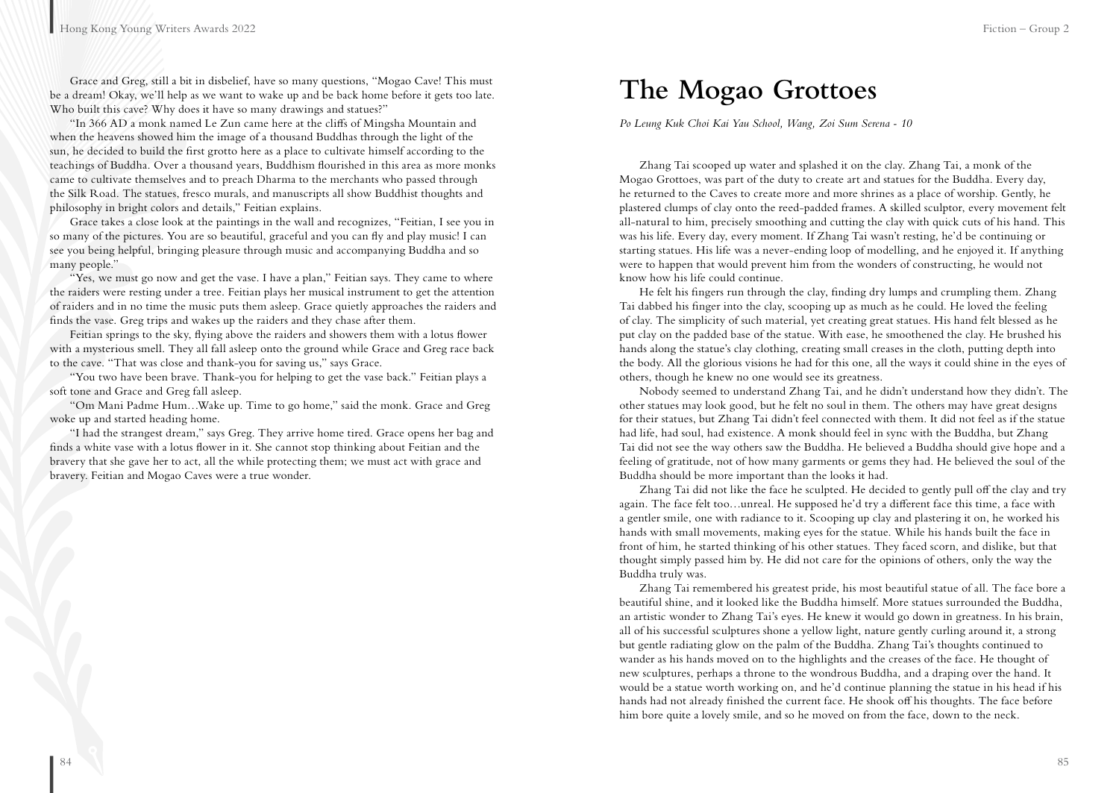Grace and Greg, still a bit in disbelief, have so many questions, "Mogao Cave! This must be a dream! Okay, we'll help as we want to wake up and be back home before it gets too late. Who built this cave? Why does it have so many drawings and statues?"

"In 366 AD a monk named Le Zun came here at the cliffs of Mingsha Mountain and when the heavens showed him the image of a thousand Buddhas through the light of the sun, he decided to build the first grotto here as a place to cultivate himself according to the teachings of Buddha. Over a thousand years, Buddhism flourished in this area as more monks came to cultivate themselves and to preach Dharma to the merchants who passed through the Silk Road. The statues, fresco murals, and manuscripts all show Buddhist thoughts and philosophy in bright colors and details," Feitian explains.

Grace takes a close look at the paintings in the wall and recognizes, "Feitian, I see you in so many of the pictures. You are so beautiful, graceful and you can fly and play music! I can see you being helpful, bringing pleasure through music and accompanying Buddha and so many people."

"Yes, we must go now and get the vase. I have a plan," Feitian says. They came to where the raiders were resting under a tree. Feitian plays her musical instrument to get the attention of raiders and in no time the music puts them asleep. Grace quietly approaches the raiders and finds the vase. Greg trips and wakes up the raiders and they chase after them.

Feitian springs to the sky, flying above the raiders and showers them with a lotus flower with a mysterious smell. They all fall asleep onto the ground while Grace and Greg race back to the cave. "That was close and thank-you for saving us," says Grace.

"You two have been brave. Thank-you for helping to get the vase back." Feitian plays a soft tone and Grace and Greg fall asleep.

"Om Mani Padme Hum…Wake up. Time to go home," said the monk. Grace and Greg woke up and started heading home.

"I had the strangest dream," says Greg. They arrive home tired. Grace opens her bag and finds a white vase with a lotus flower in it. She cannot stop thinking about Feitian and the bravery that she gave her to act, all the while protecting them; we must act with grace and bravery. Feitian and Mogao Caves were a true wonder.

*Po Leung Kuk Choi Kai Yau School, Wang, Zoi Sum Serena - 10*

Zhang Tai scooped up water and splashed it on the clay. Zhang Tai, a monk of the Mogao Grottoes, was part of the duty to create art and statues for the Buddha. Every day, he returned to the Caves to create more and more shrines as a place of worship. Gently, he plastered clumps of clay onto the reed-padded frames. A skilled sculptor, every movement felt all-natural to him, precisely smoothing and cutting the clay with quick cuts of his hand. This was his life. Every day, every moment. If Zhang Tai wasn't resting, he'd be continuing or starting statues. His life was a never-ending loop of modelling, and he enjoyed it. If anything were to happen that would prevent him from the wonders of constructing, he would not know how his life could continue.

He felt his fingers run through the clay, finding dry lumps and crumpling them. Zhang Tai dabbed his finger into the clay, scooping up as much as he could. He loved the feeling of clay. The simplicity of such material, yet creating great statues. His hand felt blessed as he put clay on the padded base of the statue. With ease, he smoothened the clay. He brushed his hands along the statue's clay clothing, creating small creases in the cloth, putting depth into the body. All the glorious visions he had for this one, all the ways it could shine in the eyes of others, though he knew no one would see its greatness.

Nobody seemed to understand Zhang Tai, and he didn't understand how they didn't. The other statues may look good, but he felt no soul in them. The others may have great designs for their statues, but Zhang Tai didn't feel connected with them. It did not feel as if the statue had life, had soul, had existence. A monk should feel in sync with the Buddha, but Zhang Tai did not see the way others saw the Buddha. He believed a Buddha should give hope and a feeling of gratitude, not of how many garments or gems they had. He believed the soul of the Buddha should be more important than the looks it had.

Zhang Tai did not like the face he sculpted. He decided to gently pull off the clay and try again. The face felt too…unreal. He supposed he'd try a different face this time, a face with a gentler smile, one with radiance to it. Scooping up clay and plastering it on, he worked his hands with small movements, making eyes for the statue. While his hands built the face in front of him, he started thinking of his other statues. They faced scorn, and dislike, but that thought simply passed him by. He did not care for the opinions of others, only the way the Buddha truly was.

Zhang Tai remembered his greatest pride, his most beautiful statue of all. The face bore a beautiful shine, and it looked like the Buddha himself. More statues surrounded the Buddha, an artistic wonder to Zhang Tai's eyes. He knew it would go down in greatness. In his brain, all of his successful sculptures shone a yellow light, nature gently curling around it, a strong but gentle radiating glow on the palm of the Buddha. Zhang Tai's thoughts continued to wander as his hands moved on to the highlights and the creases of the face. He thought of new sculptures, perhaps a throne to the wondrous Buddha, and a draping over the hand. It would be a statue worth working on, and he'd continue planning the statue in his head if his hands had not already finished the current face. He shook off his thoughts. The face before him bore quite a lovely smile, and so he moved on from the face, down to the neck.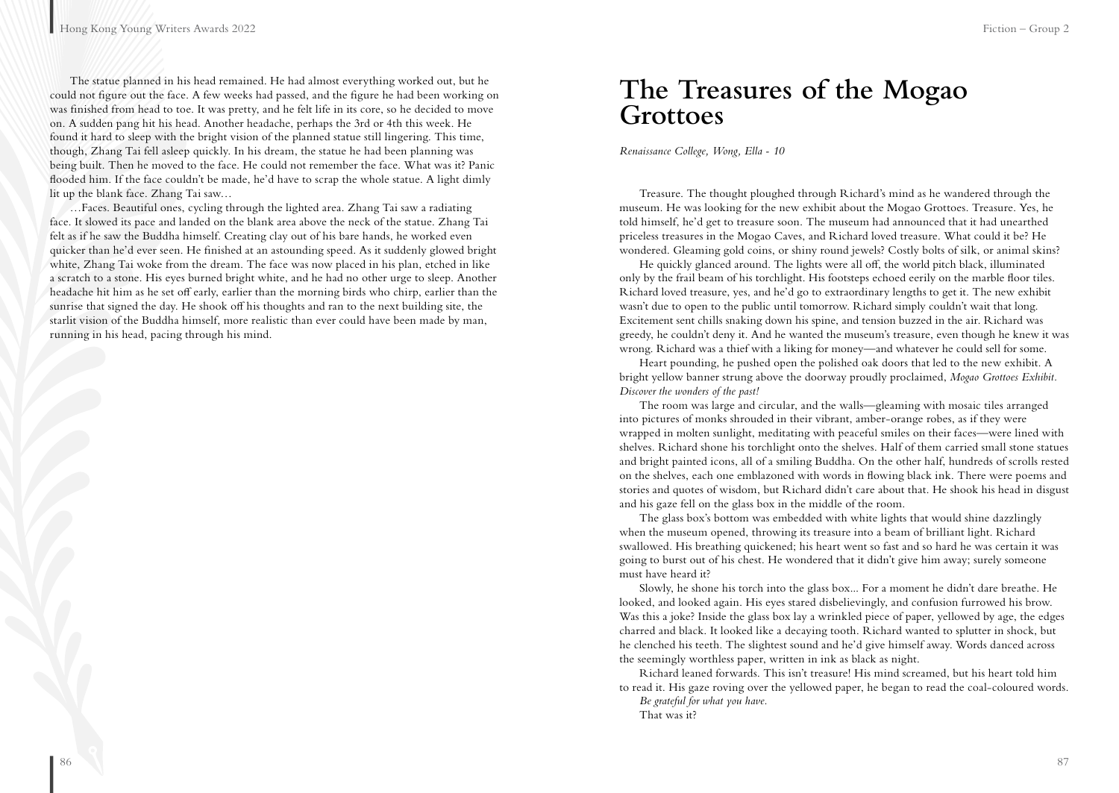The statue planned in his head remained. He had almost everything worked out, but he could not figure out the face. A few weeks had passed, and the figure he had been working on was finished from head to toe. It was pretty, and he felt life in its core, so he decided to move on. A sudden pang hit his head. Another headache, perhaps the 3rd or 4th this week. He found it hard to sleep with the bright vision of the planned statue still lingering. This time, though, Zhang Tai fell asleep quickly. In his dream, the statue he had been planning was being built. Then he moved to the face. He could not remember the face. What was it? Panic flooded him. If the face couldn't be made, he'd have to scrap the whole statue. A light dimly lit up the blank face. Zhang Tai saw…

…Faces. Beautiful ones, cycling through the lighted area. Zhang Tai saw a radiating face. It slowed its pace and landed on the blank area above the neck of the statue. Zhang Tai felt as if he saw the Buddha himself. Creating clay out of his bare hands, he worked even quicker than he'd ever seen. He finished at an astounding speed. As it suddenly glowed bright white, Zhang Tai woke from the dream. The face was now placed in his plan, etched in like a scratch to a stone. His eyes burned bright white, and he had no other urge to sleep. Another headache hit him as he set off early, earlier than the morning birds who chirp, earlier than the sunrise that signed the day. He shook off his thoughts and ran to the next building site, the starlit vision of the Buddha himself, more realistic than ever could have been made by man, running in his head, pacing through his mind.

### **The Treasures of the Mogao Grottoes**

*Renaissance College, Wong, Ella - 10*

Treasure. The thought ploughed through Richard's mind as he wandered through the museum. He was looking for the new exhibit about the Mogao Grottoes. Treasure. Yes, he told himself, he'd get to treasure soon. The museum had announced that it had unearthed priceless treasures in the Mogao Caves, and Richard loved treasure. What could it be? He wondered. Gleaming gold coins, or shiny round jewels? Costly bolts of silk, or animal skins?

He quickly glanced around. The lights were all off, the world pitch black, illuminated only by the frail beam of his torchlight. His footsteps echoed eerily on the marble floor tiles. Richard loved treasure, yes, and he'd go to extraordinary lengths to get it. The new exhibit wasn't due to open to the public until tomorrow. Richard simply couldn't wait that long. Excitement sent chills snaking down his spine, and tension buzzed in the air. Richard was greedy, he couldn't deny it. And he wanted the museum's treasure, even though he knew it was wrong. Richard was a thief with a liking for money—and whatever he could sell for some.

Heart pounding, he pushed open the polished oak doors that led to the new exhibit. A bright yellow banner strung above the doorway proudly proclaimed, *Mogao Grottoes Exhibit. Discover the wonders of the past!*

The room was large and circular, and the walls—gleaming with mosaic tiles arranged into pictures of monks shrouded in their vibrant, amber-orange robes, as if they were wrapped in molten sunlight, meditating with peaceful smiles on their faces—were lined with shelves. Richard shone his torchlight onto the shelves. Half of them carried small stone statues and bright painted icons, all of a smiling Buddha. On the other half, hundreds of scrolls rested on the shelves, each one emblazoned with words in flowing black ink. There were poems and stories and quotes of wisdom, but Richard didn't care about that. He shook his head in disgust and his gaze fell on the glass box in the middle of the room.

The glass box's bottom was embedded with white lights that would shine dazzlingly when the museum opened, throwing its treasure into a beam of brilliant light. Richard swallowed. His breathing quickened; his heart went so fast and so hard he was certain it was going to burst out of his chest. He wondered that it didn't give him away; surely someone must have heard it?

Slowly, he shone his torch into the glass box... For a moment he didn't dare breathe. He looked, and looked again. His eyes stared disbelievingly, and confusion furrowed his brow. Was this a joke? Inside the glass box lay a wrinkled piece of paper, yellowed by age, the edges charred and black. It looked like a decaying tooth. Richard wanted to splutter in shock, but he clenched his teeth. The slightest sound and he'd give himself away. Words danced across the seemingly worthless paper, written in ink as black as night.

Richard leaned forwards. This isn't treasure! His mind screamed, but his heart told him to read it. His gaze roving over the yellowed paper, he began to read the coal-coloured words. *Be grateful for what you have.*

That was it?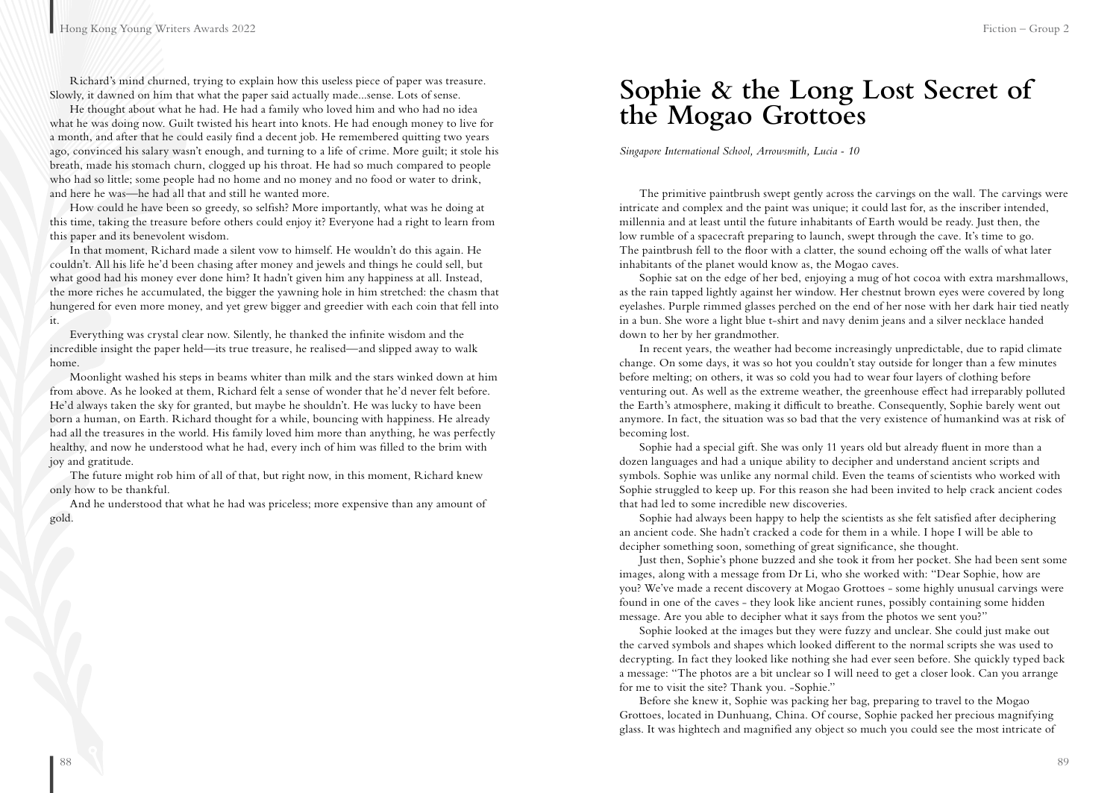Richard's mind churned, trying to explain how this useless piece of paper was treasure. Slowly, it dawned on him that what the paper said actually made...sense. Lots of sense.

He thought about what he had. He had a family who loved him and who had no idea what he was doing now. Guilt twisted his heart into knots. He had enough money to live for a month, and after that he could easily find a decent job. He remembered quitting two years ago, convinced his salary wasn't enough, and turning to a life of crime. More guilt; it stole his breath, made his stomach churn, clogged up his throat. He had so much compared to people who had so little; some people had no home and no money and no food or water to drink, and here he was—he had all that and still he wanted more.

How could he have been so greedy, so selfish? More importantly, what was he doing at this time, taking the treasure before others could enjoy it? Everyone had a right to learn from this paper and its benevolent wisdom.

In that moment, Richard made a silent vow to himself. He wouldn't do this again. He couldn't. All his life he'd been chasing after money and jewels and things he could sell, but what good had his money ever done him? It hadn't given him any happiness at all. Instead, the more riches he accumulated, the bigger the yawning hole in him stretched: the chasm that hungered for even more money, and yet grew bigger and greedier with each coin that fell into it.

Everything was crystal clear now. Silently, he thanked the infinite wisdom and the incredible insight the paper held—its true treasure, he realised—and slipped away to walk home.

Moonlight washed his steps in beams whiter than milk and the stars winked down at him from above. As he looked at them, Richard felt a sense of wonder that he'd never felt before. He'd always taken the sky for granted, but maybe he shouldn't. He was lucky to have been born a human, on Earth. Richard thought for a while, bouncing with happiness. He already had all the treasures in the world. His family loved him more than anything, he was perfectly healthy, and now he understood what he had, every inch of him was filled to the brim with joy and gratitude.

The future might rob him of all of that, but right now, in this moment, Richard knew only how to be thankful.

And he understood that what he had was priceless; more expensive than any amount of gold.

### **Sophie & the Long Lost Secret of the Mogao Grottoes**

*Singapore International School, Arrowsmith, Lucia - 10*

The primitive paintbrush swept gently across the carvings on the wall. The carvings were intricate and complex and the paint was unique; it could last for, as the inscriber intended, millennia and at least until the future inhabitants of Earth would be ready. Just then, the low rumble of a spacecraft preparing to launch, swept through the cave. It's time to go. The paintbrush fell to the floor with a clatter, the sound echoing off the walls of what later inhabitants of the planet would know as, the Mogao caves.

Sophie sat on the edge of her bed, enjoying a mug of hot cocoa with extra marshmallows, as the rain tapped lightly against her window. Her chestnut brown eyes were covered by long eyelashes. Purple rimmed glasses perched on the end of her nose with her dark hair tied neatly in a bun. She wore a light blue t-shirt and navy denim jeans and a silver necklace handed down to her by her grandmother.

In recent years, the weather had become increasingly unpredictable, due to rapid climate change. On some days, it was so hot you couldn't stay outside for longer than a few minutes before melting; on others, it was so cold you had to wear four layers of clothing before venturing out. As well as the extreme weather, the greenhouse effect had irreparably polluted the Earth's atmosphere, making it difficult to breathe. Consequently, Sophie barely went out anymore. In fact, the situation was so bad that the very existence of humankind was at risk of becoming lost.

Sophie had a special gift. She was only 11 years old but already fluent in more than a dozen languages and had a unique ability to decipher and understand ancient scripts and symbols. Sophie was unlike any normal child. Even the teams of scientists who worked with Sophie struggled to keep up. For this reason she had been invited to help crack ancient codes that had led to some incredible new discoveries.

Sophie had always been happy to help the scientists as she felt satisfied after deciphering an ancient code. She hadn't cracked a code for them in a while. I hope I will be able to decipher something soon, something of great significance, she thought.

Just then, Sophie's phone buzzed and she took it from her pocket. She had been sent some images, along with a message from Dr Li, who she worked with: "Dear Sophie, how are you? We've made a recent discovery at Mogao Grottoes - some highly unusual carvings were found in one of the caves - they look like ancient runes, possibly containing some hidden message. Are you able to decipher what it says from the photos we sent you?"

Sophie looked at the images but they were fuzzy and unclear. She could just make out the carved symbols and shapes which looked different to the normal scripts she was used to decrypting. In fact they looked like nothing she had ever seen before. She quickly typed back a message: "The photos are a bit unclear so I will need to get a closer look. Can you arrange for me to visit the site? Thank you. -Sophie."

Before she knew it, Sophie was packing her bag, preparing to travel to the Mogao Grottoes, located in Dunhuang, China. Of course, Sophie packed her precious magnifying glass. It was hightech and magnified any object so much you could see the most intricate of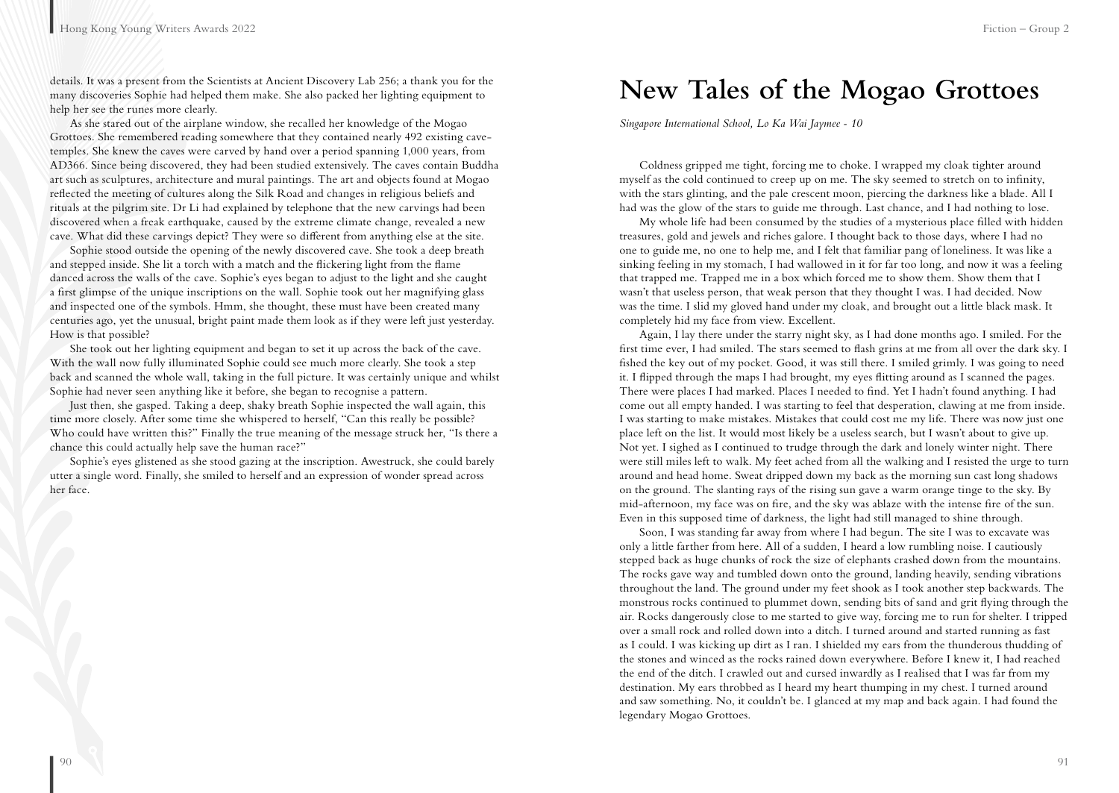details. It was a present from the Scientists at Ancient Discovery Lab 256; a thank you for the many discoveries Sophie had helped them make. She also packed her lighting equipment to help her see the runes more clearly.

As she stared out of the airplane window, she recalled her knowledge of the Mogao Grottoes. She remembered reading somewhere that they contained nearly 492 existing cavetemples. She knew the caves were carved by hand over a period spanning 1,000 years, from AD366. Since being discovered, they had been studied extensively. The caves contain Buddha art such as sculptures, architecture and mural paintings. The art and objects found at Mogao reflected the meeting of cultures along the Silk Road and changes in religious beliefs and rituals at the pilgrim site. Dr Li had explained by telephone that the new carvings had been discovered when a freak earthquake, caused by the extreme climate change, revealed a new cave. What did these carvings depict? They were so different from anything else at the site.

Sophie stood outside the opening of the newly discovered cave. She took a deep breath and stepped inside. She lit a torch with a match and the flickering light from the flame danced across the walls of the cave. Sophie's eyes began to adjust to the light and she caught a first glimpse of the unique inscriptions on the wall. Sophie took out her magnifying glass and inspected one of the symbols. Hmm, she thought, these must have been created many centuries ago, yet the unusual, bright paint made them look as if they were left just yesterday. How is that possible?

She took out her lighting equipment and began to set it up across the back of the cave. With the wall now fully illuminated Sophie could see much more clearly. She took a step back and scanned the whole wall, taking in the full picture. It was certainly unique and whilst Sophie had never seen anything like it before, she began to recognise a pattern.

Just then, she gasped. Taking a deep, shaky breath Sophie inspected the wall again, this time more closely. After some time she whispered to herself, "Can this really be possible? Who could have written this?" Finally the true meaning of the message struck her, "Is there a chance this could actually help save the human race?"

Sophie's eyes glistened as she stood gazing at the inscription. Awestruck, she could barely utter a single word. Finally, she smiled to herself and an expression of wonder spread across her face.

### **New Tales of the Mogao Grottoes**

*Singapore International School, Lo Ka Wai Jaymee - 10*

Coldness gripped me tight, forcing me to choke. I wrapped my cloak tighter around myself as the cold continued to creep up on me. The sky seemed to stretch on to infinity, with the stars glinting, and the pale crescent moon, piercing the darkness like a blade. All I had was the glow of the stars to guide me through. Last chance, and I had nothing to lose.

My whole life had been consumed by the studies of a mysterious place filled with hidden treasures, gold and jewels and riches galore. I thought back to those days, where I had no one to guide me, no one to help me, and I felt that familiar pang of loneliness. It was like a sinking feeling in my stomach, I had wallowed in it for far too long, and now it was a feeling that trapped me. Trapped me in a box which forced me to show them. Show them that I wasn't that useless person, that weak person that they thought I was. I had decided. Now was the time. I slid my gloved hand under my cloak, and brought out a little black mask. It completely hid my face from view. Excellent.

Again, I lay there under the starry night sky, as I had done months ago. I smiled. For the first time ever, I had smiled. The stars seemed to flash grins at me from all over the dark sky. I fished the key out of my pocket. Good, it was still there. I smiled grimly. I was going to need it. I flipped through the maps I had brought, my eyes flitting around as I scanned the pages. There were places I had marked. Places I needed to find. Yet I hadn't found anything. I had come out all empty handed. I was starting to feel that desperation, clawing at me from inside. I was starting to make mistakes. Mistakes that could cost me my life. There was now just one place left on the list. It would most likely be a useless search, but I wasn't about to give up. Not yet. I sighed as I continued to trudge through the dark and lonely winter night. There were still miles left to walk. My feet ached from all the walking and I resisted the urge to turn around and head home. Sweat dripped down my back as the morning sun cast long shadows on the ground. The slanting rays of the rising sun gave a warm orange tinge to the sky. By mid-afternoon, my face was on fire, and the sky was ablaze with the intense fire of the sun. Even in this supposed time of darkness, the light had still managed to shine through.

Soon, I was standing far away from where I had begun. The site I was to excavate was only a little farther from here. All of a sudden, I heard a low rumbling noise. I cautiously stepped back as huge chunks of rock the size of elephants crashed down from the mountains. The rocks gave way and tumbled down onto the ground, landing heavily, sending vibrations throughout the land. The ground under my feet shook as I took another step backwards. The monstrous rocks continued to plummet down, sending bits of sand and grit flying through the air. Rocks dangerously close to me started to give way, forcing me to run for shelter. I tripped over a small rock and rolled down into a ditch. I turned around and started running as fast as I could. I was kicking up dirt as I ran. I shielded my ears from the thunderous thudding of the stones and winced as the rocks rained down everywhere. Before I knew it, I had reached the end of the ditch. I crawled out and cursed inwardly as I realised that I was far from my destination. My ears throbbed as I heard my heart thumping in my chest. I turned around and saw something. No, it couldn't be. I glanced at my map and back again. I had found the legendary Mogao Grottoes.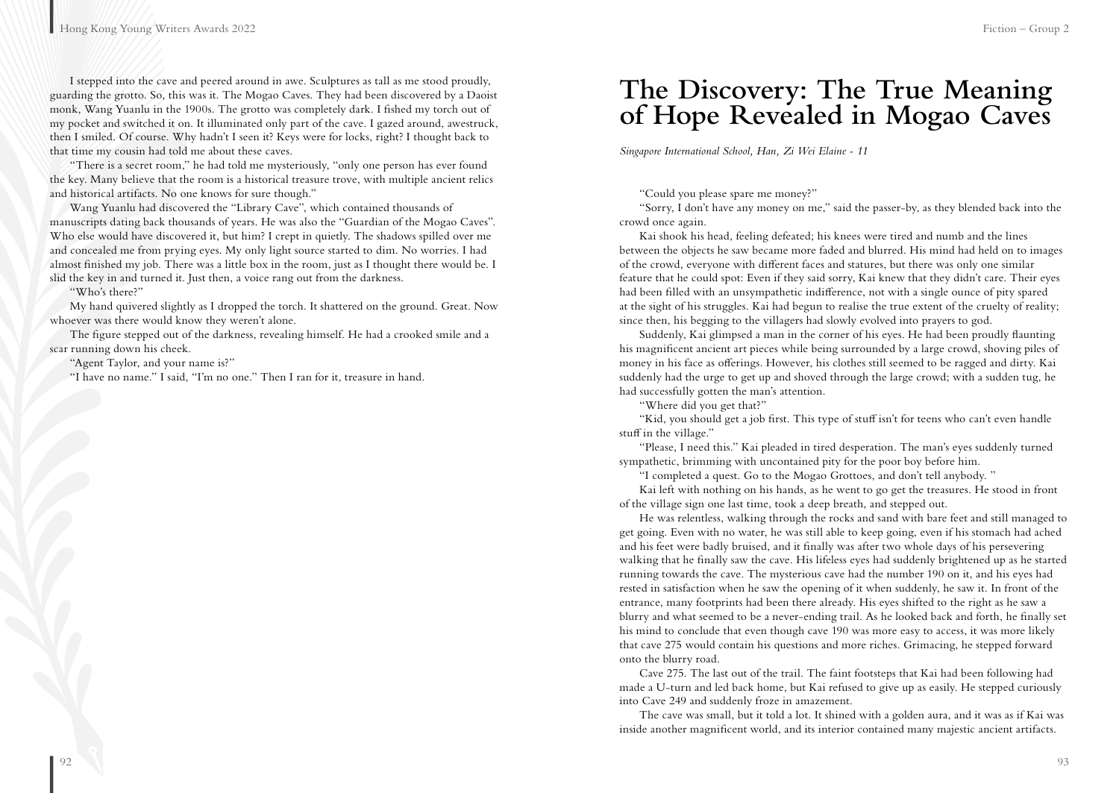I stepped into the cave and peered around in awe. Sculptures as tall as me stood proudly, guarding the grotto. So, this was it. The Mogao Caves. They had been discovered by a Daoist monk, Wang Yuanlu in the 1900s. The grotto was completely dark. I fished my torch out of my pocket and switched it on. It illuminated only part of the cave. I gazed around, awestruck, then I smiled. Of course. Why hadn't I seen it? Keys were for locks, right? I thought back to that time my cousin had told me about these caves.

"There is a secret room," he had told me mysteriously, "only one person has ever found the key. Many believe that the room is a historical treasure trove, with multiple ancient relics and historical artifacts. No one knows for sure though."

Wang Yuanlu had discovered the "Library Cave", which contained thousands of manuscripts dating back thousands of years. He was also the "Guardian of the Mogao Caves". Who else would have discovered it, but him? I crept in quietly. The shadows spilled over me and concealed me from prying eyes. My only light source started to dim. No worries. I had almost finished my job. There was a little box in the room, just as I thought there would be. I slid the key in and turned it. Just then, a voice rang out from the darkness.

"Who's there?"

My hand quivered slightly as I dropped the torch. It shattered on the ground. Great. Now whoever was there would know they weren't alone.

The figure stepped out of the darkness, revealing himself. He had a crooked smile and a scar running down his cheek.

"Agent Taylor, and your name is?"

"I have no name." I said, "I'm no one." Then I ran for it, treasure in hand.

### **The Discovery: The True Meaning of Hope Revealed in Mogao Caves**

*Singapore International School, Han, Zi Wei Elaine - 11*

"Could you please spare me money?"

"Sorry, I don't have any money on me," said the passer-by, as they blended back into the crowd once again.

Kai shook his head, feeling defeated; his knees were tired and numb and the lines between the objects he saw became more faded and blurred. His mind had held on to images of the crowd, everyone with different faces and statures, but there was only one similar feature that he could spot: Even if they said sorry, Kai knew that they didn't care. Their eyes had been filled with an unsympathetic indifference, not with a single ounce of pity spared at the sight of his struggles. Kai had begun to realise the true extent of the cruelty of reality; since then, his begging to the villagers had slowly evolved into prayers to god.

Suddenly, Kai glimpsed a man in the corner of his eyes. He had been proudly flaunting his magnificent ancient art pieces while being surrounded by a large crowd, shoving piles of money in his face as offerings. However, his clothes still seemed to be ragged and dirty. Kai suddenly had the urge to get up and shoved through the large crowd; with a sudden tug, he had successfully gotten the man's attention.

"Where did you get that?"

"Kid, you should get a job first. This type of stuff isn't for teens who can't even handle stuff in the village."

"Please, I need this." Kai pleaded in tired desperation. The man's eyes suddenly turned sympathetic, brimming with uncontained pity for the poor boy before him.

"I completed a quest. Go to the Mogao Grottoes, and don't tell anybody. "

Kai left with nothing on his hands, as he went to go get the treasures. He stood in front of the village sign one last time, took a deep breath, and stepped out.

He was relentless, walking through the rocks and sand with bare feet and still managed to get going. Even with no water, he was still able to keep going, even if his stomach had ached and his feet were badly bruised, and it finally was after two whole days of his persevering walking that he finally saw the cave. His lifeless eyes had suddenly brightened up as he started running towards the cave. The mysterious cave had the number 190 on it, and his eyes had rested in satisfaction when he saw the opening of it when suddenly, he saw it. In front of the entrance, many footprints had been there already. His eyes shifted to the right as he saw a blurry and what seemed to be a never-ending trail. As he looked back and forth, he finally set his mind to conclude that even though cave 190 was more easy to access, it was more likely that cave 275 would contain his questions and more riches. Grimacing, he stepped forward onto the blurry road.

Cave 275. The last out of the trail. The faint footsteps that Kai had been following had made a U-turn and led back home, but Kai refused to give up as easily. He stepped curiously into Cave 249 and suddenly froze in amazement.

The cave was small, but it told a lot. It shined with a golden aura, and it was as if Kai was inside another magnificent world, and its interior contained many majestic ancient artifacts.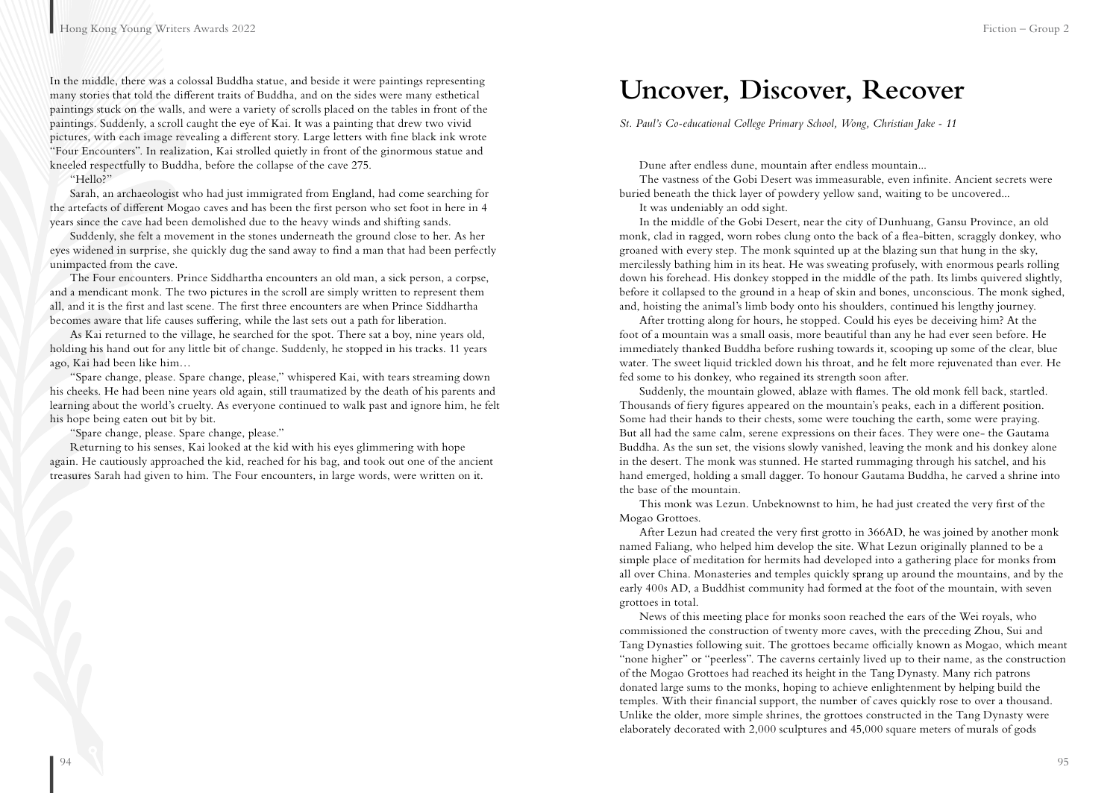In the middle, there was a colossal Buddha statue, and beside it were paintings representing many stories that told the different traits of Buddha, and on the sides were many esthetical paintings stuck on the walls, and were a variety of scrolls placed on the tables in front of the paintings. Suddenly, a scroll caught the eye of Kai. It was a painting that drew two vivid pictures, with each image revealing a different story. Large letters with fine black ink wrote "Four Encounters". In realization, Kai strolled quietly in front of the ginormous statue and kneeled respectfully to Buddha, before the collapse of the cave 275.

"Hello?"

Sarah, an archaeologist who had just immigrated from England, had come searching for the artefacts of different Mogao caves and has been the first person who set foot in here in 4 years since the cave had been demolished due to the heavy winds and shifting sands.

Suddenly, she felt a movement in the stones underneath the ground close to her. As her eyes widened in surprise, she quickly dug the sand away to find a man that had been perfectly unimpacted from the cave.

The Four encounters. Prince Siddhartha encounters an old man, a sick person, a corpse, and a mendicant monk. The two pictures in the scroll are simply written to represent them all, and it is the first and last scene. The first three encounters are when Prince Siddhartha becomes aware that life causes suffering, while the last sets out a path for liberation.

As Kai returned to the village, he searched for the spot. There sat a boy, nine years old, holding his hand out for any little bit of change. Suddenly, he stopped in his tracks. 11 years ago, Kai had been like him…

"Spare change, please. Spare change, please," whispered Kai, with tears streaming down his cheeks. He had been nine years old again, still traumatized by the death of his parents and learning about the world's cruelty. As everyone continued to walk past and ignore him, he felt his hope being eaten out bit by bit.

"Spare change, please. Spare change, please."

Returning to his senses, Kai looked at the kid with his eyes glimmering with hope again. He cautiously approached the kid, reached for his bag, and took out one of the ancient treasures Sarah had given to him. The Four encounters, in large words, were written on it.

### **Uncover, Discover, Recover**

*St. Paul's Co-educational College Primary School, Wong, Christian Jake - 11*

Dune after endless dune, mountain after endless mountain...

The vastness of the Gobi Desert was immeasurable, even infinite. Ancient secrets were buried beneath the thick layer of powdery yellow sand, waiting to be uncovered...

It was undeniably an odd sight.

In the middle of the Gobi Desert, near the city of Dunhuang, Gansu Province, an old monk, clad in ragged, worn robes clung onto the back of a flea-bitten, scraggly donkey, who groaned with every step. The monk squinted up at the blazing sun that hung in the sky, mercilessly bathing him in its heat. He was sweating profusely, with enormous pearls rolling down his forehead. His donkey stopped in the middle of the path. Its limbs quivered slightly, before it collapsed to the ground in a heap of skin and bones, unconscious. The monk sighed, and, hoisting the animal's limb body onto his shoulders, continued his lengthy journey.

After trotting along for hours, he stopped. Could his eyes be deceiving him? At the foot of a mountain was a small oasis, more beautiful than any he had ever seen before. He immediately thanked Buddha before rushing towards it, scooping up some of the clear, blue water. The sweet liquid trickled down his throat, and he felt more rejuvenated than ever. He fed some to his donkey, who regained its strength soon after.

Suddenly, the mountain glowed, ablaze with flames. The old monk fell back, startled. Thousands of fiery figures appeared on the mountain's peaks, each in a different position. Some had their hands to their chests, some were touching the earth, some were praying. But all had the same calm, serene expressions on their faces. They were one- the Gautama Buddha. As the sun set, the visions slowly vanished, leaving the monk and his donkey alone in the desert. The monk was stunned. He started rummaging through his satchel, and his hand emerged, holding a small dagger. To honour Gautama Buddha, he carved a shrine into the base of the mountain.

This monk was Lezun. Unbeknownst to him, he had just created the very first of the Mogao Grottoes.

After Lezun had created the very first grotto in 366AD, he was joined by another monk named Faliang, who helped him develop the site. What Lezun originally planned to be a simple place of meditation for hermits had developed into a gathering place for monks from all over China. Monasteries and temples quickly sprang up around the mountains, and by the early 400s AD, a Buddhist community had formed at the foot of the mountain, with seven grottoes in total.

News of this meeting place for monks soon reached the ears of the Wei royals, who commissioned the construction of twenty more caves, with the preceding Zhou, Sui and Tang Dynasties following suit. The grottoes became officially known as Mogao, which meant "none higher" or "peerless". The caverns certainly lived up to their name, as the construction of the Mogao Grottoes had reached its height in the Tang Dynasty. Many rich patrons donated large sums to the monks, hoping to achieve enlightenment by helping build the temples. With their financial support, the number of caves quickly rose to over a thousand. Unlike the older, more simple shrines, the grottoes constructed in the Tang Dynasty were elaborately decorated with 2,000 sculptures and 45,000 square meters of murals of gods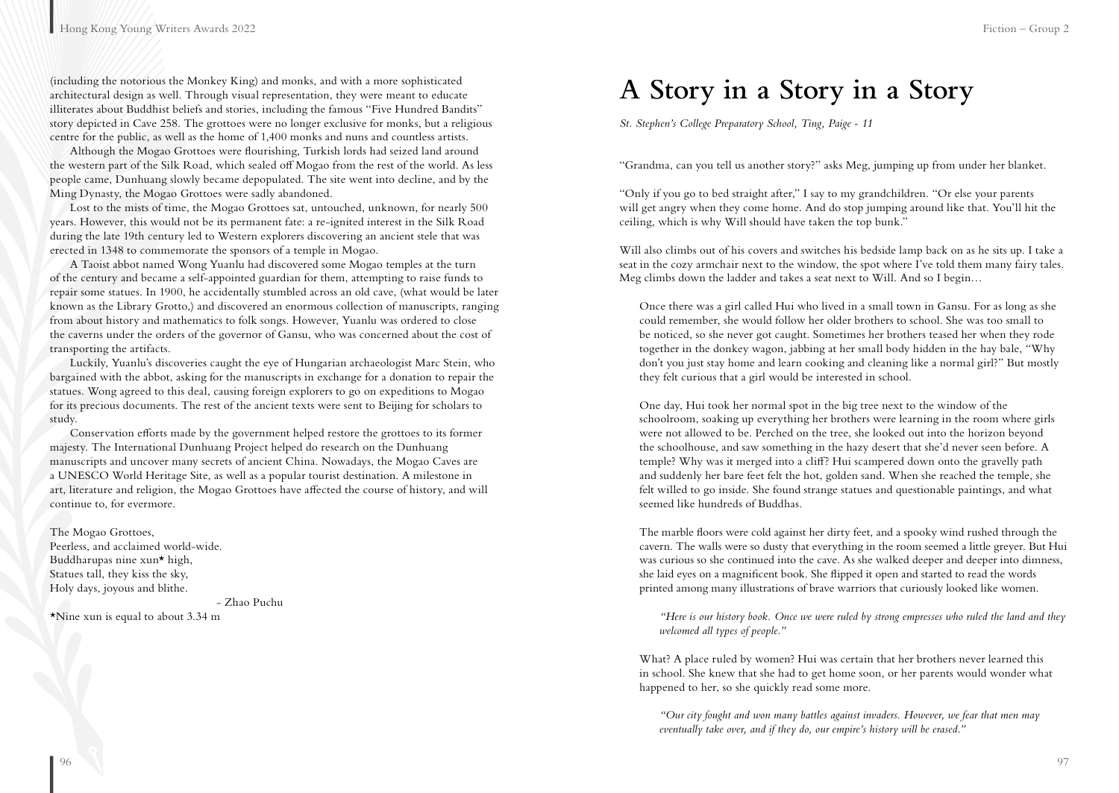(including the notorious the Monkey King) and monks, and with a more sophisticated architectural design as well. Through visual representation, they were meant to educate illiterates about Buddhist beliefs and stories, including the famous "Five Hundred Bandits" story depicted in Cave 258. The grottoes were no longer exclusive for monks, but a religious centre for the public, as well as the home of 1,400 monks and nuns and countless artists.

Although the Mogao Grottoes were flourishing, Turkish lords had seized land around the western part of the Silk Road, which sealed off Mogao from the rest of the world. As less people came, Dunhuang slowly became depopulated. The site went into decline, and by the Ming Dynasty, the Mogao Grottoes were sadly abandoned.

Lost to the mists of time, the Mogao Grottoes sat, untouched, unknown, for nearly 500 years. However, this would not be its permanent fate: a re-ignited interest in the Silk Road during the late 19th century led to Western explorers discovering an ancient stele that was erected in 1348 to commemorate the sponsors of a temple in Mogao.

A Taoist abbot named Wong Yuanlu had discovered some Mogao temples at the turn of the century and became a self-appointed guardian for them, attempting to raise funds to repair some statues. In 1900, he accidentally stumbled across an old cave, (what would be later known as the Library Grotto,) and discovered an enormous collection of manuscripts, ranging from about history and mathematics to folk songs. However, Yuanlu was ordered to close the caverns under the orders of the governor of Gansu, who was concerned about the cost of transporting the artifacts.

Luckily, Yuanlu's discoveries caught the eye of Hungarian archaeologist Marc Stein, who bargained with the abbot, asking for the manuscripts in exchange for a donation to repair the statues. Wong agreed to this deal, causing foreign explorers to go on expeditions to Mogao for its precious documents. The rest of the ancient texts were sent to Beijing for scholars to study.

Conservation efforts made by the government helped restore the grottoes to its former majesty. The International Dunhuang Project helped do research on the Dunhuang manuscripts and uncover many secrets of ancient China. Nowadays, the Mogao Caves are a UNESCO World Heritage Site, as well as a popular tourist destination. A milestone in art, literature and religion, the Mogao Grottoes have affected the course of history, and will continue to, for evermore.

The Mogao Grottoes, Peerless, and acclaimed world-wide. Buddharupas nine xun\* high, Statues tall, they kiss the sky, Holy days, joyous and blithe.

- Zhao Puchu

\*Nine xun is equal to about 3.34 m

### **A Story in a Story in a Story**

*St. Stephen's College Preparatory School, Ting, Paige - 11*

"Grandma, can you tell us another story?" asks Meg, jumping up from under her blanket.

"Only if you go to bed straight after," I say to my grandchildren. "Or else your parents will get angry when they come home. And do stop jumping around like that. You'll hit the ceiling, which is why Will should have taken the top bunk."

Will also climbs out of his covers and switches his bedside lamp back on as he sits up. I take a seat in the cozy armchair next to the window, the spot where I've told them many fairy tales. Meg climbs down the ladder and takes a seat next to Will. And so I begin…

Once there was a girl called Hui who lived in a small town in Gansu. For as long as she could remember, she would follow her older brothers to school. She was too small to be noticed, so she never got caught. Sometimes her brothers teased her when they rode together in the donkey wagon, jabbing at her small body hidden in the hay bale, "Why don't you just stay home and learn cooking and cleaning like a normal girl?" But mostly they felt curious that a girl would be interested in school.

One day, Hui took her normal spot in the big tree next to the window of the schoolroom, soaking up everything her brothers were learning in the room where girls were not allowed to be. Perched on the tree, she looked out into the horizon beyond the schoolhouse, and saw something in the hazy desert that she'd never seen before. A temple? Why was it merged into a cliff? Hui scampered down onto the gravelly path and suddenly her bare feet felt the hot, golden sand. When she reached the temple, she felt willed to go inside. She found strange statues and questionable paintings, and what seemed like hundreds of Buddhas.

The marble floors were cold against her dirty feet, and a spooky wind rushed through the cavern. The walls were so dusty that everything in the room seemed a little greyer. But Hui was curious so she continued into the cave. As she walked deeper and deeper into dimness, she laid eyes on a magnificent book. She flipped it open and started to read the words printed among many illustrations of brave warriors that curiously looked like women.

*"Here is our history book. Once we were ruled by strong empresses who ruled the land and they welcomed all types of people."*

What? A place ruled by women? Hui was certain that her brothers never learned this in school. She knew that she had to get home soon, or her parents would wonder what happened to her, so she quickly read some more.

*"Our city fought and won many battles against invaders. However, we fear that men may eventually take over, and if they do, our empire's history will be erased."*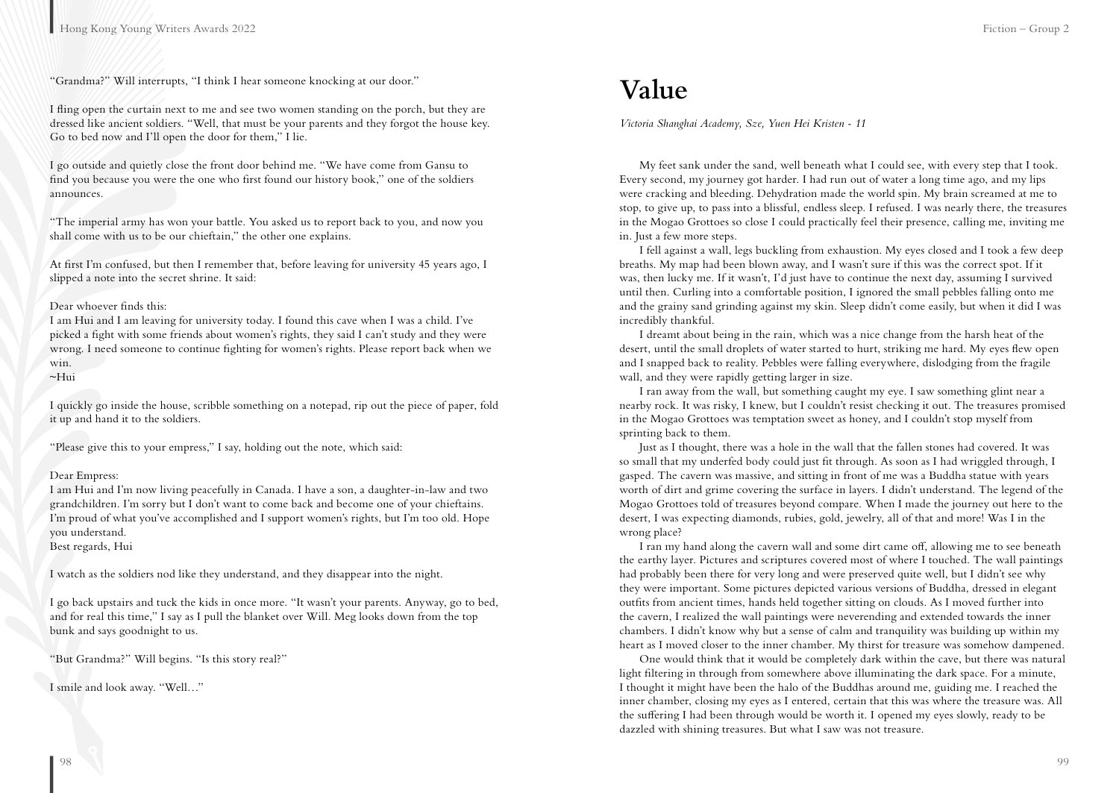"Grandma?" Will interrupts, "I think I hear someone knocking at our door."

I fling open the curtain next to me and see two women standing on the porch, but they are dressed like ancient soldiers. "Well, that must be your parents and they forgot the house key. Go to bed now and I'll open the door for them," I lie.

I go outside and quietly close the front door behind me. "We have come from Gansu to find you because you were the one who first found our history book," one of the soldiers announces.

"The imperial army has won your battle. You asked us to report back to you, and now you shall come with us to be our chieftain," the other one explains.

At first I'm confused, but then I remember that, before leaving for university 45 years ago, I slipped a note into the secret shrine. It said:

#### Dear whoever finds this:

I am Hui and I am leaving for university today. I found this cave when I was a child. I've picked a fight with some friends about women's rights, they said I can't study and they were wrong. I need someone to continue fighting for women's rights. Please report back when we win. ~Hui

I quickly go inside the house, scribble something on a notepad, rip out the piece of paper, fold it up and hand it to the soldiers.

"Please give this to your empress," I say, holding out the note, which said:

#### Dear Empress:

I am Hui and I'm now living peacefully in Canada. I have a son, a daughter-in-law and two grandchildren. I'm sorry but I don't want to come back and become one of your chieftains. I'm proud of what you've accomplished and I support women's rights, but I'm too old. Hope you understand.

Best regards, Hui

I watch as the soldiers nod like they understand, and they disappear into the night.

I go back upstairs and tuck the kids in once more. "It wasn't your parents. Anyway, go to bed, and for real this time," I say as I pull the blanket over Will. Meg looks down from the top bunk and says goodnight to us.

"But Grandma?" Will begins. "Is this story real?"

I smile and look away. "Well…"

### **Value**

*Victoria Shanghai Academy, Sze, Yuen Hei Kristen - 11*

My feet sank under the sand, well beneath what I could see, with every step that I took. Every second, my journey got harder. I had run out of water a long time ago, and my lips were cracking and bleeding. Dehydration made the world spin. My brain screamed at me to stop, to give up, to pass into a blissful, endless sleep. I refused. I was nearly there, the treasures in the Mogao Grottoes so close I could practically feel their presence, calling me, inviting me in. Just a few more steps.

I fell against a wall, legs buckling from exhaustion. My eyes closed and I took a few deep breaths. My map had been blown away, and I wasn't sure if this was the correct spot. If it was, then lucky me. If it wasn't, I'd just have to continue the next day, assuming I survived until then. Curling into a comfortable position, I ignored the small pebbles falling onto me and the grainy sand grinding against my skin. Sleep didn't come easily, but when it did I was incredibly thankful.

I dreamt about being in the rain, which was a nice change from the harsh heat of the desert, until the small droplets of water started to hurt, striking me hard. My eyes flew open and I snapped back to reality. Pebbles were falling everywhere, dislodging from the fragile wall, and they were rapidly getting larger in size.

I ran away from the wall, but something caught my eye. I saw something glint near a nearby rock. It was risky, I knew, but I couldn't resist checking it out. The treasures promised in the Mogao Grottoes was temptation sweet as honey, and I couldn't stop myself from sprinting back to them.

Just as I thought, there was a hole in the wall that the fallen stones had covered. It was so small that my underfed body could just fit through. As soon as I had wriggled through, I gasped. The cavern was massive, and sitting in front of me was a Buddha statue with years worth of dirt and grime covering the surface in layers. I didn't understand. The legend of the Mogao Grottoes told of treasures beyond compare. When I made the journey out here to the desert, I was expecting diamonds, rubies, gold, jewelry, all of that and more! Was I in the wrong place?

I ran my hand along the cavern wall and some dirt came off, allowing me to see beneath the earthy layer. Pictures and scriptures covered most of where I touched. The wall paintings had probably been there for very long and were preserved quite well, but I didn't see why they were important. Some pictures depicted various versions of Buddha, dressed in elegant outfits from ancient times, hands held together sitting on clouds. As I moved further into the cavern, I realized the wall paintings were neverending and extended towards the inner chambers. I didn't know why but a sense of calm and tranquility was building up within my heart as I moved closer to the inner chamber. My thirst for treasure was somehow dampened.

One would think that it would be completely dark within the cave, but there was natural light filtering in through from somewhere above illuminating the dark space. For a minute, I thought it might have been the halo of the Buddhas around me, guiding me. I reached the inner chamber, closing my eyes as I entered, certain that this was where the treasure was. All the suffering I had been through would be worth it. I opened my eyes slowly, ready to be dazzled with shining treasures. But what I saw was not treasure.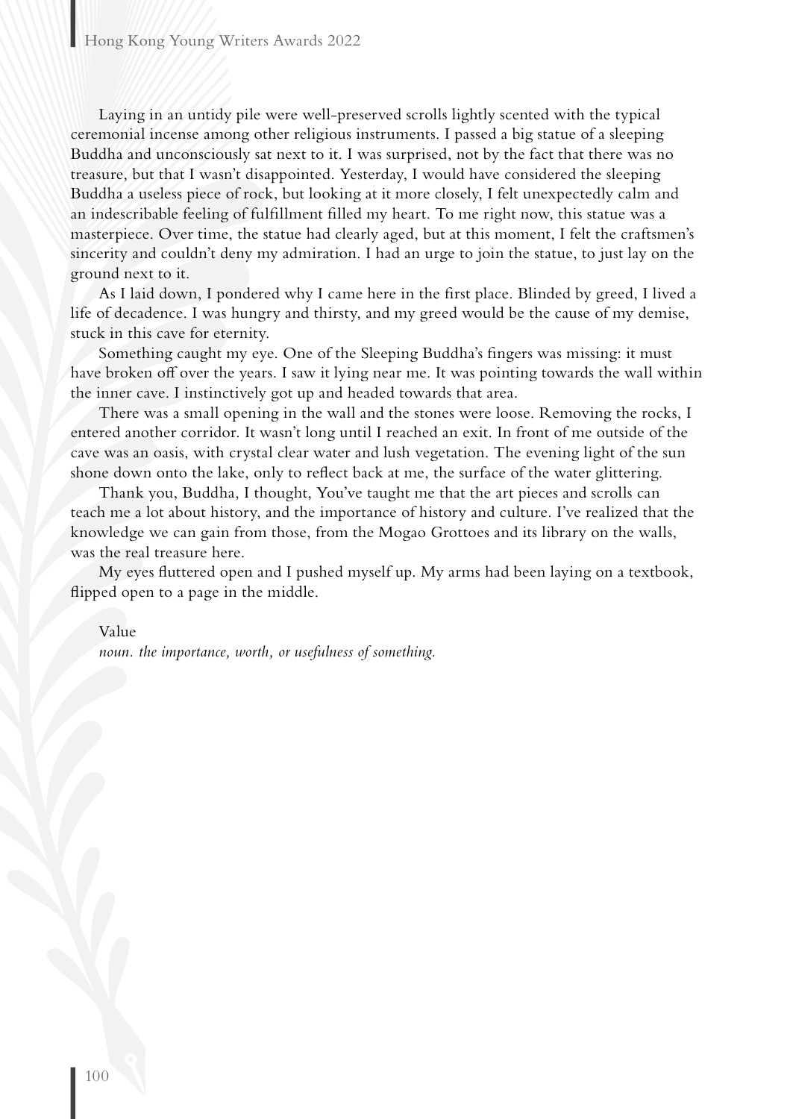Laying in an untidy pile were well-preserved scrolls lightly scented with the typical ceremonial incense among other religious instruments. I passed a big statue of a sleeping Buddha and unconsciously sat next to it. I was surprised, not by the fact that there was no treasure, but that I wasn't disappointed. Yesterday, I would have considered the sleeping Buddha a useless piece of rock, but looking at it more closely, I felt unexpectedly calm and an indescribable feeling of fulfillment filled my heart. To me right now, this statue was a masterpiece. Over time, the statue had clearly aged, but at this moment, I felt the craftsmen's sincerity and couldn't deny my admiration. I had an urge to join the statue, to just lay on the ground next to it.

As I laid down, I pondered why I came here in the first place. Blinded by greed, I lived a life of decadence. I was hungry and thirsty, and my greed would be the cause of my demise, stuck in this cave for eternity.

Something caught my eye. One of the Sleeping Buddha's fingers was missing: it must have broken off over the years. I saw it lying near me. It was pointing towards the wall within the inner cave. I instinctively got up and headed towards that area.

There was a small opening in the wall and the stones were loose. Removing the rocks, I entered another corridor. It wasn't long until I reached an exit. In front of me outside of the cave was an oasis, with crystal clear water and lush vegetation. The evening light of the sun shone down onto the lake, only to reflect back at me, the surface of the water glittering.

Thank you, Buddha, I thought, You've taught me that the art pieces and scrolls can teach me a lot about history, and the importance of history and culture. I've realized that the knowledge we can gain from those, from the Mogao Grottoes and its library on the walls, was the real treasure here.

My eyes fluttered open and I pushed myself up. My arms had been laying on a textbook, flipped open to a page in the middle.

Value

*noun. the importance, worth, or usefulness of something.*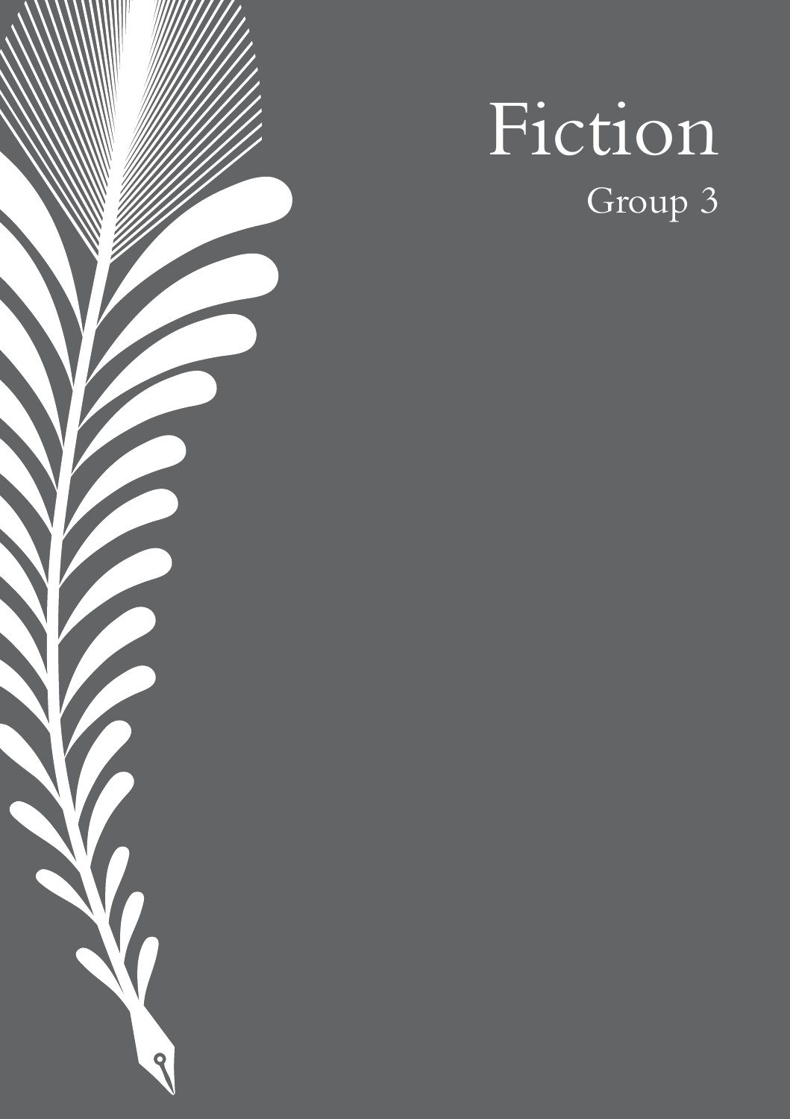# Fiction Group 3

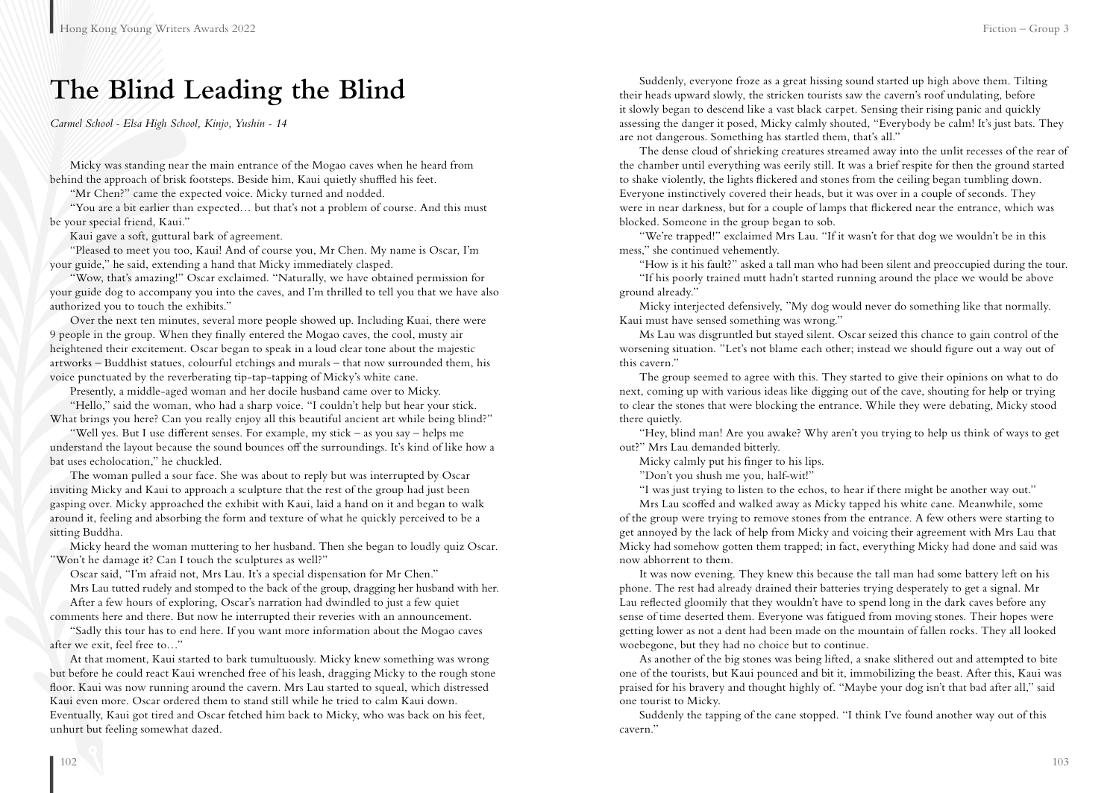### **The Blind Leading the Blind**

*Carmel School - Elsa High School, Kinjo, Yushin - 14*

Micky was standing near the main entrance of the Mogao caves when he heard from behind the approach of brisk footsteps. Beside him, Kaui quietly shuffled his feet.

"Mr Chen?" came the expected voice. Micky turned and nodded.

"You are a bit earlier than expected… but that's not a problem of course. And this must be your special friend, Kaui."

Kaui gave a soft, guttural bark of agreement.

"Pleased to meet you too, Kaui! And of course you, Mr Chen. My name is Oscar, I'm your guide," he said, extending a hand that Micky immediately clasped.

"Wow, that's amazing!" Oscar exclaimed. "Naturally, we have obtained permission for your guide dog to accompany you into the caves, and I'm thrilled to tell you that we have also authorized you to touch the exhibits."

Over the next ten minutes, several more people showed up. Including Kuai, there were 9 people in the group. When they finally entered the Mogao caves, the cool, musty air heightened their excitement. Oscar began to speak in a loud clear tone about the majestic artworks – Buddhist statues, colourful etchings and murals – that now surrounded them, his voice punctuated by the reverberating tip-tap-tapping of Micky's white cane.

Presently, a middle-aged woman and her docile husband came over to Micky.

"Hello," said the woman, who had a sharp voice. "I couldn't help but hear your stick. What brings you here? Can you really enjoy all this beautiful ancient art while being blind?"

"Well yes. But I use different senses. For example, my stick – as you say – helps me understand the layout because the sound bounces off the surroundings. It's kind of like how a bat uses echolocation," he chuckled.

The woman pulled a sour face. She was about to reply but was interrupted by Oscar inviting Micky and Kaui to approach a sculpture that the rest of the group had just been gasping over. Micky approached the exhibit with Kaui, laid a hand on it and began to walk around it, feeling and absorbing the form and texture of what he quickly perceived to be a sitting Buddha.

Micky heard the woman muttering to her husband. Then she began to loudly quiz Oscar. "Won't he damage it? Can I touch the sculptures as well?"

Oscar said, "I'm afraid not, Mrs Lau. It's a special dispensation for Mr Chen."

Mrs Lau tutted rudely and stomped to the back of the group, dragging her husband with her. After a few hours of exploring, Oscar's narration had dwindled to just a few quiet

comments here and there. But now he interrupted their reveries with an announcement.

"Sadly this tour has to end here. If you want more information about the Mogao caves after we exit, feel free to…"

At that moment, Kaui started to bark tumultuously. Micky knew something was wrong but before he could react Kaui wrenched free of his leash, dragging Micky to the rough stone floor. Kaui was now running around the cavern. Mrs Lau started to squeal, which distressed Kaui even more. Oscar ordered them to stand still while he tried to calm Kaui down. Eventually, Kaui got tired and Oscar fetched him back to Micky, who was back on his feet, unhurt but feeling somewhat dazed.

Suddenly, everyone froze as a great hissing sound started up high above them. Tilting their heads upward slowly, the stricken tourists saw the cavern's roof undulating, before it slowly began to descend like a vast black carpet. Sensing their rising panic and quickly assessing the danger it posed, Micky calmly shouted, "Everybody be calm! It's just bats. They are not dangerous. Something has startled them, that's all."

The dense cloud of shrieking creatures streamed away into the unlit recesses of the rear of the chamber until everything was eerily still. It was a brief respite for then the ground started to shake violently, the lights flickered and stones from the ceiling began tumbling down. Everyone instinctively covered their heads, but it was over in a couple of seconds. They were in near darkness, but for a couple of lamps that flickered near the entrance, which was blocked. Someone in the group began to sob.

"We're trapped!" exclaimed Mrs Lau. "If it wasn't for that dog we wouldn't be in this mess," she continued vehemently.

"How is it his fault?" asked a tall man who had been silent and preoccupied during the tour.

"If his poorly trained mutt hadn't started running around the place we would be above ground already."

Micky interjected defensively, "My dog would never do something like that normally. Kaui must have sensed something was wrong."

Ms Lau was disgruntled but stayed silent. Oscar seized this chance to gain control of the worsening situation. "Let's not blame each other; instead we should figure out a way out of this cavern."

The group seemed to agree with this. They started to give their opinions on what to do next, coming up with various ideas like digging out of the cave, shouting for help or trying to clear the stones that were blocking the entrance. While they were debating, Micky stood there quietly.

"Hey, blind man! Are you awake? Why aren't you trying to help us think of ways to get out?" Mrs Lau demanded bitterly.

Micky calmly put his finger to his lips.

"Don't you shush me you, half-wit!"

"I was just trying to listen to the echos, to hear if there might be another way out."

Mrs Lau scoffed and walked away as Micky tapped his white cane. Meanwhile, some of the group were trying to remove stones from the entrance. A few others were starting to get annoyed by the lack of help from Micky and voicing their agreement with Mrs Lau that Micky had somehow gotten them trapped; in fact, everything Micky had done and said was now abhorrent to them.

It was now evening. They knew this because the tall man had some battery left on his phone. The rest had already drained their batteries trying desperately to get a signal. Mr Lau reflected gloomily that they wouldn't have to spend long in the dark caves before any sense of time deserted them. Everyone was fatigued from moving stones. Their hopes were getting lower as not a dent had been made on the mountain of fallen rocks. They all looked woebegone, but they had no choice but to continue.

As another of the big stones was being lifted, a snake slithered out and attempted to bite one of the tourists, but Kaui pounced and bit it, immobilizing the beast. After this, Kaui was praised for his bravery and thought highly of. "Maybe your dog isn't that bad after all," said one tourist to Micky.

Suddenly the tapping of the cane stopped. "I think I've found another way out of this cavern."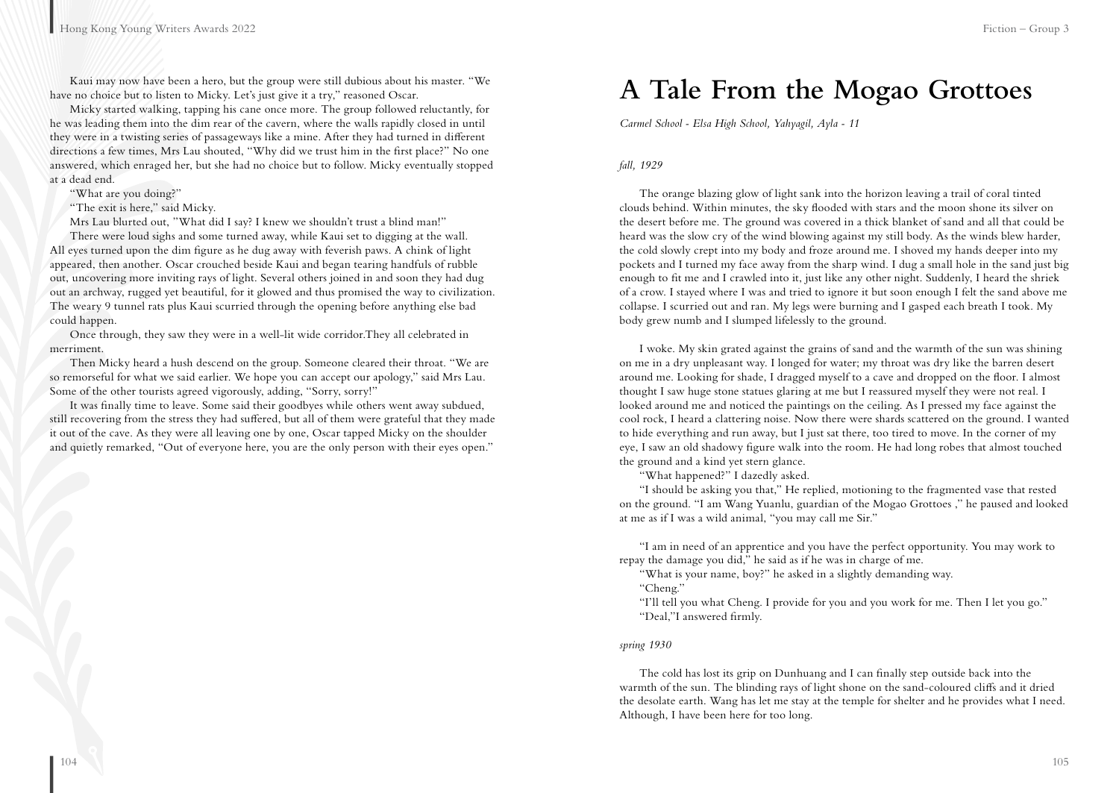Kaui may now have been a hero, but the group were still dubious about his master. "We have no choice but to listen to Micky. Let's just give it a try," reasoned Oscar.

Micky started walking, tapping his cane once more. The group followed reluctantly, for he was leading them into the dim rear of the cavern, where the walls rapidly closed in until they were in a twisting series of passageways like a mine. After they had turned in different directions a few times, Mrs Lau shouted, "Why did we trust him in the first place?" No one answered, which enraged her, but she had no choice but to follow. Micky eventually stopped at a dead end.

"What are you doing?"

"The exit is here," said Micky.

Mrs Lau blurted out, "What did I say? I knew we shouldn't trust a blind man!"

There were loud sighs and some turned away, while Kaui set to digging at the wall. All eyes turned upon the dim figure as he dug away with feverish paws. A chink of light appeared, then another. Oscar crouched beside Kaui and began tearing handfuls of rubble out, uncovering more inviting rays of light. Several others joined in and soon they had dug out an archway, rugged yet beautiful, for it glowed and thus promised the way to civilization. The weary 9 tunnel rats plus Kaui scurried through the opening before anything else bad could happen.

Once through, they saw they were in a well-lit wide corridor.They all celebrated in merriment.

Then Micky heard a hush descend on the group. Someone cleared their throat. "We are so remorseful for what we said earlier. We hope you can accept our apology," said Mrs Lau. Some of the other tourists agreed vigorously, adding, "Sorry, sorry!"

It was finally time to leave. Some said their goodbyes while others went away subdued, still recovering from the stress they had suffered, but all of them were grateful that they made it out of the cave. As they were all leaving one by one, Oscar tapped Micky on the shoulder and quietly remarked, "Out of everyone here, you are the only person with their eyes open."

### **A Tale From the Mogao Grottoes**

*Carmel School - Elsa High School, Yahyagil, Ayla - 11*

### *fall, 1929*

The orange blazing glow of light sank into the horizon leaving a trail of coral tinted clouds behind. Within minutes, the sky flooded with stars and the moon shone its silver on the desert before me. The ground was covered in a thick blanket of sand and all that could be heard was the slow cry of the wind blowing against my still body. As the winds blew harder, the cold slowly crept into my body and froze around me. I shoved my hands deeper into my pockets and I turned my face away from the sharp wind. I dug a small hole in the sand just big enough to fit me and I crawled into it, just like any other night. Suddenly, I heard the shriek of a crow. I stayed where I was and tried to ignore it but soon enough I felt the sand above me collapse. I scurried out and ran. My legs were burning and I gasped each breath I took. My body grew numb and I slumped lifelessly to the ground.

I woke. My skin grated against the grains of sand and the warmth of the sun was shining on me in a dry unpleasant way. I longed for water; my throat was dry like the barren desert around me. Looking for shade, I dragged myself to a cave and dropped on the floor. I almost thought I saw huge stone statues glaring at me but I reassured myself they were not real. I looked around me and noticed the paintings on the ceiling. As I pressed my face against the cool rock, I heard a clattering noise. Now there were shards scattered on the ground. I wanted to hide everything and run away, but I just sat there, too tired to move. In the corner of my eye, I saw an old shadowy figure walk into the room. He had long robes that almost touched the ground and a kind yet stern glance.

"What happened?" I dazedly asked.

"I should be asking you that," He replied, motioning to the fragmented vase that rested on the ground. "I am Wang Yuanlu, guardian of the Mogao Grottoes ," he paused and looked at me as if I was a wild animal, "you may call me Sir."

"I am in need of an apprentice and you have the perfect opportunity. You may work to repay the damage you did," he said as if he was in charge of me.

"What is your name, boy?" he asked in a slightly demanding way. "Cheng."

"I'll tell you what Cheng. I provide for you and you work for me. Then I let you go." "Deal,"I answered firmly.

#### *spring 1930*

The cold has lost its grip on Dunhuang and I can finally step outside back into the warmth of the sun. The blinding rays of light shone on the sand-coloured cliffs and it dried the desolate earth. Wang has let me stay at the temple for shelter and he provides what I need. Although, I have been here for too long.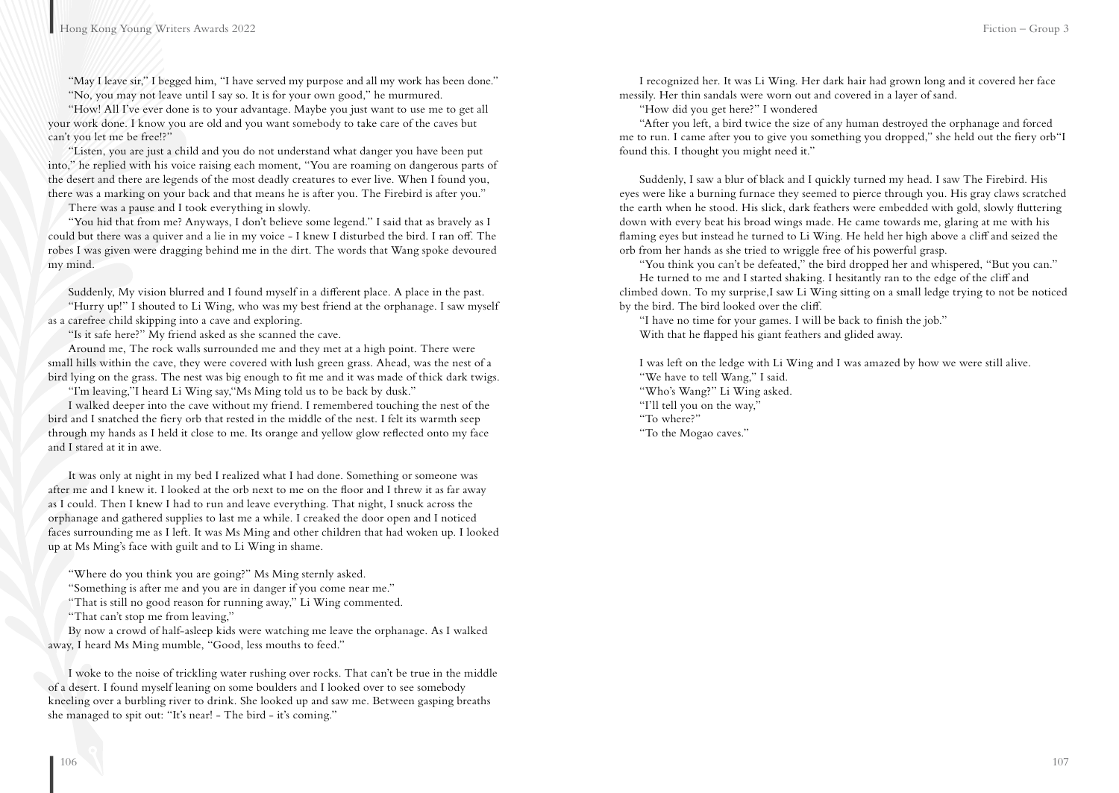"May I leave sir," I begged him, "I have served my purpose and all my work has been done." "No, you may not leave until I say so. It is for your own good," he murmured.

"How! All I've ever done is to your advantage. Maybe you just want to use me to get all your work done. I know you are old and you want somebody to take care of the caves but can't you let me be free!?"

"Listen, you are just a child and you do not understand what danger you have been put into," he replied with his voice raising each moment, "You are roaming on dangerous parts of the desert and there are legends of the most deadly creatures to ever live. When I found you, there was a marking on your back and that means he is after you. The Firebird is after you."

There was a pause and I took everything in slowly.

"You hid that from me? Anyways, I don't believe some legend." I said that as bravely as I could but there was a quiver and a lie in my voice - I knew I disturbed the bird. I ran off. The robes I was given were dragging behind me in the dirt. The words that Wang spoke devoured my mind.

Suddenly, My vision blurred and I found myself in a different place. A place in the past.

"Hurry up!" I shouted to Li Wing, who was my best friend at the orphanage. I saw myself as a carefree child skipping into a cave and exploring.

"Is it safe here?" My friend asked as she scanned the cave.

Around me, The rock walls surrounded me and they met at a high point. There were small hills within the cave, they were covered with lush green grass. Ahead, was the nest of a bird lying on the grass. The nest was big enough to fit me and it was made of thick dark twigs.

"I'm leaving,"I heard Li Wing say,"Ms Ming told us to be back by dusk."

I walked deeper into the cave without my friend. I remembered touching the nest of the bird and I snatched the fiery orb that rested in the middle of the nest. I felt its warmth seep through my hands as I held it close to me. Its orange and yellow glow reflected onto my face and I stared at it in awe.

It was only at night in my bed I realized what I had done. Something or someone was after me and I knew it. I looked at the orb next to me on the floor and I threw it as far away as I could. Then I knew I had to run and leave everything. That night, I snuck across the orphanage and gathered supplies to last me a while. I creaked the door open and I noticed faces surrounding me as I left. It was Ms Ming and other children that had woken up. I looked up at Ms Ming's face with guilt and to Li Wing in shame.

"Where do you think you are going?" Ms Ming sternly asked.

"Something is after me and you are in danger if you come near me."

"That is still no good reason for running away," Li Wing commented.

"That can't stop me from leaving,"

By now a crowd of half-asleep kids were watching me leave the orphanage. As I walked away, I heard Ms Ming mumble, "Good, less mouths to feed."

I woke to the noise of trickling water rushing over rocks. That can't be true in the middle of a desert. I found myself leaning on some boulders and I looked over to see somebody kneeling over a burbling river to drink. She looked up and saw me. Between gasping breaths she managed to spit out: "It's near! - The bird - it's coming."

I recognized her. It was Li Wing. Her dark hair had grown long and it covered her face messily. Her thin sandals were worn out and covered in a layer of sand.

"How did you get here?" I wondered

"After you left, a bird twice the size of any human destroyed the orphanage and forced me to run. I came after you to give you something you dropped," she held out the fiery orb"I found this. I thought you might need it."

Suddenly, I saw a blur of black and I quickly turned my head. I saw The Firebird. His eyes were like a burning furnace they seemed to pierce through you. His gray claws scratched the earth when he stood. His slick, dark feathers were embedded with gold, slowly fluttering down with every beat his broad wings made. He came towards me, glaring at me with his flaming eyes but instead he turned to Li Wing. He held her high above a cliff and seized the orb from her hands as she tried to wriggle free of his powerful grasp.

"You think you can't be defeated," the bird dropped her and whispered, "But you can."

He turned to me and I started shaking. I hesitantly ran to the edge of the cliff and climbed down. To my surprise,I saw Li Wing sitting on a small ledge trying to not be noticed by the bird. The bird looked over the cliff.

"I have no time for your games. I will be back to finish the job." With that he flapped his giant feathers and glided away.

I was left on the ledge with Li Wing and I was amazed by how we were still alive.

"We have to tell Wang," I said. "Who's Wang?" Li Wing asked. "I'll tell you on the way," "To where?"

"To the Mogao caves."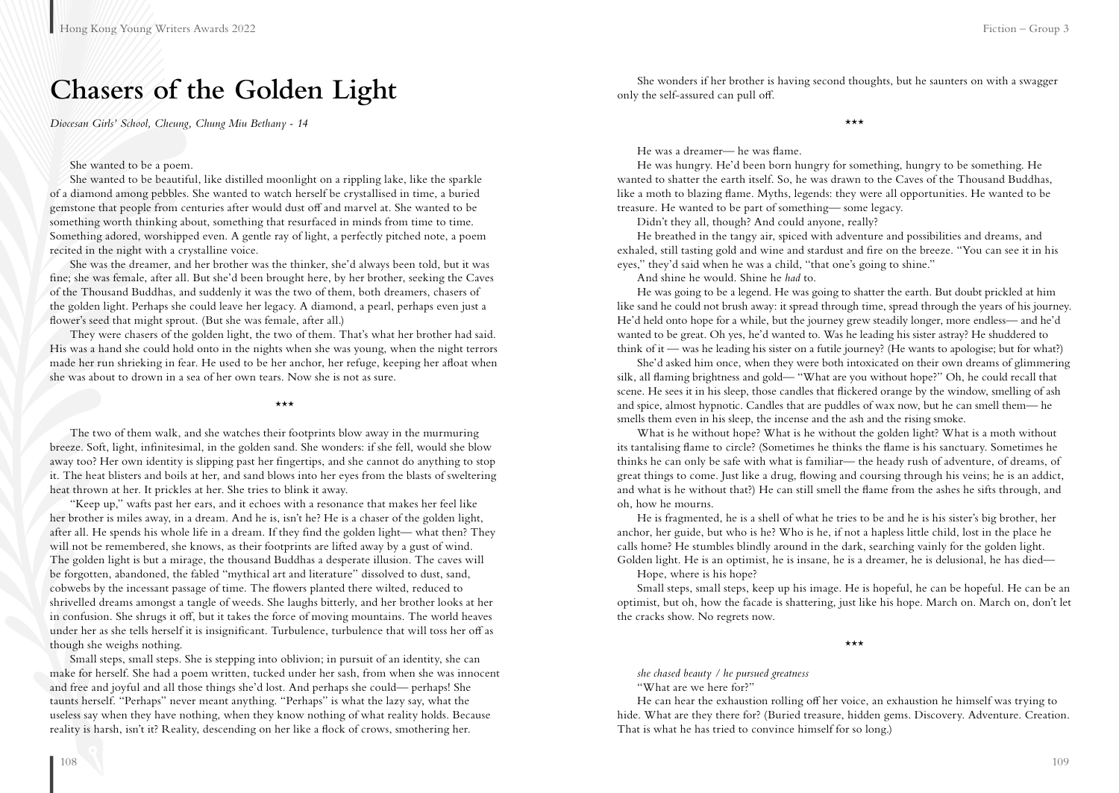### **Chasers of the Golden Light**

*Diocesan Girls' School, Cheung, Chung Miu Bethany - 14*

#### She wanted to be a poem.

She wanted to be beautiful, like distilled moonlight on a rippling lake, like the sparkle of a diamond among pebbles. She wanted to watch herself be crystallised in time, a buried gemstone that people from centuries after would dust off and marvel at. She wanted to be something worth thinking about, something that resurfaced in minds from time to time. Something adored, worshipped even. A gentle ray of light, a perfectly pitched note, a poem recited in the night with a crystalline voice.

She was the dreamer, and her brother was the thinker, she'd always been told, but it was fine; she was female, after all. But she'd been brought here, by her brother, seeking the Caves of the Thousand Buddhas, and suddenly it was the two of them, both dreamers, chasers of the golden light. Perhaps she could leave her legacy. A diamond, a pearl, perhaps even just a flower's seed that might sprout. (But she was female, after all.)

They were chasers of the golden light, the two of them. That's what her brother had said. His was a hand she could hold onto in the nights when she was young, when the night terrors made her run shrieking in fear. He used to be her anchor, her refuge, keeping her afloat when she was about to drown in a sea of her own tears. Now she is not as sure.

#### \*\*\*

The two of them walk, and she watches their footprints blow away in the murmuring breeze. Soft, light, infinitesimal, in the golden sand. She wonders: if she fell, would she blow away too? Her own identity is slipping past her fingertips, and she cannot do anything to stop it. The heat blisters and boils at her, and sand blows into her eyes from the blasts of sweltering heat thrown at her. It prickles at her. She tries to blink it away.

"Keep up," wafts past her ears, and it echoes with a resonance that makes her feel like her brother is miles away, in a dream. And he is, isn't he? He is a chaser of the golden light, after all. He spends his whole life in a dream. If they find the golden light— what then? They will not be remembered, she knows, as their footprints are lifted away by a gust of wind. The golden light is but a mirage, the thousand Buddhas a desperate illusion. The caves will be forgotten, abandoned, the fabled "mythical art and literature" dissolved to dust, sand, cobwebs by the incessant passage of time. The flowers planted there wilted, reduced to shrivelled dreams amongst a tangle of weeds. She laughs bitterly, and her brother looks at her in confusion. She shrugs it off, but it takes the force of moving mountains. The world heaves under her as she tells herself it is insignificant. Turbulence, turbulence that will toss her off as though she weighs nothing.

Small steps, small steps. She is stepping into oblivion; in pursuit of an identity, she can make for herself. She had a poem written, tucked under her sash, from when she was innocent and free and joyful and all those things she'd lost. And perhaps she could— perhaps! She taunts herself. "Perhaps" never meant anything. "Perhaps" is what the lazy say, what the useless say when they have nothing, when they know nothing of what reality holds. Because reality is harsh, isn't it? Reality, descending on her like a flock of crows, smothering her.

She wonders if her brother is having second thoughts, but he saunters on with a swagger only the self-assured can pull off.

\*\*\*

He was a dreamer— he was flame.

He was hungry. He'd been born hungry for something, hungry to be something. He wanted to shatter the earth itself. So, he was drawn to the Caves of the Thousand Buddhas, like a moth to blazing flame. Myths, legends: they were all opportunities. He wanted to be treasure. He wanted to be part of something— some legacy.

Didn't they all, though? And could anyone, really?

He breathed in the tangy air, spiced with adventure and possibilities and dreams, and exhaled, still tasting gold and wine and stardust and fire on the breeze. "You can see it in his eyes," they'd said when he was a child, "that one's going to shine."

And shine he would. Shine he *had* to.

He was going to be a legend. He was going to shatter the earth. But doubt prickled at him like sand he could not brush away: it spread through time, spread through the years of his journey. He'd held onto hope for a while, but the journey grew steadily longer, more endless— and he'd wanted to be great. Oh yes, he'd wanted to. Was he leading his sister astray? He shuddered to think of it — was he leading his sister on a futile journey? (He wants to apologise; but for what?)

She'd asked him once, when they were both intoxicated on their own dreams of glimmering silk, all flaming brightness and gold— "What are you without hope?" Oh, he could recall that scene. He sees it in his sleep, those candles that flickered orange by the window, smelling of ash and spice, almost hypnotic. Candles that are puddles of wax now, but he can smell them— he smells them even in his sleep, the incense and the ash and the rising smoke.

What is he without hope? What is he without the golden light? What is a moth without its tantalising flame to circle? (Sometimes he thinks the flame is his sanctuary. Sometimes he thinks he can only be safe with what is familiar— the heady rush of adventure, of dreams, of great things to come. Just like a drug, flowing and coursing through his veins; he is an addict, and what is he without that?) He can still smell the flame from the ashes he sifts through, and oh, how he mourns.

He is fragmented, he is a shell of what he tries to be and he is his sister's big brother, her anchor, her guide, but who is he? Who is he, if not a hapless little child, lost in the place he calls home? He stumbles blindly around in the dark, searching vainly for the golden light. Golden light. He is an optimist, he is insane, he is a dreamer, he is delusional, he has died—

Hope, where is his hope?

Small steps, small steps, keep up his image. He is hopeful, he can be hopeful. He can be an optimist, but oh, how the facade is shattering, just like his hope. March on. March on, don't let the cracks show. No regrets now.

\*\*\*

*she chased beauty / he pursued greatness*

"What are we here for?"

He can hear the exhaustion rolling off her voice, an exhaustion he himself was trying to hide. What are they there for? (Buried treasure, hidden gems. Discovery. Adventure. Creation. That is what he has tried to convince himself for so long.)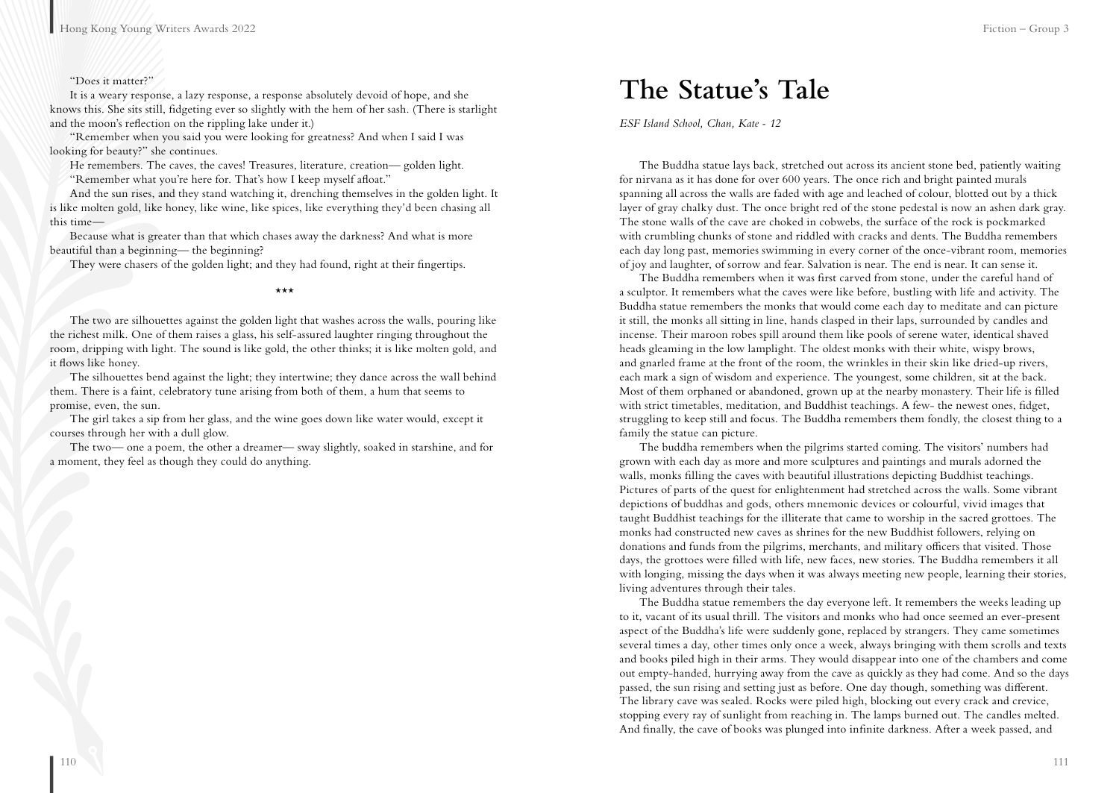#### "Does it matter?"

It is a weary response, a lazy response, a response absolutely devoid of hope, and she knows this. She sits still, fidgeting ever so slightly with the hem of her sash. (There is starlight and the moon's reflection on the rippling lake under it.)

"Remember when you said you were looking for greatness? And when I said I was looking for beauty?" she continues.

He remembers. The caves, the caves! Treasures, literature, creation— golden light. "Remember what you're here for. That's how I keep myself afloat."

And the sun rises, and they stand watching it, drenching themselves in the golden light. It is like molten gold, like honey, like wine, like spices, like everything they'd been chasing all this time—

Because what is greater than that which chases away the darkness? And what is more beautiful than a beginning— the beginning?

They were chasers of the golden light; and they had found, right at their fingertips.

#### \*\*\*

The two are silhouettes against the golden light that washes across the walls, pouring like the richest milk. One of them raises a glass, his self-assured laughter ringing throughout the room, dripping with light. The sound is like gold, the other thinks; it is like molten gold, and it flows like honey.

The silhouettes bend against the light; they intertwine; they dance across the wall behind them. There is a faint, celebratory tune arising from both of them, a hum that seems to promise, even, the sun.

The girl takes a sip from her glass, and the wine goes down like water would, except it courses through her with a dull glow.

The two— one a poem, the other a dreamer— sway slightly, soaked in starshine, and for a moment, they feel as though they could do anything.

### **The Statue's Tale**

*ESF Island School, Chan, Kate - 12*

The Buddha statue lays back, stretched out across its ancient stone bed, patiently waiting for nirvana as it has done for over 600 years. The once rich and bright painted murals spanning all across the walls are faded with age and leached of colour, blotted out by a thick layer of gray chalky dust. The once bright red of the stone pedestal is now an ashen dark gray. The stone walls of the cave are choked in cobwebs, the surface of the rock is pockmarked with crumbling chunks of stone and riddled with cracks and dents. The Buddha remembers each day long past, memories swimming in every corner of the once-vibrant room, memories of joy and laughter, of sorrow and fear. Salvation is near. The end is near. It can sense it.

The Buddha remembers when it was first carved from stone, under the careful hand of a sculptor. It remembers what the caves were like before, bustling with life and activity. The Buddha statue remembers the monks that would come each day to meditate and can picture it still, the monks all sitting in line, hands clasped in their laps, surrounded by candles and incense. Their maroon robes spill around them like pools of serene water, identical shaved heads gleaming in the low lamplight. The oldest monks with their white, wispy brows, and gnarled frame at the front of the room, the wrinkles in their skin like dried-up rivers, each mark a sign of wisdom and experience. The youngest, some children, sit at the back. Most of them orphaned or abandoned, grown up at the nearby monastery. Their life is filled with strict timetables, meditation, and Buddhist teachings. A few- the newest ones, fidget, struggling to keep still and focus. The Buddha remembers them fondly, the closest thing to a family the statue can picture.

The buddha remembers when the pilgrims started coming. The visitors' numbers had grown with each day as more and more sculptures and paintings and murals adorned the walls, monks filling the caves with beautiful illustrations depicting Buddhist teachings. Pictures of parts of the quest for enlightenment had stretched across the walls. Some vibrant depictions of buddhas and gods, others mnemonic devices or colourful, vivid images that taught Buddhist teachings for the illiterate that came to worship in the sacred grottoes. The monks had constructed new caves as shrines for the new Buddhist followers, relying on donations and funds from the pilgrims, merchants, and military officers that visited. Those days, the grottoes were filled with life, new faces, new stories. The Buddha remembers it all with longing, missing the days when it was always meeting new people, learning their stories, living adventures through their tales.

The Buddha statue remembers the day everyone left. It remembers the weeks leading up to it, vacant of its usual thrill. The visitors and monks who had once seemed an ever-present aspect of the Buddha's life were suddenly gone, replaced by strangers. They came sometimes several times a day, other times only once a week, always bringing with them scrolls and texts and books piled high in their arms. They would disappear into one of the chambers and come out empty-handed, hurrying away from the cave as quickly as they had come. And so the days passed, the sun rising and setting just as before. One day though, something was different. The library cave was sealed. Rocks were piled high, blocking out every crack and crevice, stopping every ray of sunlight from reaching in. The lamps burned out. The candles melted. And finally, the cave of books was plunged into infinite darkness. After a week passed, and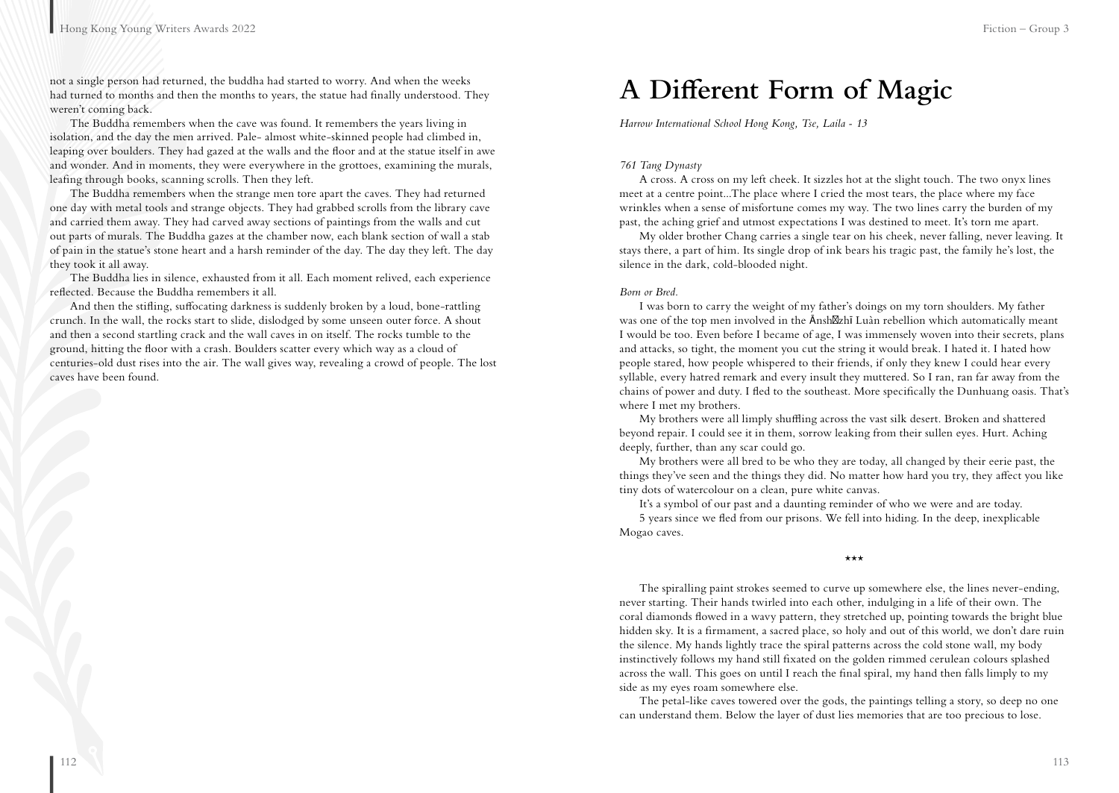not a single person had returned, the buddha had started to worry. And when the weeks had turned to months and then the months to years, the statue had finally understood. They weren't coming back.

The Buddha remembers when the cave was found. It remembers the years living in isolation, and the day the men arrived. Pale- almost white-skinned people had climbed in, leaping over boulders. They had gazed at the walls and the floor and at the statue itself in awe and wonder. And in moments, they were everywhere in the grottoes, examining the murals, leafing through books, scanning scrolls. Then they left.

The Buddha remembers when the strange men tore apart the caves. They had returned one day with metal tools and strange objects. They had grabbed scrolls from the library cave and carried them away. They had carved away sections of paintings from the walls and cut out parts of murals. The Buddha gazes at the chamber now, each blank section of wall a stab of pain in the statue's stone heart and a harsh reminder of the day. The day they left. The day they took it all away.

The Buddha lies in silence, exhausted from it all. Each moment relived, each experience reflected. Because the Buddha remembers it all.

And then the stifling, suffocating darkness is suddenly broken by a loud, bone-rattling crunch. In the wall, the rocks start to slide, dislodged by some unseen outer force. A shout and then a second startling crack and the wall caves in on itself. The rocks tumble to the ground, hitting the floor with a crash. Boulders scatter every which way as a cloud of centuries-old dust rises into the air. The wall gives way, revealing a crowd of people. The lost caves have been found.

### **A Different Form of Magic**

*Harrow International School Hong Kong, Tse, Laila - 13*

#### *761 Tang Dynasty*

A cross. A cross on my left cheek. It sizzles hot at the slight touch. The two onyx lines meet at a centre point...The place where I cried the most tears, the place where my face wrinkles when a sense of misfortune comes my way. The two lines carry the burden of my past, the aching grief and utmost expectations I was destined to meet. It's torn me apart.

My older brother Chang carries a single tear on his cheek, never falling, never leaving. It stays there, a part of him. Its single drop of ink bears his tragic past, the family he's lost, the silence in the dark, cold-blooded night.

#### *Born or Bred.*

I was born to carry the weight of my father's doings on my torn shoulders. My father was one of the top men involved in the Ānsh zhī Luàn rebellion which automatically meant I would be too. Even before I became of age, I was immensely woven into their secrets, plans and attacks, so tight, the moment you cut the string it would break. I hated it. I hated how people stared, how people whispered to their friends, if only they knew I could hear every syllable, every hatred remark and every insult they muttered. So I ran, ran far away from the chains of power and duty. I fled to the southeast. More specifically the Dunhuang oasis. That's where I met my brothers.

My brothers were all limply shuffling across the vast silk desert. Broken and shattered beyond repair. I could see it in them, sorrow leaking from their sullen eyes. Hurt. Aching deeply, further, than any scar could go.

My brothers were all bred to be who they are today, all changed by their eerie past, the things they've seen and the things they did. No matter how hard you try, they affect you like tiny dots of watercolour on a clean, pure white canvas.

It's a symbol of our past and a daunting reminder of who we were and are today.

5 years since we fled from our prisons. We fell into hiding. In the deep, inexplicable Mogao caves.

\*\*\*

The spiralling paint strokes seemed to curve up somewhere else, the lines never-ending, never starting. Their hands twirled into each other, indulging in a life of their own. The coral diamonds flowed in a wavy pattern, they stretched up, pointing towards the bright blue hidden sky. It is a firmament, a sacred place, so holy and out of this world, we don't dare ruin the silence. My hands lightly trace the spiral patterns across the cold stone wall, my body instinctively follows my hand still fixated on the golden rimmed cerulean colours splashed across the wall. This goes on until I reach the final spiral, my hand then falls limply to my side as my eyes roam somewhere else.

The petal-like caves towered over the gods, the paintings telling a story, so deep no one can understand them. Below the layer of dust lies memories that are too precious to lose.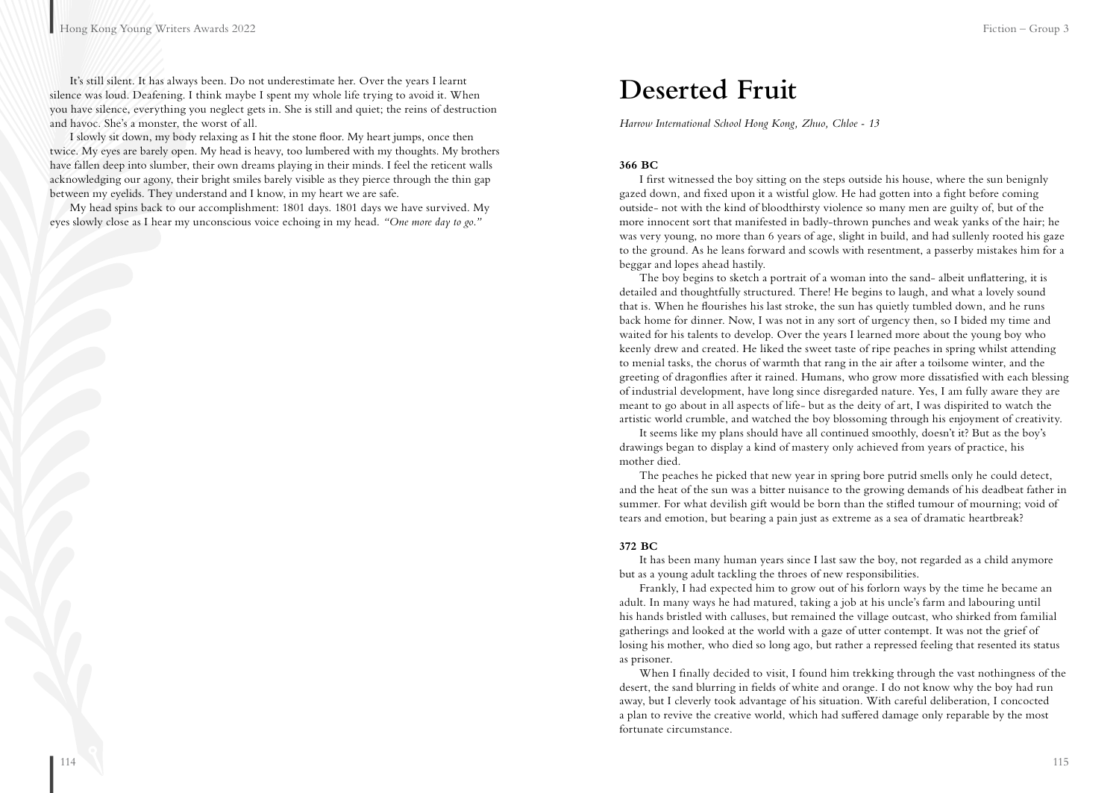It's still silent. It has always been. Do not underestimate her. Over the years I learnt silence was loud. Deafening. I think maybe I spent my whole life trying to avoid it. When you have silence, everything you neglect gets in. She is still and quiet; the reins of destruction and havoc. She's a monster, the worst of all.

I slowly sit down, my body relaxing as I hit the stone floor. My heart jumps, once then twice. My eyes are barely open. My head is heavy, too lumbered with my thoughts. My brothers have fallen deep into slumber, their own dreams playing in their minds. I feel the reticent walls acknowledging our agony, their bright smiles barely visible as they pierce through the thin gap between my eyelids. They understand and I know, in my heart we are safe.

My head spins back to our accomplishment: 1801 days. 1801 days we have survived. My eyes slowly close as I hear my unconscious voice echoing in my head. *"One more day to go."*

### **Deserted Fruit**

*Harrow International School Hong Kong, Zhuo, Chloe - 13*

#### **366 BC**

I first witnessed the boy sitting on the steps outside his house, where the sun benignly gazed down, and fixed upon it a wistful glow. He had gotten into a fight before coming outside- not with the kind of bloodthirsty violence so many men are guilty of, but of the more innocent sort that manifested in badly-thrown punches and weak yanks of the hair; he was very young, no more than 6 years of age, slight in build, and had sullenly rooted his gaze to the ground. As he leans forward and scowls with resentment, a passerby mistakes him for a beggar and lopes ahead hastily.

The boy begins to sketch a portrait of a woman into the sand- albeit unflattering, it is detailed and thoughtfully structured. There! He begins to laugh, and what a lovely sound that is. When he flourishes his last stroke, the sun has quietly tumbled down, and he runs back home for dinner. Now, I was not in any sort of urgency then, so I bided my time and waited for his talents to develop. Over the years I learned more about the young boy who keenly drew and created. He liked the sweet taste of ripe peaches in spring whilst attending to menial tasks, the chorus of warmth that rang in the air after a toilsome winter, and the greeting of dragonflies after it rained. Humans, who grow more dissatisfied with each blessing of industrial development, have long since disregarded nature. Yes, I am fully aware they are meant to go about in all aspects of life- but as the deity of art, I was dispirited to watch the artistic world crumble, and watched the boy blossoming through his enjoyment of creativity.

It seems like my plans should have all continued smoothly, doesn't it? But as the boy's drawings began to display a kind of mastery only achieved from years of practice, his mother died.

The peaches he picked that new year in spring bore putrid smells only he could detect, and the heat of the sun was a bitter nuisance to the growing demands of his deadbeat father in summer. For what devilish gift would be born than the stifled tumour of mourning; void of tears and emotion, but bearing a pain just as extreme as a sea of dramatic heartbreak?

#### **372 BC**

It has been many human years since I last saw the boy, not regarded as a child anymore but as a young adult tackling the throes of new responsibilities.

Frankly, I had expected him to grow out of his forlorn ways by the time he became an adult. In many ways he had matured, taking a job at his uncle's farm and labouring until his hands bristled with calluses, but remained the village outcast, who shirked from familial gatherings and looked at the world with a gaze of utter contempt. It was not the grief of losing his mother, who died so long ago, but rather a repressed feeling that resented its status as prisoner.

When I finally decided to visit, I found him trekking through the vast nothingness of the desert, the sand blurring in fields of white and orange. I do not know why the boy had run away, but I cleverly took advantage of his situation. With careful deliberation, I concocted a plan to revive the creative world, which had suffered damage only reparable by the most fortunate circumstance.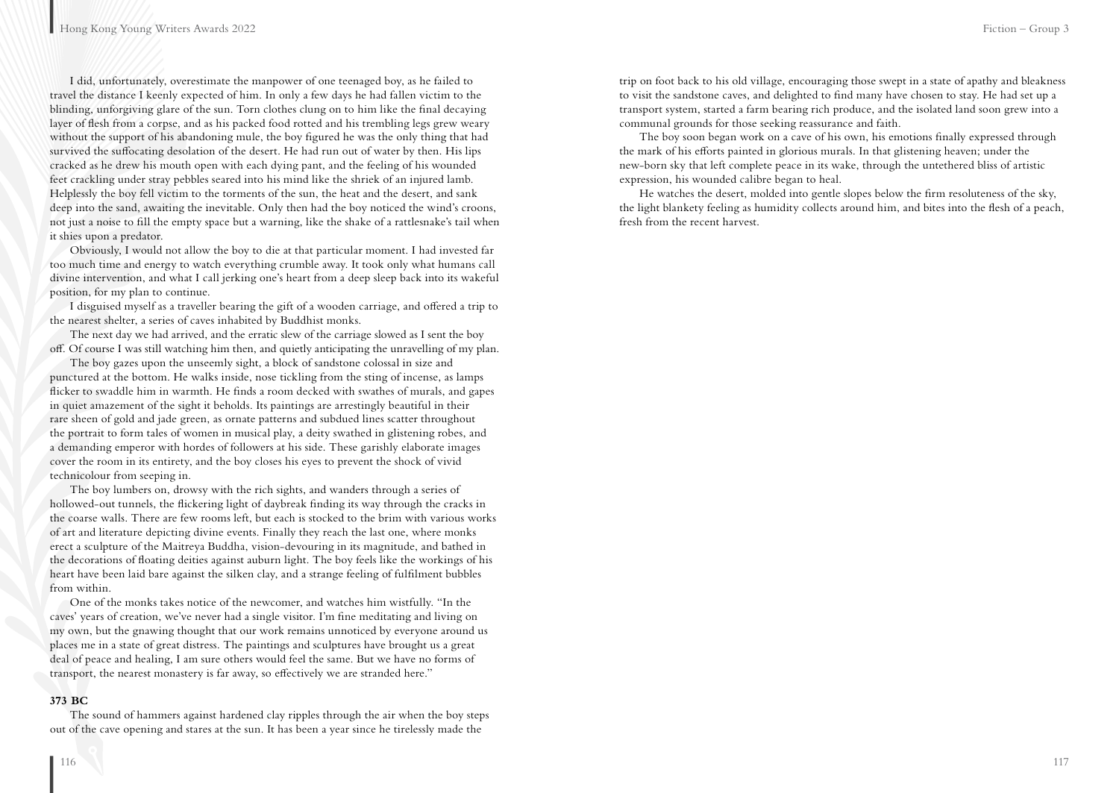I did, unfortunately, overestimate the manpower of one teenaged boy, as he failed to travel the distance I keenly expected of him. In only a few days he had fallen victim to the blinding, unforgiving glare of the sun. Torn clothes clung on to him like the final decaying layer of flesh from a corpse, and as his packed food rotted and his trembling legs grew weary without the support of his abandoning mule, the boy figured he was the only thing that had survived the suffocating desolation of the desert. He had run out of water by then. His lips cracked as he drew his mouth open with each dying pant, and the feeling of his wounded feet crackling under stray pebbles seared into his mind like the shriek of an injured lamb. Helplessly the boy fell victim to the torments of the sun, the heat and the desert, and sank deep into the sand, awaiting the inevitable. Only then had the boy noticed the wind's croons, not just a noise to fill the empty space but a warning, like the shake of a rattlesnake's tail when it shies upon a predator.

Obviously, I would not allow the boy to die at that particular moment. I had invested far too much time and energy to watch everything crumble away. It took only what humans call divine intervention, and what I call jerking one's heart from a deep sleep back into its wakeful position, for my plan to continue.

I disguised myself as a traveller bearing the gift of a wooden carriage, and offered a trip to the nearest shelter, a series of caves inhabited by Buddhist monks.

The next day we had arrived, and the erratic slew of the carriage slowed as I sent the boy off. Of course I was still watching him then, and quietly anticipating the unravelling of my plan.

The boy gazes upon the unseemly sight, a block of sandstone colossal in size and punctured at the bottom. He walks inside, nose tickling from the sting of incense, as lamps flicker to swaddle him in warmth. He finds a room decked with swathes of murals, and gapes in quiet amazement of the sight it beholds. Its paintings are arrestingly beautiful in their rare sheen of gold and jade green, as ornate patterns and subdued lines scatter throughout the portrait to form tales of women in musical play, a deity swathed in glistening robes, and a demanding emperor with hordes of followers at his side. These garishly elaborate images cover the room in its entirety, and the boy closes his eyes to prevent the shock of vivid technicolour from seeping in.

The boy lumbers on, drowsy with the rich sights, and wanders through a series of hollowed-out tunnels, the flickering light of daybreak finding its way through the cracks in the coarse walls. There are few rooms left, but each is stocked to the brim with various works of art and literature depicting divine events. Finally they reach the last one, where monks erect a sculpture of the Maitreya Buddha, vision-devouring in its magnitude, and bathed in the decorations of floating deities against auburn light. The boy feels like the workings of his heart have been laid bare against the silken clay, and a strange feeling of fulfilment bubbles from within.

One of the monks takes notice of the newcomer, and watches him wistfully. "In the caves' years of creation, we've never had a single visitor. I'm fine meditating and living on my own, but the gnawing thought that our work remains unnoticed by everyone around us places me in a state of great distress. The paintings and sculptures have brought us a great deal of peace and healing, I am sure others would feel the same. But we have no forms of transport, the nearest monastery is far away, so effectively we are stranded here."

#### **373 BC**

The sound of hammers against hardened clay ripples through the air when the boy steps out of the cave opening and stares at the sun. It has been a year since he tirelessly made the

trip on foot back to his old village, encouraging those swept in a state of apathy and bleakness to visit the sandstone caves, and delighted to find many have chosen to stay. He had set up a transport system, started a farm bearing rich produce, and the isolated land soon grew into a communal grounds for those seeking reassurance and faith.

The boy soon began work on a cave of his own, his emotions finally expressed through the mark of his efforts painted in glorious murals. In that glistening heaven; under the new-born sky that left complete peace in its wake, through the untethered bliss of artistic expression, his wounded calibre began to heal.

He watches the desert, molded into gentle slopes below the firm resoluteness of the sky, the light blankety feeling as humidity collects around him, and bites into the flesh of a peach, fresh from the recent harvest.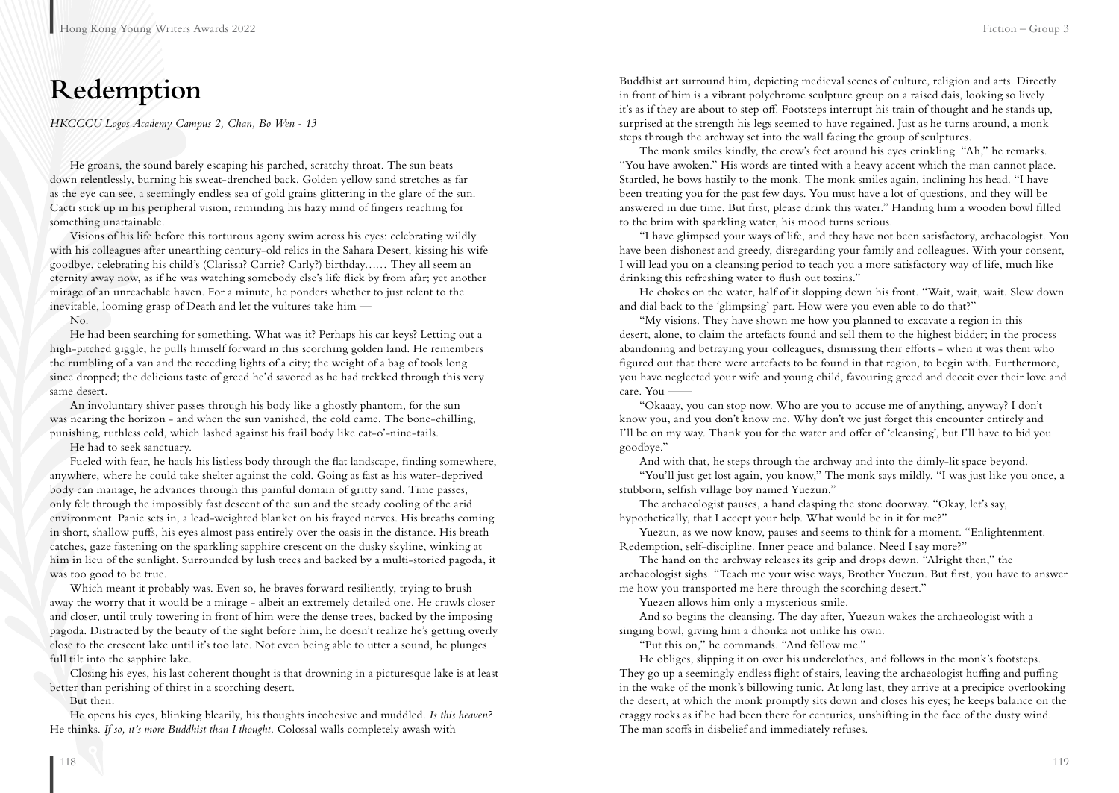## **Redemption**

*HKCCCU Logos Academy Campus 2, Chan, Bo Wen - 13*

He groans, the sound barely escaping his parched, scratchy throat. The sun beats down relentlessly, burning his sweat-drenched back. Golden yellow sand stretches as far as the eye can see, a seemingly endless sea of gold grains glittering in the glare of the sun. Cacti stick up in his peripheral vision, reminding his hazy mind of fingers reaching for something unattainable.

Visions of his life before this torturous agony swim across his eyes: celebrating wildly with his colleagues after unearthing century-old relics in the Sahara Desert, kissing his wife goodbye, celebrating his child's (Clarissa? Carrie? Carly?) birthday…… They all seem an eternity away now, as if he was watching somebody else's life flick by from afar; yet another mirage of an unreachable haven. For a minute, he ponders whether to just relent to the inevitable, looming grasp of Death and let the vultures take him —

No.

He had been searching for something. What was it? Perhaps his car keys? Letting out a high-pitched giggle, he pulls himself forward in this scorching golden land. He remembers the rumbling of a van and the receding lights of a city; the weight of a bag of tools long since dropped; the delicious taste of greed he'd savored as he had trekked through this very same desert.

An involuntary shiver passes through his body like a ghostly phantom, for the sun was nearing the horizon - and when the sun vanished, the cold came. The bone-chilling, punishing, ruthless cold, which lashed against his frail body like cat-o'-nine-tails.

He had to seek sanctuary.

Fueled with fear, he hauls his listless body through the flat landscape, finding somewhere, anywhere, where he could take shelter against the cold. Going as fast as his water-deprived body can manage, he advances through this painful domain of gritty sand. Time passes, only felt through the impossibly fast descent of the sun and the steady cooling of the arid environment. Panic sets in, a lead-weighted blanket on his frayed nerves. His breaths coming in short, shallow puffs, his eyes almost pass entirely over the oasis in the distance. His breath catches, gaze fastening on the sparkling sapphire crescent on the dusky skyline, winking at him in lieu of the sunlight. Surrounded by lush trees and backed by a multi-storied pagoda, it was too good to be true.

Which meant it probably was. Even so, he braves forward resiliently, trying to brush away the worry that it would be a mirage - albeit an extremely detailed one. He crawls closer and closer, until truly towering in front of him were the dense trees, backed by the imposing pagoda. Distracted by the beauty of the sight before him, he doesn't realize he's getting overly close to the crescent lake until it's too late. Not even being able to utter a sound, he plunges full tilt into the sapphire lake.

Closing his eyes, his last coherent thought is that drowning in a picturesque lake is at least better than perishing of thirst in a scorching desert.

But then.

He opens his eyes, blinking blearily, his thoughts incohesive and muddled. *Is this heaven?*  He thinks. *If so, it's more Buddhist than I thought.* Colossal walls completely awash with

Buddhist art surround him, depicting medieval scenes of culture, religion and arts. Directly in front of him is a vibrant polychrome sculpture group on a raised dais, looking so lively it's as if they are about to step off. Footsteps interrupt his train of thought and he stands up, surprised at the strength his legs seemed to have regained. Just as he turns around, a monk steps through the archway set into the wall facing the group of sculptures.

The monk smiles kindly, the crow's feet around his eyes crinkling. "Ah," he remarks. "You have awoken." His words are tinted with a heavy accent which the man cannot place. Startled, he bows hastily to the monk. The monk smiles again, inclining his head. "I have been treating you for the past few days. You must have a lot of questions, and they will be answered in due time. But first, please drink this water." Handing him a wooden bowl filled to the brim with sparkling water, his mood turns serious.

"I have glimpsed your ways of life, and they have not been satisfactory, archaeologist. You have been dishonest and greedy, disregarding your family and colleagues. With your consent, I will lead you on a cleansing period to teach you a more satisfactory way of life, much like drinking this refreshing water to flush out toxins."

He chokes on the water, half of it slopping down his front. "Wait, wait, wait. Slow down and dial back to the 'glimpsing' part. How were you even able to do that?"

"My visions. They have shown me how you planned to excavate a region in this desert, alone, to claim the artefacts found and sell them to the highest bidder; in the process abandoning and betraying your colleagues, dismissing their efforts - when it was them who figured out that there were artefacts to be found in that region, to begin with. Furthermore, you have neglected your wife and young child, favouring greed and deceit over their love and care. You ——

"Okaaay, you can stop now. Who are you to accuse me of anything, anyway? I don't know you, and you don't know me. Why don't we just forget this encounter entirely and I'll be on my way. Thank you for the water and offer of 'cleansing', but I'll have to bid you goodbye."

And with that, he steps through the archway and into the dimly-lit space beyond.

"You'll just get lost again, you know," The monk says mildly. "I was just like you once, a stubborn, selfish village boy named Yuezun."

The archaeologist pauses, a hand clasping the stone doorway. "Okay, let's say, hypothetically, that I accept your help. What would be in it for me?"

Yuezun, as we now know, pauses and seems to think for a moment. "Enlightenment. Redemption, self-discipline. Inner peace and balance. Need I say more?"

The hand on the archway releases its grip and drops down. "Alright then," the archaeologist sighs. "Teach me your wise ways, Brother Yuezun. But first, you have to answer me how you transported me here through the scorching desert."

Yuezen allows him only a mysterious smile.

And so begins the cleansing. The day after, Yuezun wakes the archaeologist with a singing bowl, giving him a dhonka not unlike his own.

"Put this on," he commands. "And follow me."

He obliges, slipping it on over his underclothes, and follows in the monk's footsteps. They go up a seemingly endless flight of stairs, leaving the archaeologist huffing and puffing in the wake of the monk's billowing tunic. At long last, they arrive at a precipice overlooking the desert, at which the monk promptly sits down and closes his eyes; he keeps balance on the craggy rocks as if he had been there for centuries, unshifting in the face of the dusty wind. The man scoffs in disbelief and immediately refuses.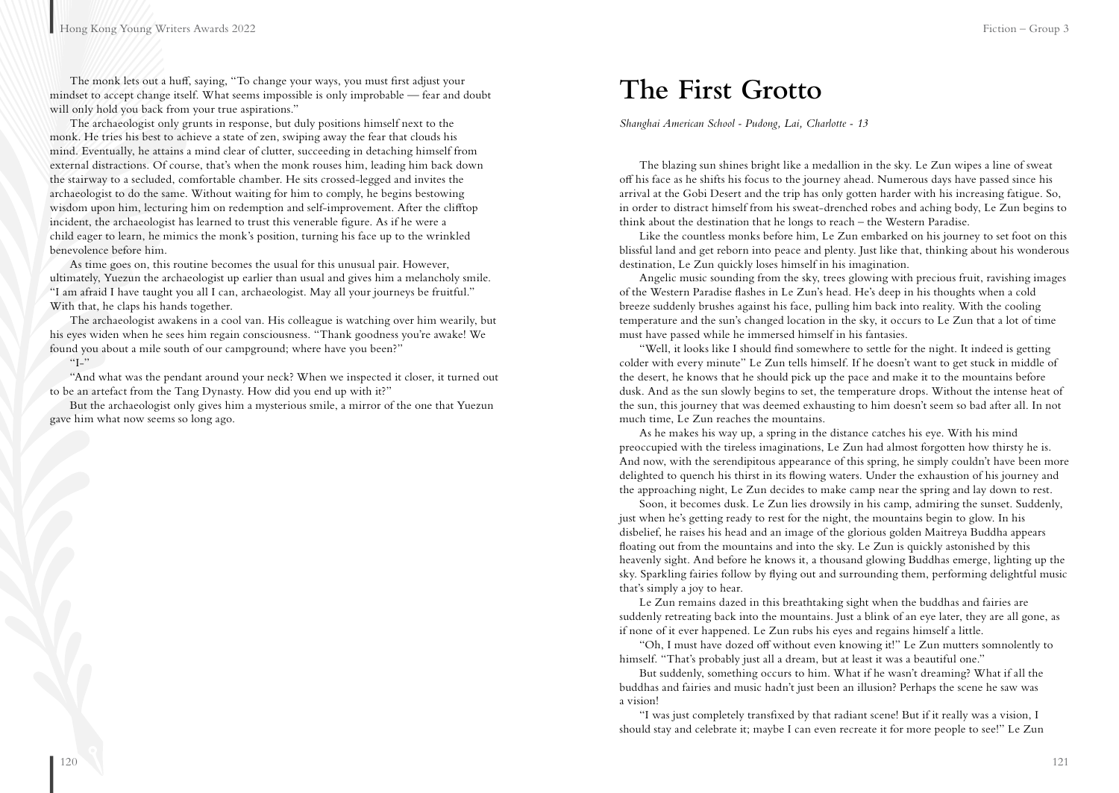The monk lets out a huff, saying, "To change your ways, you must first adjust your mindset to accept change itself. What seems impossible is only improbable — fear and doubt will only hold you back from your true aspirations."

The archaeologist only grunts in response, but duly positions himself next to the monk. He tries his best to achieve a state of zen, swiping away the fear that clouds his mind. Eventually, he attains a mind clear of clutter, succeeding in detaching himself from external distractions. Of course, that's when the monk rouses him, leading him back down the stairway to a secluded, comfortable chamber. He sits crossed-legged and invites the archaeologist to do the same. Without waiting for him to comply, he begins bestowing wisdom upon him, lecturing him on redemption and self-improvement. After the clifftop incident, the archaeologist has learned to trust this venerable figure. As if he were a child eager to learn, he mimics the monk's position, turning his face up to the wrinkled benevolence before him.

As time goes on, this routine becomes the usual for this unusual pair. However, ultimately, Yuezun the archaeologist up earlier than usual and gives him a melancholy smile. "I am afraid I have taught you all I can, archaeologist. May all your journeys be fruitful." With that, he claps his hands together.

The archaeologist awakens in a cool van. His colleague is watching over him wearily, but his eyes widen when he sees him regain consciousness. "Thank goodness you're awake! We found you about a mile south of our campground; where have you been?"

 $``I-"$ 

"And what was the pendant around your neck? When we inspected it closer, it turned out to be an artefact from the Tang Dynasty. How did you end up with it?"

But the archaeologist only gives him a mysterious smile, a mirror of the one that Yuezun gave him what now seems so long ago.

### **The First Grotto**

*Shanghai American School - Pudong, Lai, Charlotte - 13*

The blazing sun shines bright like a medallion in the sky. Le Zun wipes a line of sweat off his face as he shifts his focus to the journey ahead. Numerous days have passed since his arrival at the Gobi Desert and the trip has only gotten harder with his increasing fatigue. So, in order to distract himself from his sweat-drenched robes and aching body, Le Zun begins to think about the destination that he longs to reach – the Western Paradise.

Like the countless monks before him, Le Zun embarked on his journey to set foot on this blissful land and get reborn into peace and plenty. Just like that, thinking about his wonderous destination, Le Zun quickly loses himself in his imagination.

Angelic music sounding from the sky, trees glowing with precious fruit, ravishing images of the Western Paradise flashes in Le Zun's head. He's deep in his thoughts when a cold breeze suddenly brushes against his face, pulling him back into reality. With the cooling temperature and the sun's changed location in the sky, it occurs to Le Zun that a lot of time must have passed while he immersed himself in his fantasies.

"Well, it looks like I should find somewhere to settle for the night. It indeed is getting colder with every minute" Le Zun tells himself. If he doesn't want to get stuck in middle of the desert, he knows that he should pick up the pace and make it to the mountains before dusk. And as the sun slowly begins to set, the temperature drops. Without the intense heat of the sun, this journey that was deemed exhausting to him doesn't seem so bad after all. In not much time, Le Zun reaches the mountains.

As he makes his way up, a spring in the distance catches his eye. With his mind preoccupied with the tireless imaginations, Le Zun had almost forgotten how thirsty he is. And now, with the serendipitous appearance of this spring, he simply couldn't have been more delighted to quench his thirst in its flowing waters. Under the exhaustion of his journey and the approaching night, Le Zun decides to make camp near the spring and lay down to rest.

Soon, it becomes dusk. Le Zun lies drowsily in his camp, admiring the sunset. Suddenly, just when he's getting ready to rest for the night, the mountains begin to glow. In his disbelief, he raises his head and an image of the glorious golden Maitreya Buddha appears floating out from the mountains and into the sky. Le Zun is quickly astonished by this heavenly sight. And before he knows it, a thousand glowing Buddhas emerge, lighting up the sky. Sparkling fairies follow by flying out and surrounding them, performing delightful music that's simply a joy to hear.

Le Zun remains dazed in this breathtaking sight when the buddhas and fairies are suddenly retreating back into the mountains. Just a blink of an eye later, they are all gone, as if none of it ever happened. Le Zun rubs his eyes and regains himself a little.

"Oh, I must have dozed off without even knowing it!" Le Zun mutters somnolently to himself. "That's probably just all a dream, but at least it was a beautiful one."

But suddenly, something occurs to him. What if he wasn't dreaming? What if all the buddhas and fairies and music hadn't just been an illusion? Perhaps the scene he saw was a vision!

"I was just completely transfixed by that radiant scene! But if it really was a vision, I should stay and celebrate it; maybe I can even recreate it for more people to see!" Le Zun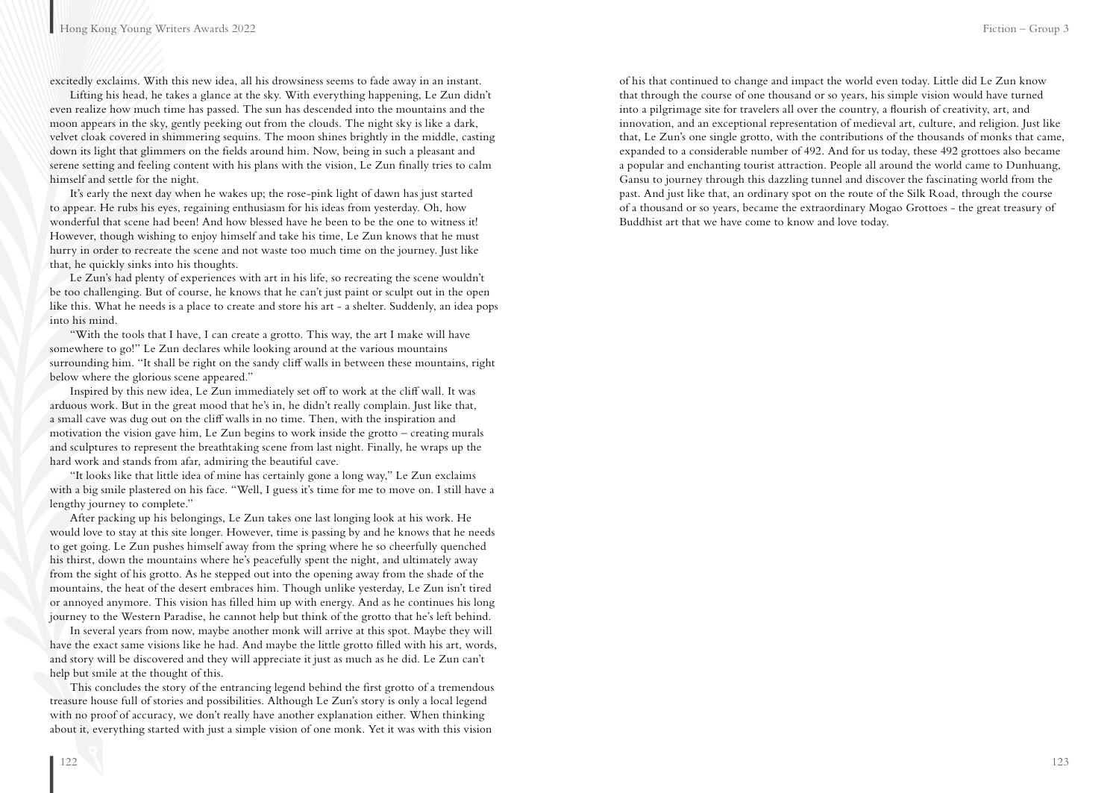excitedly exclaims. With this new idea, all his drowsiness seems to fade away in an instant.

Lifting his head, he takes a glance at the sky. With everything happening, Le Zun didn't even realize how much time has passed. The sun has descended into the mountains and the moon appears in the sky, gently peeking out from the clouds. The night sky is like a dark, velvet cloak covered in shimmering sequins. The moon shines brightly in the middle, casting down its light that glimmers on the fields around him. Now, being in such a pleasant and serene setting and feeling content with his plans with the vision, Le Zun finally tries to calm himself and settle for the night.

It's early the next day when he wakes up; the rose-pink light of dawn has just started to appear. He rubs his eyes, regaining enthusiasm for his ideas from yesterday. Oh, how wonderful that scene had been! And how blessed have he been to be the one to witness it! However, though wishing to enjoy himself and take his time, Le Zun knows that he must hurry in order to recreate the scene and not waste too much time on the journey. Just like that, he quickly sinks into his thoughts.

Le Zun's had plenty of experiences with art in his life, so recreating the scene wouldn't be too challenging. But of course, he knows that he can't just paint or sculpt out in the open like this. What he needs is a place to create and store his art - a shelter. Suddenly, an idea pops into his mind.

"With the tools that I have, I can create a grotto. This way, the art I make will have somewhere to go!" Le Zun declares while looking around at the various mountains surrounding him. "It shall be right on the sandy cliff walls in between these mountains, right below where the glorious scene appeared."

Inspired by this new idea, Le Zun immediately set off to work at the cliff wall. It was arduous work. But in the great mood that he's in, he didn't really complain. Just like that, a small cave was dug out on the cliff walls in no time. Then, with the inspiration and motivation the vision gave him, Le Zun begins to work inside the grotto – creating murals and sculptures to represent the breathtaking scene from last night. Finally, he wraps up the hard work and stands from afar, admiring the beautiful cave.

"It looks like that little idea of mine has certainly gone a long way," Le Zun exclaims with a big smile plastered on his face. "Well, I guess it's time for me to move on. I still have a lengthy journey to complete."

After packing up his belongings, Le Zun takes one last longing look at his work. He would love to stay at this site longer. However, time is passing by and he knows that he needs to get going. Le Zun pushes himself away from the spring where he so cheerfully quenched his thirst, down the mountains where he's peacefully spent the night, and ultimately away from the sight of his grotto. As he stepped out into the opening away from the shade of the mountains, the heat of the desert embraces him. Though unlike yesterday, Le Zun isn't tired or annoyed anymore. This vision has filled him up with energy. And as he continues his long journey to the Western Paradise, he cannot help but think of the grotto that he's left behind.

In several years from now, maybe another monk will arrive at this spot. Maybe they will have the exact same visions like he had. And maybe the little grotto filled with his art, words, and story will be discovered and they will appreciate it just as much as he did. Le Zun can't help but smile at the thought of this.

This concludes the story of the entrancing legend behind the first grotto of a tremendous treasure house full of stories and possibilities. Although Le Zun's story is only a local legend with no proof of accuracy, we don't really have another explanation either. When thinking about it, everything started with just a simple vision of one monk. Yet it was with this vision

of his that continued to change and impact the world even today. Little did Le Zun know that through the course of one thousand or so years, his simple vision would have turned into a pilgrimage site for travelers all over the country, a flourish of creativity, art, and innovation, and an exceptional representation of medieval art, culture, and religion. Just like that, Le Zun's one single grotto, with the contributions of the thousands of monks that came, expanded to a considerable number of 492. And for us today, these 492 grottoes also became a popular and enchanting tourist attraction. People all around the world came to Dunhuang, Gansu to journey through this dazzling tunnel and discover the fascinating world from the past. And just like that, an ordinary spot on the route of the Silk Road, through the course of a thousand or so years, became the extraordinary Mogao Grottoes - the great treasury of Buddhist art that we have come to know and love today.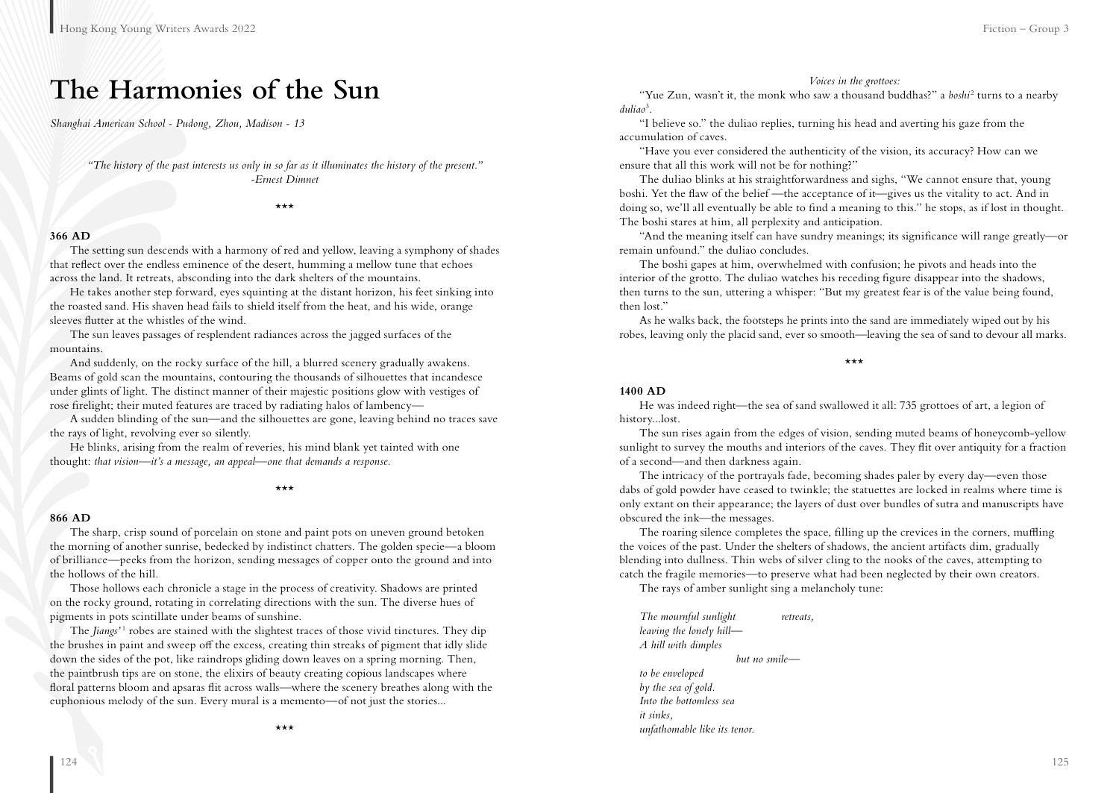### **The Harmonies of the Sun**

*Shanghai American School - Pudong, Zhou, Madison - 13*

*"The history of the past interests us only in so far as it illuminates the history of the present." -Ernest Dimnet*

\*\*\*

#### **366 AD**

The setting sun descends with a harmony of red and yellow, leaving a symphony of shades that reflect over the endless eminence of the desert, humming a mellow tune that echoes across the land. It retreats, absconding into the dark shelters of the mountains.

He takes another step forward, eyes squinting at the distant horizon, his feet sinking into the roasted sand. His shaven head fails to shield itself from the heat, and his wide, orange sleeves flutter at the whistles of the wind.

The sun leaves passages of resplendent radiances across the jagged surfaces of the mountains.

And suddenly, on the rocky surface of the hill, a blurred scenery gradually awakens. Beams of gold scan the mountains, contouring the thousands of silhouettes that incandesce under glints of light. The distinct manner of their majestic positions glow with vestiges of rose firelight; their muted features are traced by radiating halos of lambency—

A sudden blinding of the sun—and the silhouettes are gone, leaving behind no traces save the rays of light, revolving ever so silently.

He blinks, arising from the realm of reveries, his mind blank yet tainted with one thought: *that vision—it's a message, an appeal—one that demands a response.* 

\*\*\*

#### **866 AD**

The sharp, crisp sound of porcelain on stone and paint pots on uneven ground betoken the morning of another sunrise, bedecked by indistinct chatters. The golden specie—a bloom of brilliance—peeks from the horizon, sending messages of copper onto the ground and into the hollows of the hill.

Those hollows each chronicle a stage in the process of creativity. Shadows are printed on the rocky ground, rotating in correlating directions with the sun. The diverse hues of pigments in pots scintillate under beams of sunshine.

The *Jiangs'*<sup>1</sup> robes are stained with the slightest traces of those vivid tinctures. They dip the brushes in paint and sweep off the excess, creating thin streaks of pigment that idly slide down the sides of the pot, like raindrops gliding down leaves on a spring morning. Then, the paintbrush tips are on stone, the elixirs of beauty creating copious landscapes where floral patterns bloom and apsaras flit across walls—where the scenery breathes along with the euphonious melody of the sun. Every mural is a memento—of not just the stories...

*Voices in the grottoes:* 

"Yue Zun, wasn't it, the monk who saw a thousand buddhas?" a *boshi*<sup>2</sup> turns to a nearby *duliao*<sup>3</sup> .

"I believe so." the duliao replies, turning his head and averting his gaze from the accumulation of caves.

"Have you ever considered the authenticity of the vision, its accuracy? How can we ensure that all this work will not be for nothing?"

The duliao blinks at his straightforwardness and sighs, "We cannot ensure that, young boshi. Yet the flaw of the belief —the acceptance of it—gives us the vitality to act. And in doing so, we'll all eventually be able to find a meaning to this." he stops, as if lost in thought. The boshi stares at him, all perplexity and anticipation.

"And the meaning itself can have sundry meanings; its significance will range greatly—or remain unfound." the duliao concludes.

The boshi gapes at him, overwhelmed with confusion; he pivots and heads into the interior of the grotto. The duliao watches his receding figure disappear into the shadows, then turns to the sun, uttering a whisper: "But my greatest fear is of the value being found, then lost."

As he walks back, the footsteps he prints into the sand are immediately wiped out by his robes, leaving only the placid sand, ever so smooth—leaving the sea of sand to devour all marks.

\*\*\*

#### **1400 AD**

He was indeed right—the sea of sand swallowed it all: 735 grottoes of art, a legion of history...lost.

The sun rises again from the edges of vision, sending muted beams of honeycomb-yellow sunlight to survey the mouths and interiors of the caves. They flit over antiquity for a fraction of a second—and then darkness again.

The intricacy of the portrayals fade, becoming shades paler by every day—even those dabs of gold powder have ceased to twinkle; the statuettes are locked in realms where time is only extant on their appearance; the layers of dust over bundles of sutra and manuscripts have obscured the ink—the messages.

The roaring silence completes the space, filling up the crevices in the corners, muffling the voices of the past. Under the shelters of shadows, the ancient artifacts dim, gradually blending into dullness. Thin webs of silver cling to the nooks of the caves, attempting to catch the fragile memories—to preserve what had been neglected by their own creators.

The rays of amber sunlight sing a melancholy tune:

*The mournful sunlight retreats, leaving the lonely hill— A hill with dimples but no smile to be enveloped by the sea of gold. Into the bottomless sea it sinks, unfathomable like its tenor.*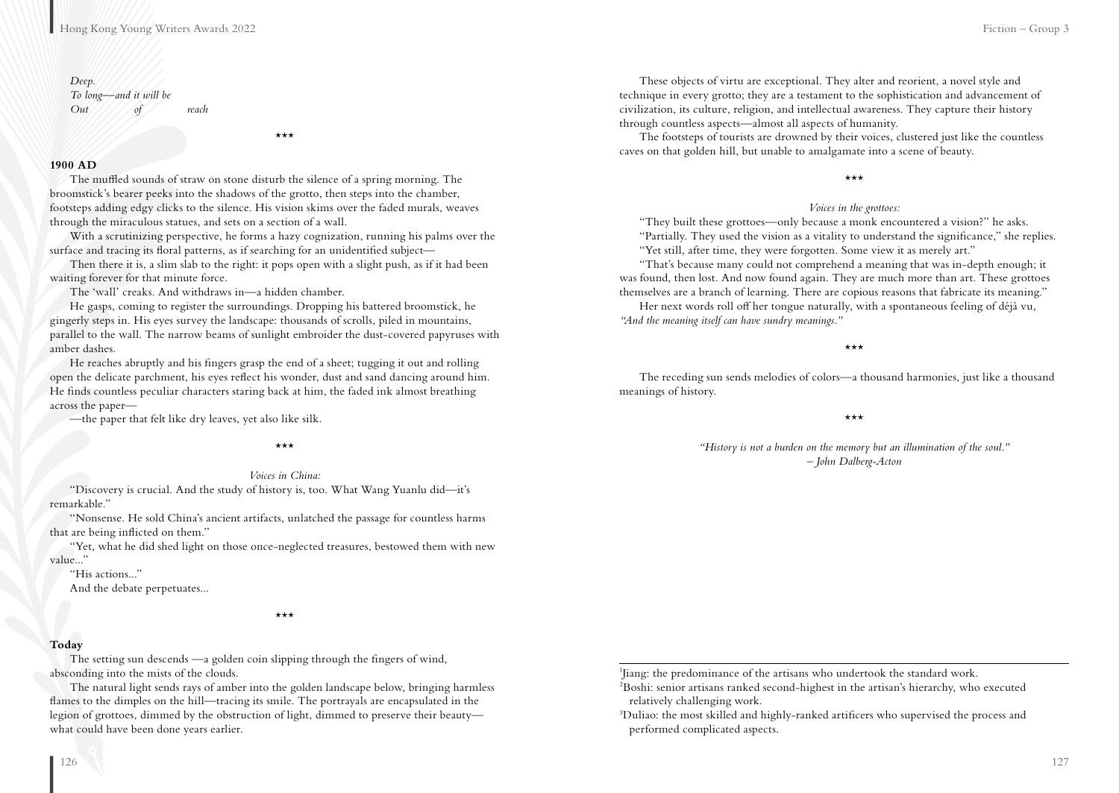#### *Deep. To long—and it will be Out of reach*

\*\*\*

#### **1900 AD**

The muffled sounds of straw on stone disturb the silence of a spring morning. The broomstick's bearer peeks into the shadows of the grotto, then steps into the chamber, footsteps adding edgy clicks to the silence. His vision skims over the faded murals, weaves through the miraculous statues, and sets on a section of a wall.

With a scrutinizing perspective, he forms a hazy cognization, running his palms over the surface and tracing its floral patterns, as if searching for an unidentified subject—

Then there it is, a slim slab to the right: it pops open with a slight push, as if it had been waiting forever for that minute force.

The 'wall' creaks. And withdraws in—a hidden chamber.

He gasps, coming to register the surroundings. Dropping his battered broomstick, he gingerly steps in. His eyes survey the landscape: thousands of scrolls, piled in mountains, parallel to the wall. The narrow beams of sunlight embroider the dust-covered papyruses with amber dashes.

He reaches abruptly and his fingers grasp the end of a sheet; tugging it out and rolling open the delicate parchment, his eyes reflect his wonder, dust and sand dancing around him. He finds countless peculiar characters staring back at him, the faded ink almost breathing across the paper—

—the paper that felt like dry leaves, yet also like silk.

\*\*\*

#### *Voices in China:*

"Discovery is crucial. And the study of history is, too. What Wang Yuanlu did—it's remarkable."

"Nonsense. He sold China's ancient artifacts, unlatched the passage for countless harms that are being inflicted on them."

"Yet, what he did shed light on those once-neglected treasures, bestowed them with new value..."

"His actions..."

And the debate perpetuates...

#### \*\*\*

#### **Today**

The setting sun descends —a golden coin slipping through the fingers of wind, absconding into the mists of the clouds.

The natural light sends rays of amber into the golden landscape below, bringing harmless flames to the dimples on the hill—tracing its smile. The portrayals are encapsulated in the legion of grottoes, dimmed by the obstruction of light, dimmed to preserve their beauty what could have been done years earlier.

These objects of virtu are exceptional. They alter and reorient, a novel style and technique in every grotto; they are a testament to the sophistication and advancement of civilization, its culture, religion, and intellectual awareness. They capture their history through countless aspects—almost all aspects of humanity.

The footsteps of tourists are drowned by their voices, clustered just like the countless caves on that golden hill, but unable to amalgamate into a scene of beauty.

\*\*\*

#### *Voices in the grottoes:*

"They built these grottoes—only because a monk encountered a vision?" he asks. "Partially. They used the vision as a vitality to understand the significance," she replies. "Yet still, after time, they were forgotten. Some view it as merely art."

"That's because many could not comprehend a meaning that was in-depth enough; it was found, then lost. And now found again. They are much more than art. These grottoes themselves are a branch of learning. There are copious reasons that fabricate its meaning."

Her next words roll off her tongue naturally, with a spontaneous feeling of déjà vu, *"And the meaning itself can have sundry meanings."*

\*\*\*

The receding sun sends melodies of colors—a thousand harmonies, just like a thousand meanings of history.

\*\*\*

*"History is not a burden on the memory but an illumination of the soul." – John Dalberg-Acton*

1 Jiang: the predominance of the artisans who undertook the standard work.

2 Boshi: senior artisans ranked second-highest in the artisan's hierarchy, who executed relatively challenging work.

3 Duliao: the most skilled and highly-ranked artificers who supervised the process and performed complicated aspects.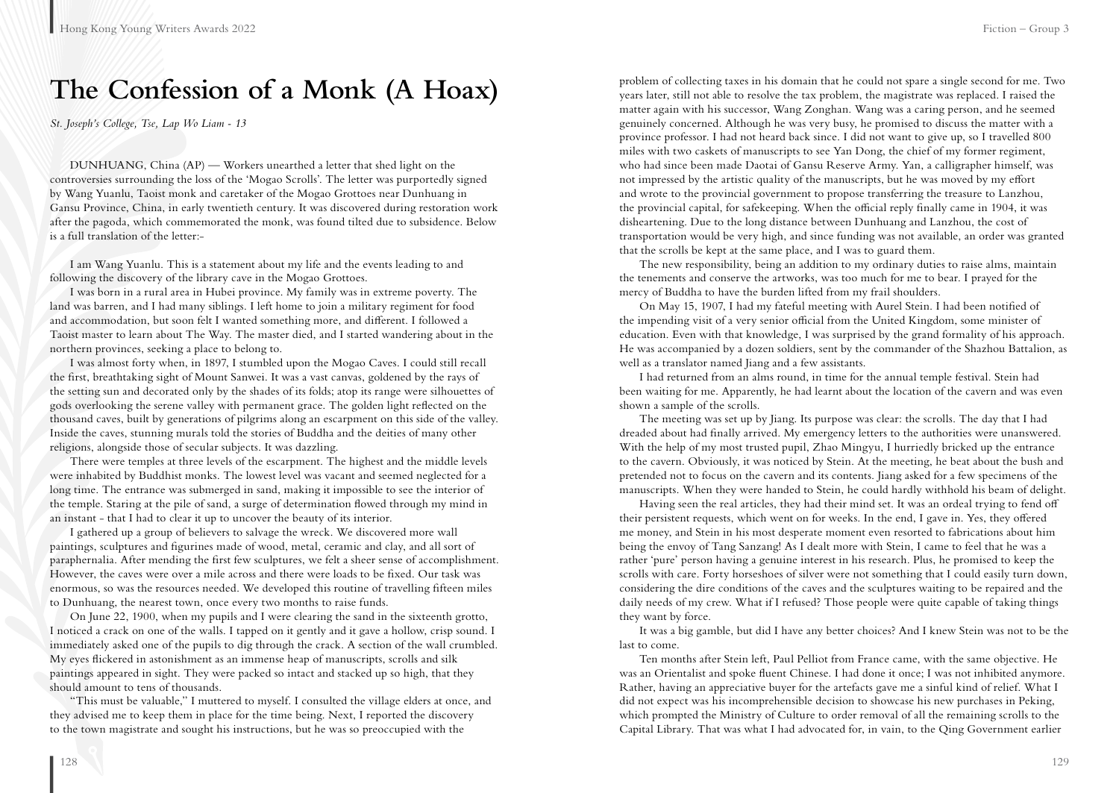### **The Confession of a Monk (A Hoax)**

*St. Joseph's College, Tse, Lap Wo Liam - 13*

DUNHUANG, China (AP) — Workers unearthed a letter that shed light on the controversies surrounding the loss of the 'Mogao Scrolls'. The letter was purportedly signed by Wang Yuanlu, Taoist monk and caretaker of the Mogao Grottoes near Dunhuang in Gansu Province, China, in early twentieth century. It was discovered during restoration work after the pagoda, which commemorated the monk, was found tilted due to subsidence. Below is a full translation of the letter:-

I am Wang Yuanlu. This is a statement about my life and the events leading to and following the discovery of the library cave in the Mogao Grottoes.

I was born in a rural area in Hubei province. My family was in extreme poverty. The land was barren, and I had many siblings. I left home to join a military regiment for food and accommodation, but soon felt I wanted something more, and different. I followed a Taoist master to learn about The Way. The master died, and I started wandering about in the northern provinces, seeking a place to belong to.

I was almost forty when, in 1897, I stumbled upon the Mogao Caves. I could still recall the first, breathtaking sight of Mount Sanwei. It was a vast canvas, goldened by the rays of the setting sun and decorated only by the shades of its folds; atop its range were silhouettes of gods overlooking the serene valley with permanent grace. The golden light reflected on the thousand caves, built by generations of pilgrims along an escarpment on this side of the valley. Inside the caves, stunning murals told the stories of Buddha and the deities of many other religions, alongside those of secular subjects. It was dazzling.

There were temples at three levels of the escarpment. The highest and the middle levels were inhabited by Buddhist monks. The lowest level was vacant and seemed neglected for a long time. The entrance was submerged in sand, making it impossible to see the interior of the temple. Staring at the pile of sand, a surge of determination flowed through my mind in an instant - that I had to clear it up to uncover the beauty of its interior.

I gathered up a group of believers to salvage the wreck. We discovered more wall paintings, sculptures and figurines made of wood, metal, ceramic and clay, and all sort of paraphernalia. After mending the first few sculptures, we felt a sheer sense of accomplishment. However, the caves were over a mile across and there were loads to be fixed. Our task was enormous, so was the resources needed. We developed this routine of travelling fifteen miles to Dunhuang, the nearest town, once every two months to raise funds.

On June 22, 1900, when my pupils and I were clearing the sand in the sixteenth grotto, I noticed a crack on one of the walls. I tapped on it gently and it gave a hollow, crisp sound. I immediately asked one of the pupils to dig through the crack. A section of the wall crumbled. My eyes flickered in astonishment as an immense heap of manuscripts, scrolls and silk paintings appeared in sight. They were packed so intact and stacked up so high, that they should amount to tens of thousands.

"This must be valuable," I muttered to myself. I consulted the village elders at once, and they advised me to keep them in place for the time being. Next, I reported the discovery to the town magistrate and sought his instructions, but he was so preoccupied with the

problem of collecting taxes in his domain that he could not spare a single second for me. Two years later, still not able to resolve the tax problem, the magistrate was replaced. I raised the matter again with his successor, Wang Zonghan. Wang was a caring person, and he seemed genuinely concerned. Although he was very busy, he promised to discuss the matter with a province professor. I had not heard back since. I did not want to give up, so I travelled 800 miles with two caskets of manuscripts to see Yan Dong, the chief of my former regiment, who had since been made Daotai of Gansu Reserve Army. Yan, a calligrapher himself, was not impressed by the artistic quality of the manuscripts, but he was moved by my effort and wrote to the provincial government to propose transferring the treasure to Lanzhou, the provincial capital, for safekeeping. When the official reply finally came in 1904, it was disheartening. Due to the long distance between Dunhuang and Lanzhou, the cost of transportation would be very high, and since funding was not available, an order was granted that the scrolls be kept at the same place, and I was to guard them.

The new responsibility, being an addition to my ordinary duties to raise alms, maintain the tenements and conserve the artworks, was too much for me to bear. I prayed for the mercy of Buddha to have the burden lifted from my frail shoulders.

On May 15, 1907, I had my fateful meeting with Aurel Stein. I had been notified of the impending visit of a very senior official from the United Kingdom, some minister of education. Even with that knowledge, I was surprised by the grand formality of his approach. He was accompanied by a dozen soldiers, sent by the commander of the Shazhou Battalion, as well as a translator named Jiang and a few assistants.

I had returned from an alms round, in time for the annual temple festival. Stein had been waiting for me. Apparently, he had learnt about the location of the cavern and was even shown a sample of the scrolls.

The meeting was set up by Jiang. Its purpose was clear: the scrolls. The day that I had dreaded about had finally arrived. My emergency letters to the authorities were unanswered. With the help of my most trusted pupil, Zhao Mingyu, I hurriedly bricked up the entrance to the cavern. Obviously, it was noticed by Stein. At the meeting, he beat about the bush and pretended not to focus on the cavern and its contents. Jiang asked for a few specimens of the manuscripts. When they were handed to Stein, he could hardly withhold his beam of delight.

Having seen the real articles, they had their mind set. It was an ordeal trying to fend off their persistent requests, which went on for weeks. In the end, I gave in. Yes, they offered me money, and Stein in his most desperate moment even resorted to fabrications about him being the envoy of Tang Sanzang! As I dealt more with Stein, I came to feel that he was a rather 'pure' person having a genuine interest in his research. Plus, he promised to keep the scrolls with care. Forty horseshoes of silver were not something that I could easily turn down, considering the dire conditions of the caves and the sculptures waiting to be repaired and the daily needs of my crew. What if I refused? Those people were quite capable of taking things they want by force.

It was a big gamble, but did I have any better choices? And I knew Stein was not to be the last to come.

Ten months after Stein left, Paul Pelliot from France came, with the same objective. He was an Orientalist and spoke fluent Chinese. I had done it once; I was not inhibited anymore. Rather, having an appreciative buyer for the artefacts gave me a sinful kind of relief. What I did not expect was his incomprehensible decision to showcase his new purchases in Peking, which prompted the Ministry of Culture to order removal of all the remaining scrolls to the Capital Library. That was what I had advocated for, in vain, to the Qing Government earlier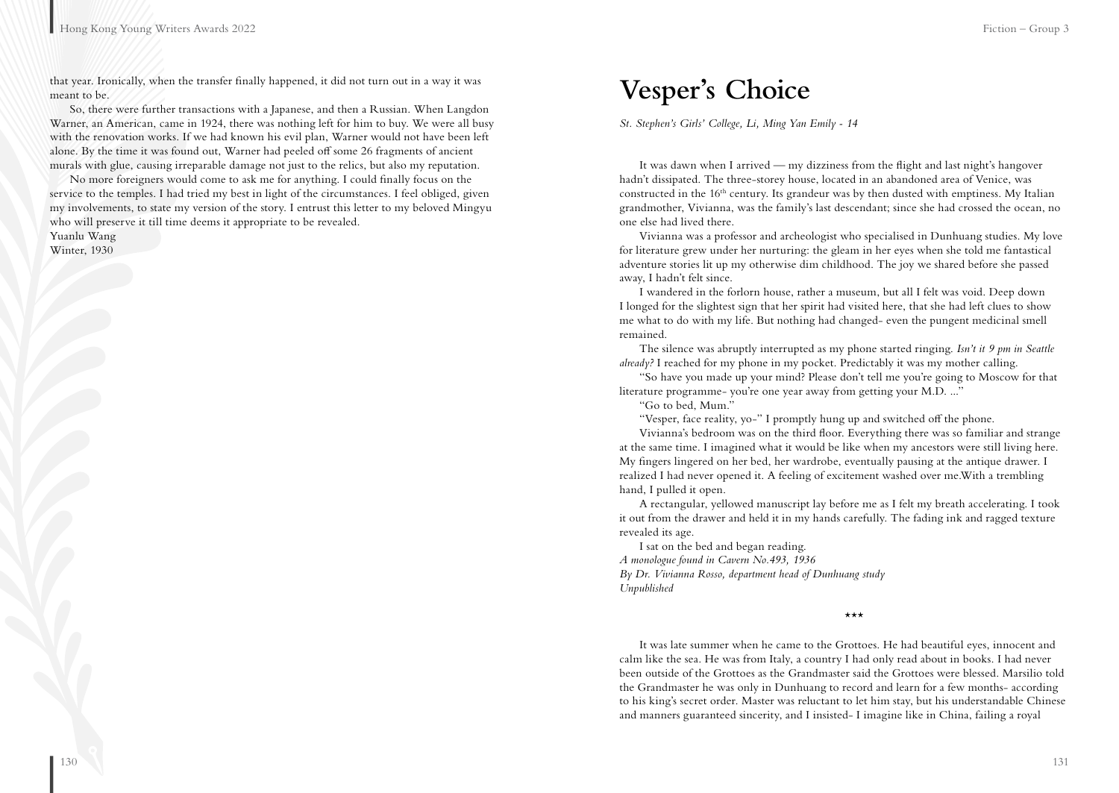that year. Ironically, when the transfer finally happened, it did not turn out in a way it was meant to be.

So, there were further transactions with a Japanese, and then a Russian. When Langdon Warner, an American, came in 1924, there was nothing left for him to buy. We were all busy with the renovation works. If we had known his evil plan, Warner would not have been left alone. By the time it was found out, Warner had peeled off some 26 fragments of ancient murals with glue, causing irreparable damage not just to the relics, but also my reputation.

No more foreigners would come to ask me for anything. I could finally focus on the service to the temples. I had tried my best in light of the circumstances. I feel obliged, given my involvements, to state my version of the story. I entrust this letter to my beloved Mingyu who will preserve it till time deems it appropriate to be revealed.

Yuanlu Wang

Winter, 1930

### **Vesper's Choice**

*St. Stephen's Girls' College, Li, Ming Yan Emily - 14*

It was dawn when I arrived — my dizziness from the flight and last night's hangover hadn't dissipated. The three-storey house, located in an abandoned area of Venice, was constructed in the 16th century. Its grandeur was by then dusted with emptiness. My Italian grandmother, Vivianna, was the family's last descendant; since she had crossed the ocean, no one else had lived there.

Vivianna was a professor and archeologist who specialised in Dunhuang studies. My love for literature grew under her nurturing: the gleam in her eyes when she told me fantastical adventure stories lit up my otherwise dim childhood. The joy we shared before she passed away, I hadn't felt since.

I wandered in the forlorn house, rather a museum, but all I felt was void. Deep down I longed for the slightest sign that her spirit had visited here, that she had left clues to show me what to do with my life. But nothing had changed- even the pungent medicinal smell remained.

The silence was abruptly interrupted as my phone started ringing. *Isn't it 9 pm in Seattle already?* I reached for my phone in my pocket. Predictably it was my mother calling.

"So have you made up your mind? Please don't tell me you're going to Moscow for that literature programme- you're one year away from getting your M.D. ..."

"Go to bed, Mum."

"Vesper, face reality, yo-" I promptly hung up and switched off the phone.

Vivianna's bedroom was on the third floor. Everything there was so familiar and strange at the same time. I imagined what it would be like when my ancestors were still living here. My fingers lingered on her bed, her wardrobe, eventually pausing at the antique drawer. I realized I had never opened it. A feeling of excitement washed over me.With a trembling hand, I pulled it open.

A rectangular, yellowed manuscript lay before me as I felt my breath accelerating. I took it out from the drawer and held it in my hands carefully. The fading ink and ragged texture revealed its age.

I sat on the bed and began reading. *A monologue found in Cavern No.493, 1936 By Dr. Vivianna Rosso, department head of Dunhuang study Unpublished*

\*\*\*

It was late summer when he came to the Grottoes. He had beautiful eyes, innocent and calm like the sea. He was from Italy, a country I had only read about in books. I had never been outside of the Grottoes as the Grandmaster said the Grottoes were blessed. Marsilio told the Grandmaster he was only in Dunhuang to record and learn for a few months- according to his king's secret order. Master was reluctant to let him stay, but his understandable Chinese and manners guaranteed sincerity, and I insisted- I imagine like in China, failing a royal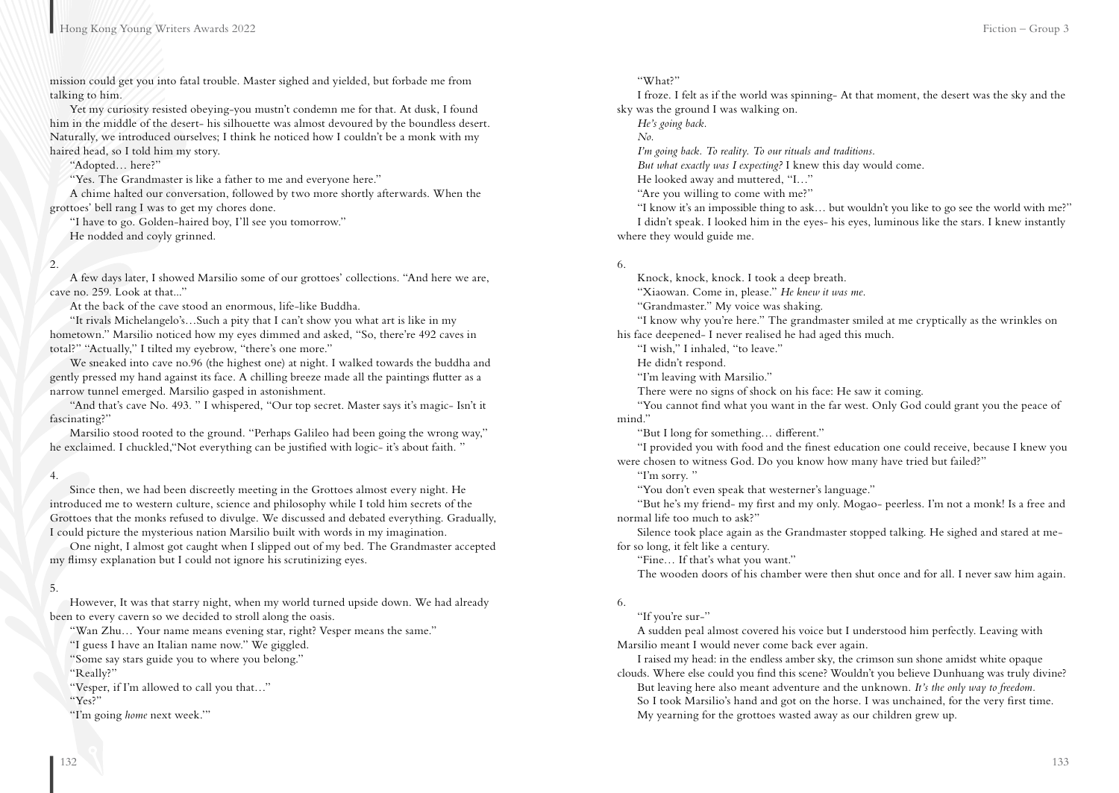mission could get you into fatal trouble. Master sighed and yielded, but forbade me from talking to him.

Yet my curiosity resisted obeying-you mustn't condemn me for that. At dusk, I found him in the middle of the desert- his silhouette was almost devoured by the boundless desert. Naturally, we introduced ourselves; I think he noticed how I couldn't be a monk with my haired head, so I told him my story.

"Adopted… here?"

"Yes. The Grandmaster is like a father to me and everyone here."

A chime halted our conversation, followed by two more shortly afterwards. When the grottoes' bell rang I was to get my chores done.

"I have to go. Golden-haired boy, I'll see you tomorrow." He nodded and coyly grinned.

#### $2.$

A few days later, I showed Marsilio some of our grottoes' collections. "And here we are, cave no. 259. Look at that..."

At the back of the cave stood an enormous, life-like Buddha.

"It rivals Michelangelo's…Such a pity that I can't show you what art is like in my hometown." Marsilio noticed how my eyes dimmed and asked, "So, there're 492 caves in total?" "Actually," I tilted my eyebrow, "there's one more."

We sneaked into cave no.96 (the highest one) at night. I walked towards the buddha and gently pressed my hand against its face. A chilling breeze made all the paintings flutter as a narrow tunnel emerged. Marsilio gasped in astonishment.

"And that's cave No. 493. " I whispered, "Our top secret. Master says it's magic- Isn't it fascinating?"

Marsilio stood rooted to the ground. "Perhaps Galileo had been going the wrong way," he exclaimed. I chuckled,"Not everything can be justified with logic- it's about faith. "

#### 4.

Since then, we had been discreetly meeting in the Grottoes almost every night. He introduced me to western culture, science and philosophy while I told him secrets of the Grottoes that the monks refused to divulge. We discussed and debated everything. Gradually, I could picture the mysterious nation Marsilio built with words in my imagination.

One night, I almost got caught when I slipped out of my bed. The Grandmaster accepted my flimsy explanation but I could not ignore his scrutinizing eyes.

### 5.

However, It was that starry night, when my world turned upside down. We had already been to every cavern so we decided to stroll along the oasis.

"Wan Zhu… Your name means evening star, right? Vesper means the same."

"I guess I have an Italian name now." We giggled.

"Some say stars guide you to where you belong."

"Really?"

"Vesper, if I'm allowed to call you that…"

"Yes?"

"I'm going *home* next week.'"

#### "What?"

I froze. I felt as if the world was spinning- At that moment, the desert was the sky and the sky was the ground I was walking on.

*He's going back.* 

*No.*

*I'm going back. To reality. To our rituals and traditions.* 

*But what exactly was I expecting?* I knew this day would come.

He looked away and muttered, "I…"

"Are you willing to come with me?"

"I know it's an impossible thing to ask… but wouldn't you like to go see the world with me?" I didn't speak. I looked him in the eyes- his eyes, luminous like the stars. I knew instantly where they would guide me.

#### 6.

Knock, knock, knock. I took a deep breath.

"Xiaowan. Come in, please." *He knew it was me.*

"Grandmaster." My voice was shaking.

"I know why you're here." The grandmaster smiled at me cryptically as the wrinkles on his face deepened- I never realised he had aged this much.

"I wish," I inhaled, "to leave."

He didn't respond.

"I'm leaving with Marsilio."

There were no signs of shock on his face: He saw it coming.

"You cannot find what you want in the far west. Only God could grant you the peace of mind."

"But I long for something… different."

"I provided you with food and the finest education one could receive, because I knew you were chosen to witness God. Do you know how many have tried but failed?"

"I'm sorry. "

"You don't even speak that westerner's language."

"But he's my friend- my first and my only. Mogao- peerless. I'm not a monk! Is a free and normal life too much to ask?"

Silence took place again as the Grandmaster stopped talking. He sighed and stared at mefor so long, it felt like a century.

"Fine… If that's what you want."

The wooden doors of his chamber were then shut once and for all. I never saw him again.

### 6.

"If you're sur-"

A sudden peal almost covered his voice but I understood him perfectly. Leaving with Marsilio meant I would never come back ever again.

I raised my head: in the endless amber sky, the crimson sun shone amidst white opaque clouds. Where else could you find this scene? Wouldn't you believe Dunhuang was truly divine?

But leaving here also meant adventure and the unknown. *It's the only way to freedom.* So I took Marsilio's hand and got on the horse. I was unchained, for the very first time. My yearning for the grottoes wasted away as our children grew up.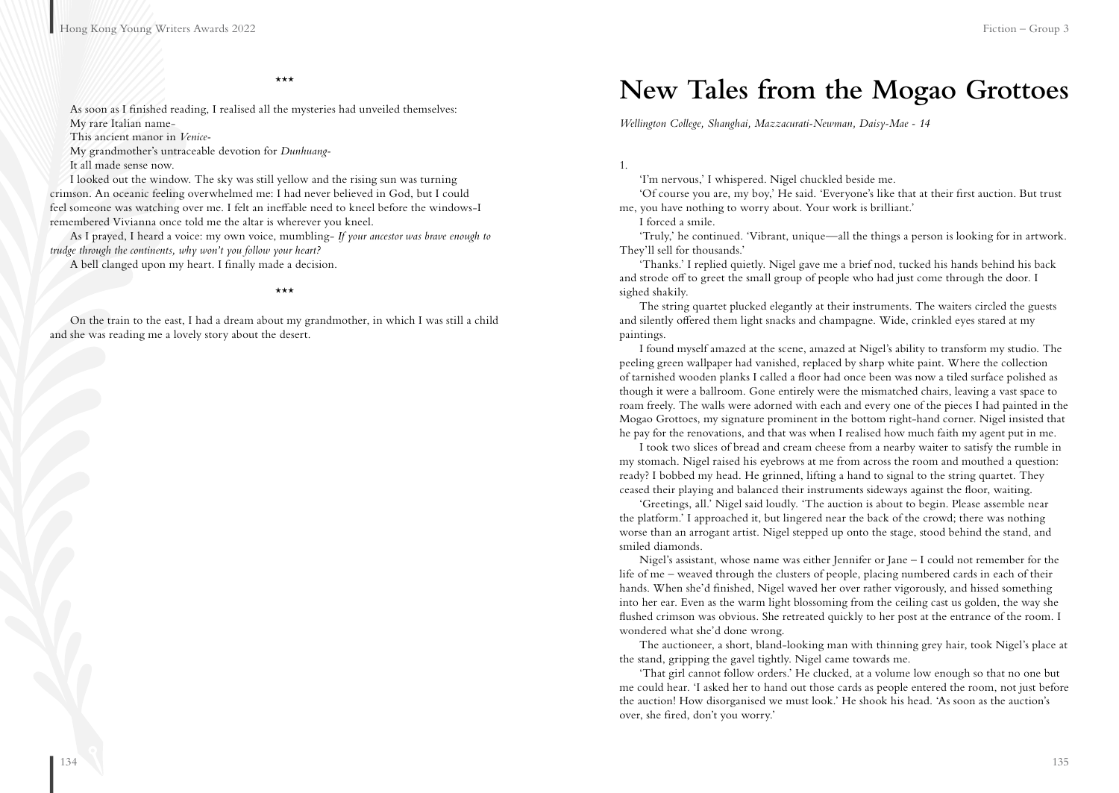\*\*\*

As soon as I finished reading, I realised all the mysteries had unveiled themselves: My rare Italian name-

This ancient manor in *Venice-*

My grandmother's untraceable devotion for *Dunhuang-*

It all made sense now.

I looked out the window. The sky was still yellow and the rising sun was turning crimson. An oceanic feeling overwhelmed me: I had never believed in God, but I could feel someone was watching over me. I felt an ineffable need to kneel before the windows-I remembered Vivianna once told me the altar is wherever you kneel.

As I prayed, I heard a voice: my own voice, mumbling- *If your ancestor was brave enough to trudge through the continents, why won't you follow your heart?*

A bell clanged upon my heart. I finally made a decision.

\*\*\*

On the train to the east, I had a dream about my grandmother, in which I was still a child and she was reading me a lovely story about the desert.

### **New Tales from the Mogao Grottoes**

*Wellington College, Shanghai, Mazzacurati-Newman, Daisy-Mae - 14*

1.

'I'm nervous,' I whispered. Nigel chuckled beside me.

'Of course you are, my boy,' He said. 'Everyone's like that at their first auction. But trust me, you have nothing to worry about. Your work is brilliant.'

I forced a smile.

'Truly,' he continued. 'Vibrant, unique—all the things a person is looking for in artwork. They'll sell for thousands.'

'Thanks.' I replied quietly. Nigel gave me a brief nod, tucked his hands behind his back and strode off to greet the small group of people who had just come through the door. I sighed shakily.

The string quartet plucked elegantly at their instruments. The waiters circled the guests and silently offered them light snacks and champagne. Wide, crinkled eyes stared at my paintings.

I found myself amazed at the scene, amazed at Nigel's ability to transform my studio. The peeling green wallpaper had vanished, replaced by sharp white paint. Where the collection of tarnished wooden planks I called a floor had once been was now a tiled surface polished as though it were a ballroom. Gone entirely were the mismatched chairs, leaving a vast space to roam freely. The walls were adorned with each and every one of the pieces I had painted in the Mogao Grottoes, my signature prominent in the bottom right-hand corner. Nigel insisted that he pay for the renovations, and that was when I realised how much faith my agent put in me.

I took two slices of bread and cream cheese from a nearby waiter to satisfy the rumble in my stomach. Nigel raised his eyebrows at me from across the room and mouthed a question: ready? I bobbed my head. He grinned, lifting a hand to signal to the string quartet. They ceased their playing and balanced their instruments sideways against the floor, waiting.

'Greetings, all.' Nigel said loudly. 'The auction is about to begin. Please assemble near the platform.' I approached it, but lingered near the back of the crowd; there was nothing worse than an arrogant artist. Nigel stepped up onto the stage, stood behind the stand, and smiled diamonds.

Nigel's assistant, whose name was either Jennifer or Jane – I could not remember for the life of me – weaved through the clusters of people, placing numbered cards in each of their hands. When she'd finished, Nigel waved her over rather vigorously, and hissed something into her ear. Even as the warm light blossoming from the ceiling cast us golden, the way she flushed crimson was obvious. She retreated quickly to her post at the entrance of the room. I wondered what she'd done wrong.

The auctioneer, a short, bland-looking man with thinning grey hair, took Nigel's place at the stand, gripping the gavel tightly. Nigel came towards me.

'That girl cannot follow orders.' He clucked, at a volume low enough so that no one but me could hear. 'I asked her to hand out those cards as people entered the room, not just before the auction! How disorganised we must look.' He shook his head. 'As soon as the auction's over, she fired, don't you worry.'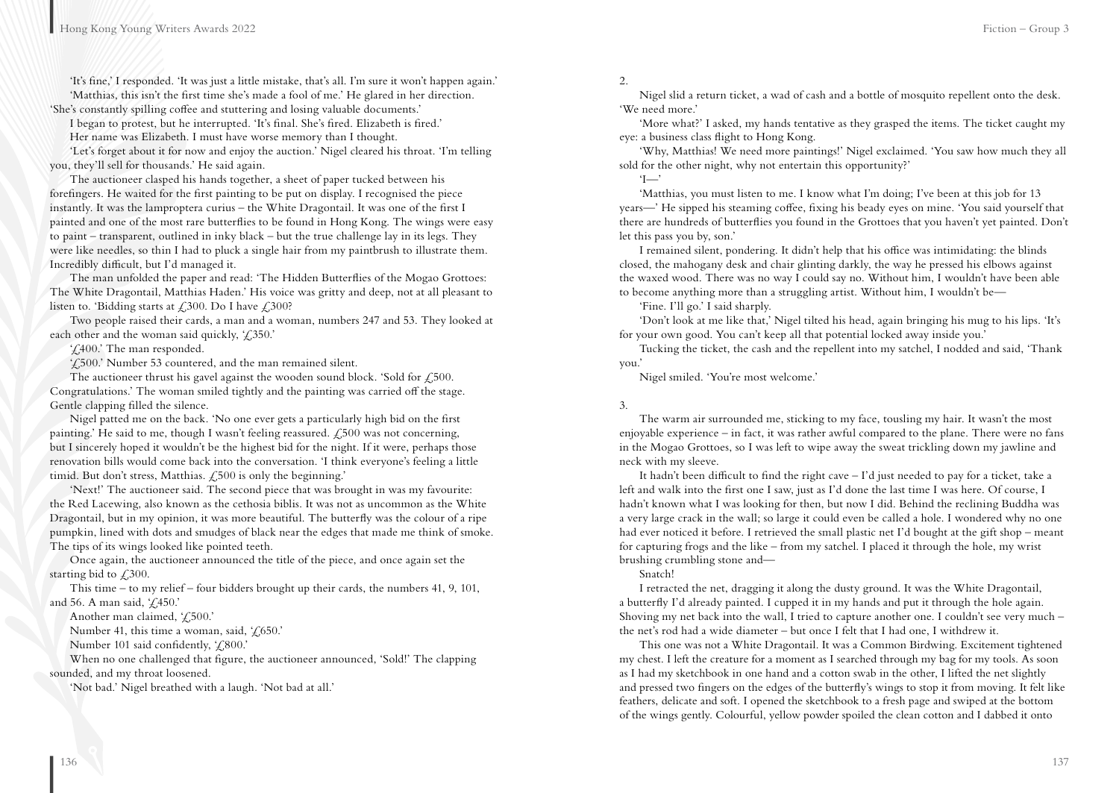'It's fine,' I responded. 'It was just a little mistake, that's all. I'm sure it won't happen again.' 'Matthias, this isn't the first time she's made a fool of me.' He glared in her direction. 'She's constantly spilling coffee and stuttering and losing valuable documents.'

I began to protest, but he interrupted. 'It's final. She's fired. Elizabeth is fired.' Her name was Elizabeth. I must have worse memory than I thought.

'Let's forget about it for now and enjoy the auction.' Nigel cleared his throat. 'I'm telling you, they'll sell for thousands.' He said again.

The auctioneer clasped his hands together, a sheet of paper tucked between his forefingers. He waited for the first painting to be put on display. I recognised the piece instantly. It was the lamproptera curius – the White Dragontail. It was one of the first I painted and one of the most rare butterflies to be found in Hong Kong. The wings were easy to paint – transparent, outlined in inky black – but the true challenge lay in its legs. They were like needles, so thin I had to pluck a single hair from my paintbrush to illustrate them. Incredibly difficult, but I'd managed it.

The man unfolded the paper and read: 'The Hidden Butterflies of the Mogao Grottoes: The White Dragontail, Matthias Haden.' His voice was gritty and deep, not at all pleasant to listen to. 'Bidding starts at  $\angle$  300. Do I have  $\angle$  300?

Two people raised their cards, a man and a woman, numbers 247 and 53. They looked at each other and the woman said quickly,  $\angle$  (350.'

'£400.' The man responded.

'£500.' Number 53 countered, and the man remained silent.

The auctioneer thrust his gavel against the wooden sound block. 'Sold for  $\ell$ , 500. Congratulations.' The woman smiled tightly and the painting was carried off the stage. Gentle clapping filled the silence.

Nigel patted me on the back. 'No one ever gets a particularly high bid on the first painting.' He said to me, though I wasn't feeling reassured.  $\ell$ , 500 was not concerning, but I sincerely hoped it wouldn't be the highest bid for the night. If it were, perhaps those renovation bills would come back into the conversation. 'I think everyone's feeling a little timid. But don't stress, Matthias. £500 is only the beginning.'

'Next!' The auctioneer said. The second piece that was brought in was my favourite: the Red Lacewing, also known as the cethosia biblis. It was not as uncommon as the White Dragontail, but in my opinion, it was more beautiful. The butterfly was the colour of a ripe pumpkin, lined with dots and smudges of black near the edges that made me think of smoke. The tips of its wings looked like pointed teeth.

Once again, the auctioneer announced the title of the piece, and once again set the starting bid to  $\angle 300$ .

This time – to my relief – four bidders brought up their cards, the numbers 41, 9, 101, and 56. A man said, '£450.'

Another man claimed, '£500.'

Number 41, this time a woman, said, ' $\angle 650$ .'

Number 101 said confidently, ' $\zeta$ 800.'

When no one challenged that figure, the auctioneer announced, 'Sold!' The clapping sounded, and my throat loosened.

'Not bad.' Nigel breathed with a laugh. 'Not bad at all.'

2.

Nigel slid a return ticket, a wad of cash and a bottle of mosquito repellent onto the desk. 'We need more.'

'More what?' I asked, my hands tentative as they grasped the items. The ticket caught my eye: a business class flight to Hong Kong.

'Why, Matthias! We need more paintings!' Nigel exclaimed. 'You saw how much they all sold for the other night, why not entertain this opportunity?'

'I—'

'Matthias, you must listen to me. I know what I'm doing; I've been at this job for 13 years—' He sipped his steaming coffee, fixing his beady eyes on mine. 'You said yourself that there are hundreds of butterflies you found in the Grottoes that you haven't yet painted. Don't let this pass you by, son.'

I remained silent, pondering. It didn't help that his office was intimidating: the blinds closed, the mahogany desk and chair glinting darkly, the way he pressed his elbows against the waxed wood. There was no way I could say no. Without him, I wouldn't have been able to become anything more than a struggling artist. Without him, I wouldn't be—

'Fine. I'll go.' I said sharply.

'Don't look at me like that,' Nigel tilted his head, again bringing his mug to his lips. 'It's for your own good. You can't keep all that potential locked away inside you.'

Tucking the ticket, the cash and the repellent into my satchel, I nodded and said, 'Thank you.'

Nigel smiled. 'You're most welcome.'

#### 3.

The warm air surrounded me, sticking to my face, tousling my hair. It wasn't the most enjoyable experience – in fact, it was rather awful compared to the plane. There were no fans in the Mogao Grottoes, so I was left to wipe away the sweat trickling down my jawline and neck with my sleeve.

It hadn't been difficult to find the right cave – I'd just needed to pay for a ticket, take a left and walk into the first one I saw, just as I'd done the last time I was here. Of course, I hadn't known what I was looking for then, but now I did. Behind the reclining Buddha was a very large crack in the wall; so large it could even be called a hole. I wondered why no one had ever noticed it before. I retrieved the small plastic net I'd bought at the gift shop – meant for capturing frogs and the like – from my satchel. I placed it through the hole, my wrist brushing crumbling stone and—

Snatch!

I retracted the net, dragging it along the dusty ground. It was the White Dragontail, a butterfly I'd already painted. I cupped it in my hands and put it through the hole again. Shoving my net back into the wall, I tried to capture another one. I couldn't see very much – the net's rod had a wide diameter – but once I felt that I had one, I withdrew it.

This one was not a White Dragontail. It was a Common Birdwing. Excitement tightened my chest. I left the creature for a moment as I searched through my bag for my tools. As soon as I had my sketchbook in one hand and a cotton swab in the other, I lifted the net slightly and pressed two fingers on the edges of the butterfly's wings to stop it from moving. It felt like feathers, delicate and soft. I opened the sketchbook to a fresh page and swiped at the bottom of the wings gently. Colourful, yellow powder spoiled the clean cotton and I dabbed it onto